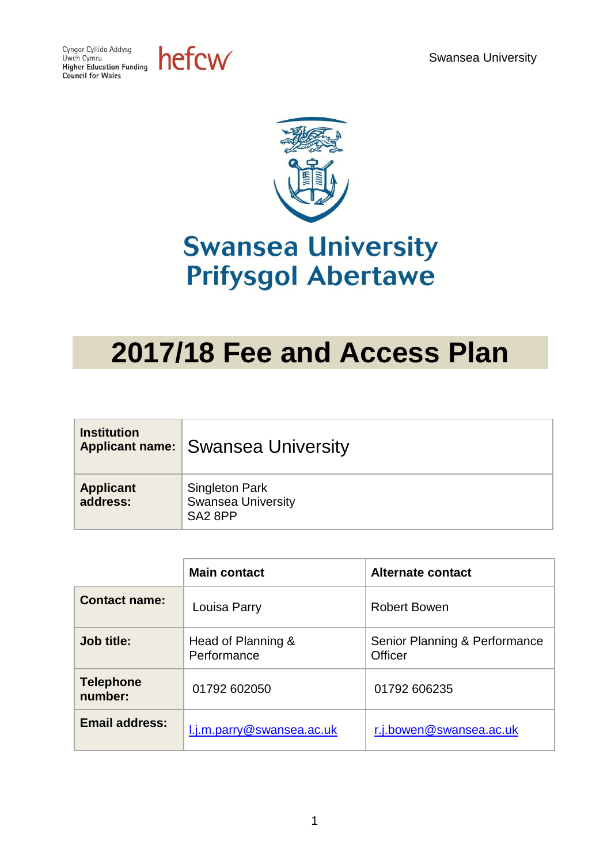



# **Swansea University Prifysgol Abertawe**

# **2017/18 Fee and Access Plan**

| <b>Institution</b>           | Applicant name: Swansea University                                 |
|------------------------------|--------------------------------------------------------------------|
| <b>Applicant</b><br>address: | Singleton Park<br><b>Swansea University</b><br>SA <sub>2</sub> 8PP |

|                             | <b>Main contact</b>               | <b>Alternate contact</b>                 |
|-----------------------------|-----------------------------------|------------------------------------------|
| <b>Contact name:</b>        | Louisa Parry                      | <b>Robert Bowen</b>                      |
| Job title:                  | Head of Planning &<br>Performance | Senior Planning & Performance<br>Officer |
| <b>Telephone</b><br>number: | 01792 602050                      | 01792 606235                             |
| <b>Email address:</b>       | l.j.m.parry@swansea.ac.uk         | r.j.bowen@swansea.ac.uk                  |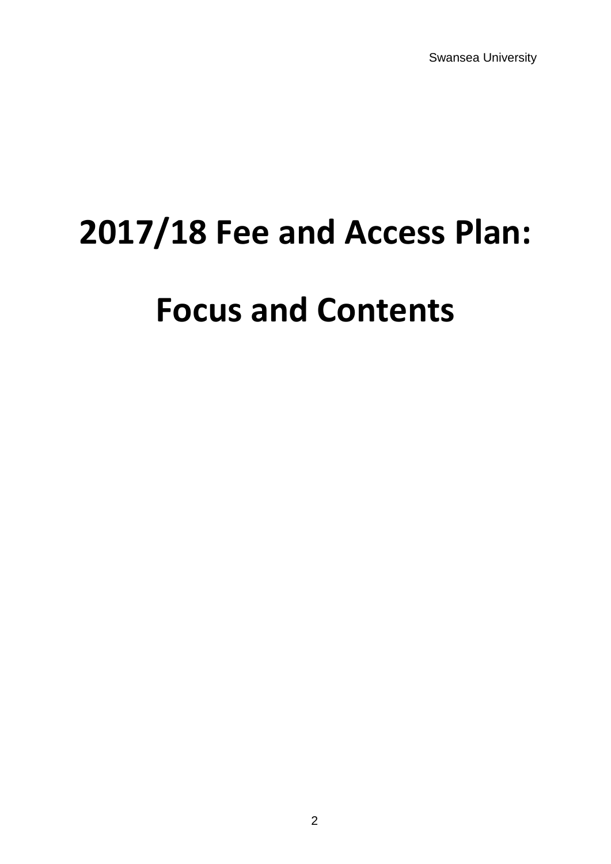# **2017/18 Fee and Access Plan:**

# **Focus and Contents**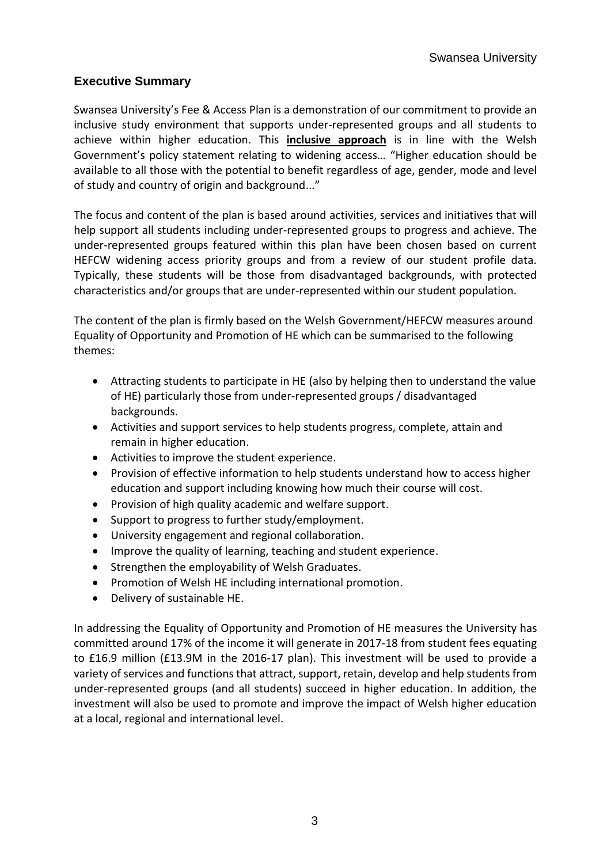#### **Executive Summary**

Swansea University's Fee & Access Plan is a demonstration of our commitment to provide an inclusive study environment that supports under-represented groups and all students to achieve within higher education. This **inclusive approach** is in line with the Welsh Government's policy statement relating to widening access… "Higher education should be available to all those with the potential to benefit regardless of age, gender, mode and level of study and country of origin and background..."

The focus and content of the plan is based around activities, services and initiatives that will help support all students including under-represented groups to progress and achieve. The under-represented groups featured within this plan have been chosen based on current HEFCW widening access priority groups and from a review of our student profile data. Typically, these students will be those from disadvantaged backgrounds, with protected characteristics and/or groups that are under-represented within our student population.

The content of the plan is firmly based on the Welsh Government/HEFCW measures around Equality of Opportunity and Promotion of HE which can be summarised to the following themes:

- Attracting students to participate in HE (also by helping then to understand the value of HE) particularly those from under-represented groups / disadvantaged backgrounds.
- Activities and support services to help students progress, complete, attain and remain in higher education.
- Activities to improve the student experience.
- Provision of effective information to help students understand how to access higher education and support including knowing how much their course will cost.
- Provision of high quality academic and welfare support.
- Support to progress to further study/employment.
- University engagement and regional collaboration.
- Improve the quality of learning, teaching and student experience.
- Strengthen the employability of Welsh Graduates.
- Promotion of Welsh HE including international promotion.
- Delivery of sustainable HE.

In addressing the Equality of Opportunity and Promotion of HE measures the University has committed around 17% of the income it will generate in 2017-18 from student fees equating to £16.9 million (£13.9M in the 2016-17 plan). This investment will be used to provide a variety of services and functions that attract, support, retain, develop and help students from under-represented groups (and all students) succeed in higher education. In addition, the investment will also be used to promote and improve the impact of Welsh higher education at a local, regional and international level.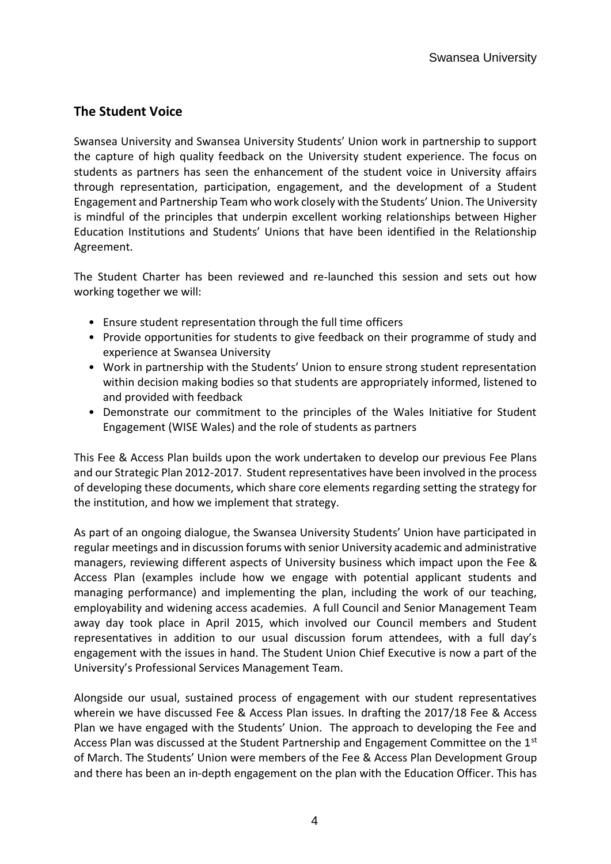#### **The Student Voice**

Swansea University and Swansea University Students' Union work in partnership to support the capture of high quality feedback on the University student experience. The focus on students as partners has seen the enhancement of the student voice in University affairs through representation, participation, engagement, and the development of a Student Engagement and Partnership Team who work closely with the Students' Union. The University is mindful of the principles that underpin excellent working relationships between Higher Education Institutions and Students' Unions that have been identified in the Relationship Agreement.

The Student Charter has been reviewed and re-launched this session and sets out how working together we will:

- Ensure student representation through the full time officers
- Provide opportunities for students to give feedback on their programme of study and experience at Swansea University
- Work in partnership with the Students' Union to ensure strong student representation within decision making bodies so that students are appropriately informed, listened to and provided with feedback
- Demonstrate our commitment to the principles of the Wales Initiative for Student Engagement (WISE Wales) and the role of students as partners

This Fee & Access Plan builds upon the work undertaken to develop our previous Fee Plans and our Strategic Plan 2012-2017. Student representatives have been involved in the process of developing these documents, which share core elements regarding setting the strategy for the institution, and how we implement that strategy.

As part of an ongoing dialogue, the Swansea University Students' Union have participated in regular meetings and in discussion forums with senior University academic and administrative managers, reviewing different aspects of University business which impact upon the Fee & Access Plan (examples include how we engage with potential applicant students and managing performance) and implementing the plan, including the work of our teaching, employability and widening access academies. A full Council and Senior Management Team away day took place in April 2015, which involved our Council members and Student representatives in addition to our usual discussion forum attendees, with a full day's engagement with the issues in hand. The Student Union Chief Executive is now a part of the University's Professional Services Management Team.

Alongside our usual, sustained process of engagement with our student representatives wherein we have discussed Fee & Access Plan issues. In drafting the 2017/18 Fee & Access Plan we have engaged with the Students' Union. The approach to developing the Fee and Access Plan was discussed at the Student Partnership and Engagement Committee on the  $1<sup>st</sup>$ of March. The Students' Union were members of the Fee & Access Plan Development Group and there has been an in-depth engagement on the plan with the Education Officer. This has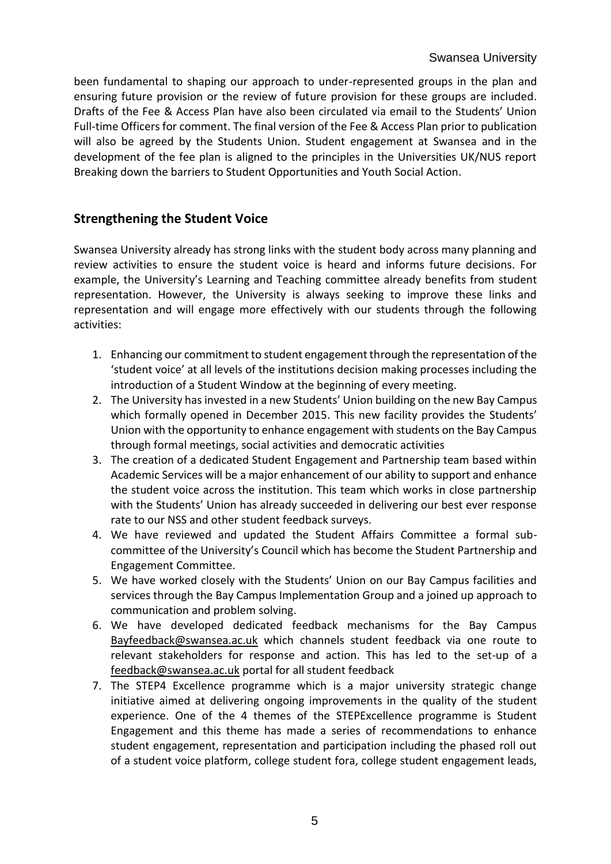been fundamental to shaping our approach to under-represented groups in the plan and ensuring future provision or the review of future provision for these groups are included. Drafts of the Fee & Access Plan have also been circulated via email to the Students' Union Full-time Officers for comment. The final version of the Fee & Access Plan prior to publication will also be agreed by the Students Union. Student engagement at Swansea and in the development of the fee plan is aligned to the principles in the Universities UK/NUS report Breaking down the barriers to Student Opportunities and Youth Social Action.

### **Strengthening the Student Voice**

Swansea University already has strong links with the student body across many planning and review activities to ensure the student voice is heard and informs future decisions. For example, the University's Learning and Teaching committee already benefits from student representation. However, the University is always seeking to improve these links and representation and will engage more effectively with our students through the following activities:

- 1. Enhancing our commitment to student engagement through the representation of the 'student voice' at all levels of the institutions decision making processes including the introduction of a Student Window at the beginning of every meeting.
- 2. The University has invested in a new Students' Union building on the new Bay Campus which formally opened in December 2015. This new facility provides the Students' Union with the opportunity to enhance engagement with students on the Bay Campus through formal meetings, social activities and democratic activities
- 3. The creation of a dedicated Student Engagement and Partnership team based within Academic Services will be a major enhancement of our ability to support and enhance the student voice across the institution. This team which works in close partnership with the Students' Union has already succeeded in delivering our best ever response rate to our NSS and other student feedback surveys.
- 4. We have reviewed and updated the Student Affairs Committee a formal subcommittee of the University's Council which has become the Student Partnership and Engagement Committee.
- 5. We have worked closely with the Students' Union on our Bay Campus facilities and services through the Bay Campus Implementation Group and a joined up approach to communication and problem solving.
- 6. We have developed dedicated feedback mechanisms for the Bay Campus [Bayfeedback@swansea.ac.uk](mailto:Bayfeedback@swansea.ac.uk) which channels student feedback via one route to relevant stakeholders for response and action. This has led to the set-up of a [feedback@swansea.ac.uk](mailto:feedback@swansea.ac.uk) portal for all student feedback
- 7. The STEP4 Excellence programme which is a major university strategic change initiative aimed at delivering ongoing improvements in the quality of the student experience. One of the 4 themes of the STEPExcellence programme is Student Engagement and this theme has made a series of recommendations to enhance student engagement, representation and participation including the phased roll out of a student voice platform, college student fora, college student engagement leads,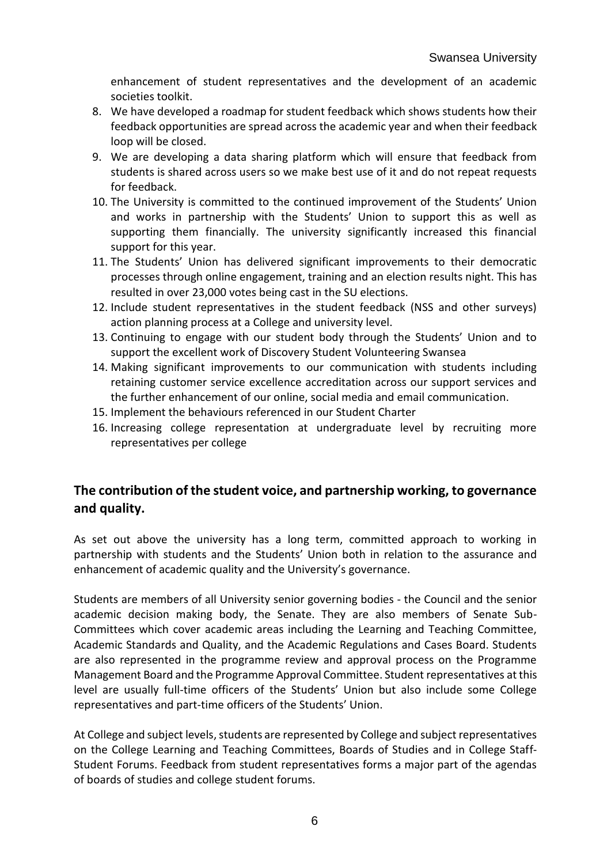enhancement of student representatives and the development of an academic societies toolkit.

- 8. We have developed a roadmap for student feedback which shows students how their feedback opportunities are spread across the academic year and when their feedback loop will be closed.
- 9. We are developing a data sharing platform which will ensure that feedback from students is shared across users so we make best use of it and do not repeat requests for feedback.
- 10. The University is committed to the continued improvement of the Students' Union and works in partnership with the Students' Union to support this as well as supporting them financially. The university significantly increased this financial support for this year.
- 11. The Students' Union has delivered significant improvements to their democratic processes through online engagement, training and an election results night. This has resulted in over 23,000 votes being cast in the SU elections.
- 12. Include student representatives in the student feedback (NSS and other surveys) action planning process at a College and university level.
- 13. Continuing to engage with our student body through the Students' Union and to support the excellent work of Discovery Student Volunteering Swansea
- 14. Making significant improvements to our communication with students including retaining customer service excellence accreditation across our support services and the further enhancement of our online, social media and email communication.
- 15. Implement the behaviours referenced in our Student Charter
- 16. Increasing college representation at undergraduate level by recruiting more representatives per college

## **The contribution of the student voice, and partnership working, to governance and quality.**

As set out above the university has a long term, committed approach to working in partnership with students and the Students' Union both in relation to the assurance and enhancement of academic quality and the University's governance.

Students are members of all University senior governing bodies - the Council and the senior academic decision making body, the Senate. They are also members of Senate Sub-Committees which cover academic areas including the Learning and Teaching Committee, Academic Standards and Quality, and the Academic Regulations and Cases Board. Students are also represented in the programme review and approval process on the Programme Management Board and the Programme Approval Committee. Student representatives at this level are usually full-time officers of the Students' Union but also include some College representatives and part-time officers of the Students' Union.

At College and subject levels, students are represented by College and subject representatives on the College Learning and Teaching Committees, Boards of Studies and in College Staff-Student Forums. Feedback from student representatives forms a major part of the agendas of boards of studies and college student forums.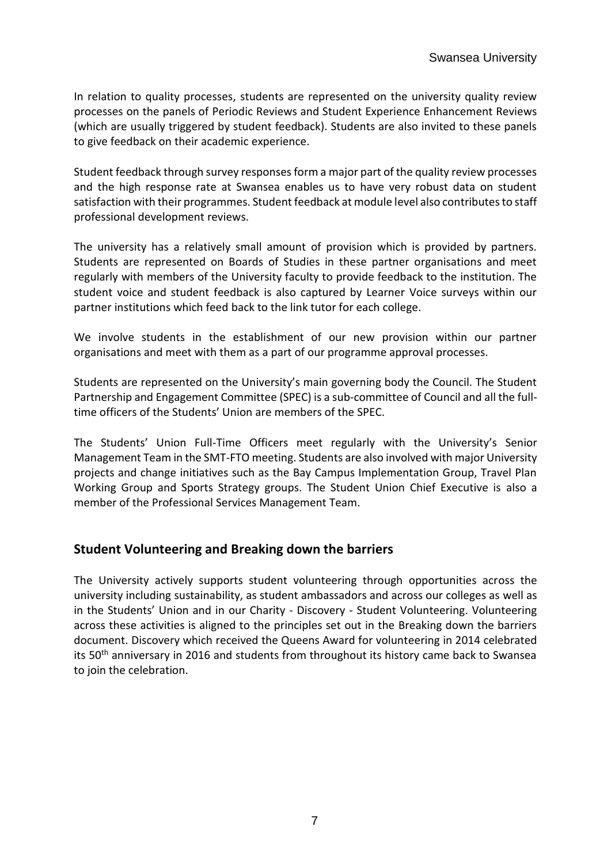In relation to quality processes, students are represented on the university quality review processes on the panels of Periodic Reviews and Student Experience Enhancement Reviews (which are usually triggered by student feedback). Students are also invited to these panels to give feedback on their academic experience.

Student feedback through survey responses form a major part of the quality review processes and the high response rate at Swansea enables us to have very robust data on student satisfaction with their programmes. Student feedback at module level also contributes to staff professional development reviews.

The university has a relatively small amount of provision which is provided by partners. Students are represented on Boards of Studies in these partner organisations and meet regularly with members of the University faculty to provide feedback to the institution. The student voice and student feedback is also captured by Learner Voice surveys within our partner institutions which feed back to the link tutor for each college.

We involve students in the establishment of our new provision within our partner organisations and meet with them as a part of our programme approval processes.

Students are represented on the University's main governing body the Council. The Student Partnership and Engagement Committee (SPEC) is a sub-committee of Council and all the fulltime officers of the Students' Union are members of the SPEC.

The Students' Union Full-Time Officers meet regularly with the University's Senior Management Team in the SMT-FTO meeting. Students are also involved with major University projects and change initiatives such as the Bay Campus Implementation Group, Travel Plan Working Group and Sports Strategy groups. The Student Union Chief Executive is also a member of the Professional Services Management Team.

#### **Student Volunteering and Breaking down the barriers**

The University actively supports student volunteering through opportunities across the university including sustainability, as student ambassadors and across our colleges as well as in the Students' Union and in our Charity - Discovery - Student Volunteering. Volunteering across these activities is aligned to the principles set out in the Breaking down the barriers document. Discovery which received the Queens Award for volunteering in 2014 celebrated its 50<sup>th</sup> anniversary in 2016 and students from throughout its history came back to Swansea to join the celebration.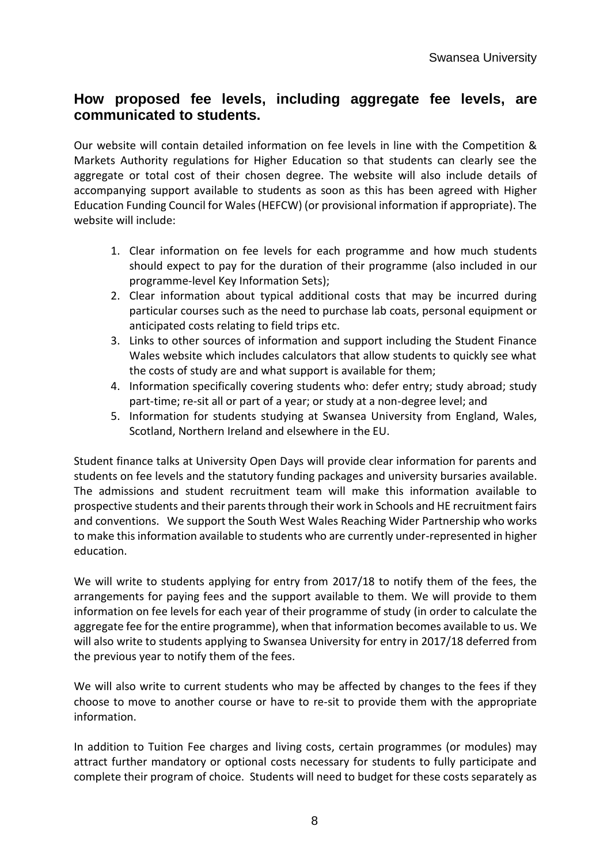## **How proposed fee levels, including aggregate fee levels, are communicated to students.**

Our website will contain detailed information on fee levels in line with the Competition & Markets Authority regulations for Higher Education so that students can clearly see the aggregate or total cost of their chosen degree. The website will also include details of accompanying support available to students as soon as this has been agreed with Higher Education Funding Council for Wales (HEFCW) (or provisional information if appropriate). The website will include:

- 1. Clear information on fee levels for each programme and how much students should expect to pay for the duration of their programme (also included in our programme-level Key Information Sets);
- 2. Clear information about typical additional costs that may be incurred during particular courses such as the need to purchase lab coats, personal equipment or anticipated costs relating to field trips etc.
- 3. Links to other sources of information and support including the Student Finance Wales website which includes calculators that allow students to quickly see what the costs of study are and what support is available for them;
- 4. Information specifically covering students who: defer entry; study abroad; study part-time; re-sit all or part of a year; or study at a non-degree level; and
- 5. Information for students studying at Swansea University from England, Wales, Scotland, Northern Ireland and elsewhere in the EU.

Student finance talks at University Open Days will provide clear information for parents and students on fee levels and the statutory funding packages and university bursaries available. The admissions and student recruitment team will make this information available to prospective students and their parents through their work in Schools and HE recruitment fairs and conventions. We support the South West Wales Reaching Wider Partnership who works to make this information available to students who are currently under-represented in higher education.

We will write to students applying for entry from 2017/18 to notify them of the fees, the arrangements for paying fees and the support available to them. We will provide to them information on fee levels for each year of their programme of study (in order to calculate the aggregate fee for the entire programme), when that information becomes available to us. We will also write to students applying to Swansea University for entry in 2017/18 deferred from the previous year to notify them of the fees.

We will also write to current students who may be affected by changes to the fees if they choose to move to another course or have to re-sit to provide them with the appropriate information.

In addition to Tuition Fee charges and living costs, certain programmes (or modules) may attract further mandatory or optional costs necessary for students to fully participate and complete their program of choice. Students will need to budget for these costs separately as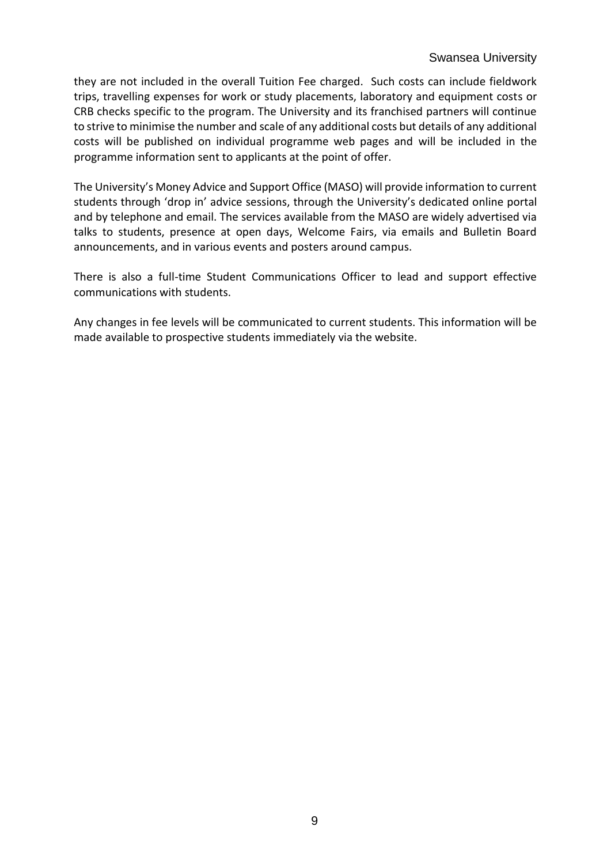they are not included in the overall Tuition Fee charged. Such costs can include fieldwork trips, travelling expenses for work or study placements, laboratory and equipment costs or CRB checks specific to the program. The University and its franchised partners will continue to strive to minimise the number and scale of any additional costs but details of any additional costs will be published on individual programme web pages and will be included in the programme information sent to applicants at the point of offer.

The University's Money Advice and Support Office (MASO) will provide information to current students through 'drop in' advice sessions, through the University's dedicated online portal and by telephone and email. The services available from the MASO are widely advertised via talks to students, presence at open days, Welcome Fairs, via emails and Bulletin Board announcements, and in various events and posters around campus.

There is also a full-time Student Communications Officer to lead and support effective communications with students.

Any changes in fee levels will be communicated to current students. This information will be made available to prospective students immediately via the website.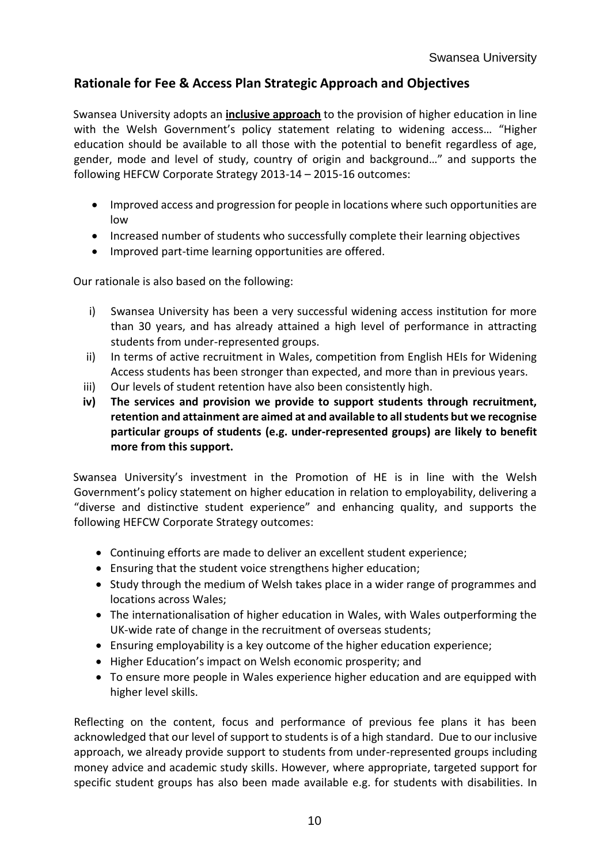### **Rationale for Fee & Access Plan Strategic Approach and Objectives**

Swansea University adopts an **inclusive approach** to the provision of higher education in line with the Welsh Government's policy statement relating to widening access... "Higher education should be available to all those with the potential to benefit regardless of age, gender, mode and level of study, country of origin and background…" and supports the following HEFCW Corporate Strategy 2013-14 – 2015-16 outcomes:

- Improved access and progression for people in locations where such opportunities are low
- Increased number of students who successfully complete their learning objectives
- Improved part-time learning opportunities are offered.

Our rationale is also based on the following:

- i) Swansea University has been a very successful widening access institution for more than 30 years, and has already attained a high level of performance in attracting students from under-represented groups.
- ii) In terms of active recruitment in Wales, competition from English HEIs for Widening Access students has been stronger than expected, and more than in previous years.
- iii) Our levels of student retention have also been consistently high.
- **iv) The services and provision we provide to support students through recruitment, retention and attainment are aimed at and available to all students but we recognise particular groups of students (e.g. under-represented groups) are likely to benefit more from this support.**

Swansea University's investment in the Promotion of HE is in line with the Welsh Government's policy statement on higher education in relation to employability, delivering a "diverse and distinctive student experience" and enhancing quality, and supports the following HEFCW Corporate Strategy outcomes:

- Continuing efforts are made to deliver an excellent student experience;
- Ensuring that the student voice strengthens higher education;
- Study through the medium of Welsh takes place in a wider range of programmes and locations across Wales;
- The internationalisation of higher education in Wales, with Wales outperforming the UK-wide rate of change in the recruitment of overseas students;
- Ensuring employability is a key outcome of the higher education experience;
- Higher Education's impact on Welsh economic prosperity; and
- To ensure more people in Wales experience higher education and are equipped with higher level skills.

Reflecting on the content, focus and performance of previous fee plans it has been acknowledged that our level of support to students is of a high standard. Due to our inclusive approach, we already provide support to students from under-represented groups including money advice and academic study skills. However, where appropriate, targeted support for specific student groups has also been made available e.g. for students with disabilities. In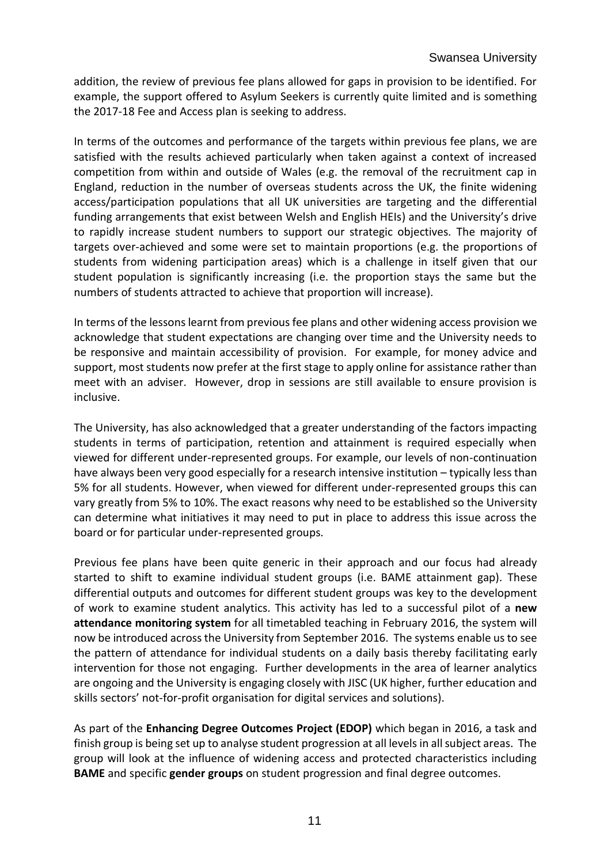addition, the review of previous fee plans allowed for gaps in provision to be identified. For example, the support offered to Asylum Seekers is currently quite limited and is something the 2017-18 Fee and Access plan is seeking to address.

In terms of the outcomes and performance of the targets within previous fee plans, we are satisfied with the results achieved particularly when taken against a context of increased competition from within and outside of Wales (e.g. the removal of the recruitment cap in England, reduction in the number of overseas students across the UK, the finite widening access/participation populations that all UK universities are targeting and the differential funding arrangements that exist between Welsh and English HEIs) and the University's drive to rapidly increase student numbers to support our strategic objectives. The majority of targets over-achieved and some were set to maintain proportions (e.g. the proportions of students from widening participation areas) which is a challenge in itself given that our student population is significantly increasing (i.e. the proportion stays the same but the numbers of students attracted to achieve that proportion will increase).

In terms of the lessons learnt from previous fee plans and other widening access provision we acknowledge that student expectations are changing over time and the University needs to be responsive and maintain accessibility of provision. For example, for money advice and support, most students now prefer at the first stage to apply online for assistance rather than meet with an adviser. However, drop in sessions are still available to ensure provision is inclusive.

The University, has also acknowledged that a greater understanding of the factors impacting students in terms of participation, retention and attainment is required especially when viewed for different under-represented groups. For example, our levels of non-continuation have always been very good especially for a research intensive institution – typically less than 5% for all students. However, when viewed for different under-represented groups this can vary greatly from 5% to 10%. The exact reasons why need to be established so the University can determine what initiatives it may need to put in place to address this issue across the board or for particular under-represented groups.

Previous fee plans have been quite generic in their approach and our focus had already started to shift to examine individual student groups (i.e. BAME attainment gap). These differential outputs and outcomes for different student groups was key to the development of work to examine student analytics. This activity has led to a successful pilot of a **new attendance monitoring system** for all timetabled teaching in February 2016, the system will now be introduced across the University from September 2016. The systems enable us to see the pattern of attendance for individual students on a daily basis thereby facilitating early intervention for those not engaging. Further developments in the area of learner analytics are ongoing and the University is engaging closely with JISC (UK higher, further education and skills sectors' not-for-profit organisation for digital services and solutions).

As part of the **Enhancing Degree Outcomes Project (EDOP)** which began in 2016, a task and finish group is being set up to analyse student progression at all levels in all subject areas. The group will look at the influence of widening access and protected characteristics including **BAME** and specific **gender groups** on student progression and final degree outcomes.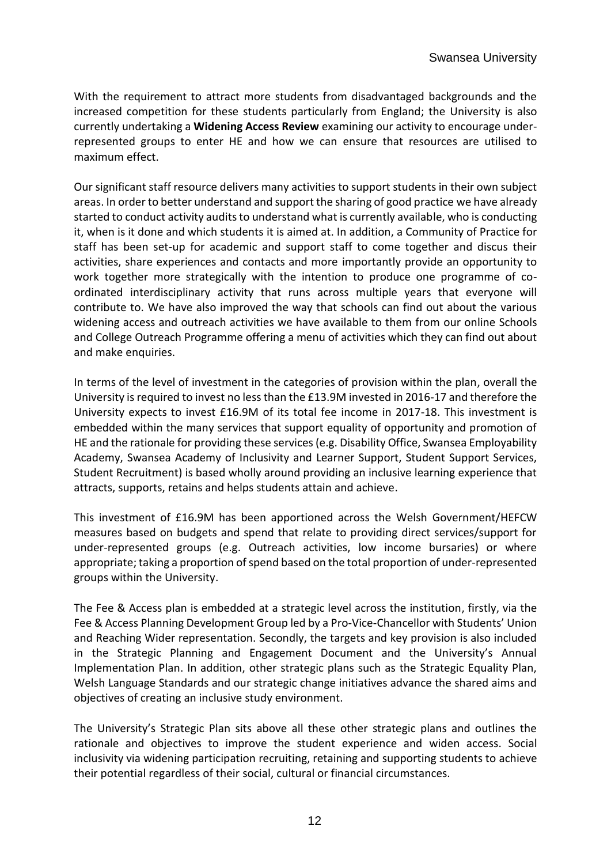With the requirement to attract more students from disadvantaged backgrounds and the increased competition for these students particularly from England; the University is also currently undertaking a **Widening Access Review** examining our activity to encourage underrepresented groups to enter HE and how we can ensure that resources are utilised to maximum effect.

Our significant staff resource delivers many activities to support students in their own subject areas. In order to better understand and support the sharing of good practice we have already started to conduct activity audits to understand what is currently available, who is conducting it, when is it done and which students it is aimed at. In addition, a Community of Practice for staff has been set-up for academic and support staff to come together and discus their activities, share experiences and contacts and more importantly provide an opportunity to work together more strategically with the intention to produce one programme of coordinated interdisciplinary activity that runs across multiple years that everyone will contribute to. We have also improved the way that schools can find out about the various widening access and outreach activities we have available to them from our online Schools and College Outreach Programme offering a menu of activities which they can find out about and make enquiries.

In terms of the level of investment in the categories of provision within the plan, overall the University is required to invest no less than the £13.9M invested in 2016-17 and therefore the University expects to invest £16.9M of its total fee income in 2017-18. This investment is embedded within the many services that support equality of opportunity and promotion of HE and the rationale for providing these services (e.g. Disability Office, Swansea Employability Academy, Swansea Academy of Inclusivity and Learner Support, Student Support Services, Student Recruitment) is based wholly around providing an inclusive learning experience that attracts, supports, retains and helps students attain and achieve.

This investment of £16.9M has been apportioned across the Welsh Government/HEFCW measures based on budgets and spend that relate to providing direct services/support for under-represented groups (e.g. Outreach activities, low income bursaries) or where appropriate; taking a proportion of spend based on the total proportion of under-represented groups within the University.

The Fee & Access plan is embedded at a strategic level across the institution, firstly, via the Fee & Access Planning Development Group led by a Pro-Vice-Chancellor with Students' Union and Reaching Wider representation. Secondly, the targets and key provision is also included in the Strategic Planning and Engagement Document and the University's Annual Implementation Plan. In addition, other strategic plans such as the Strategic Equality Plan, Welsh Language Standards and our strategic change initiatives advance the shared aims and objectives of creating an inclusive study environment.

The University's Strategic Plan sits above all these other strategic plans and outlines the rationale and objectives to improve the student experience and widen access. Social inclusivity via widening participation recruiting, retaining and supporting students to achieve their potential regardless of their social, cultural or financial circumstances.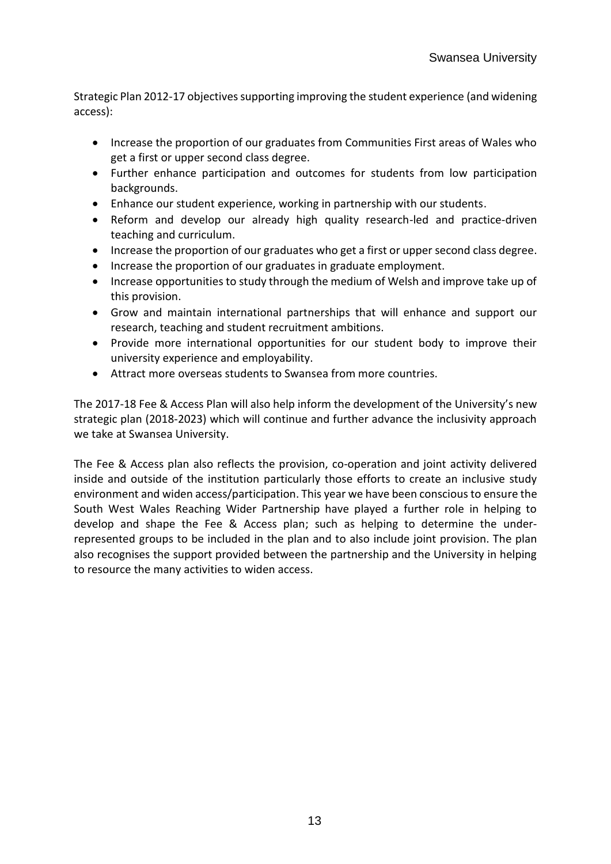Strategic Plan 2012-17 objectives supporting improving the student experience (and widening access):

- Increase the proportion of our graduates from Communities First areas of Wales who get a first or upper second class degree.
- Further enhance participation and outcomes for students from low participation backgrounds.
- Enhance our student experience, working in partnership with our students.
- Reform and develop our already high quality research-led and practice-driven teaching and curriculum.
- Increase the proportion of our graduates who get a first or upper second class degree.
- Increase the proportion of our graduates in graduate employment.
- Increase opportunities to study through the medium of Welsh and improve take up of this provision.
- Grow and maintain international partnerships that will enhance and support our research, teaching and student recruitment ambitions.
- Provide more international opportunities for our student body to improve their university experience and employability.
- Attract more overseas students to Swansea from more countries.

The 2017-18 Fee & Access Plan will also help inform the development of the University's new strategic plan (2018-2023) which will continue and further advance the inclusivity approach we take at Swansea University.

The Fee & Access plan also reflects the provision, co-operation and joint activity delivered inside and outside of the institution particularly those efforts to create an inclusive study environment and widen access/participation. This year we have been conscious to ensure the South West Wales Reaching Wider Partnership have played a further role in helping to develop and shape the Fee & Access plan; such as helping to determine the underrepresented groups to be included in the plan and to also include joint provision. The plan also recognises the support provided between the partnership and the University in helping to resource the many activities to widen access.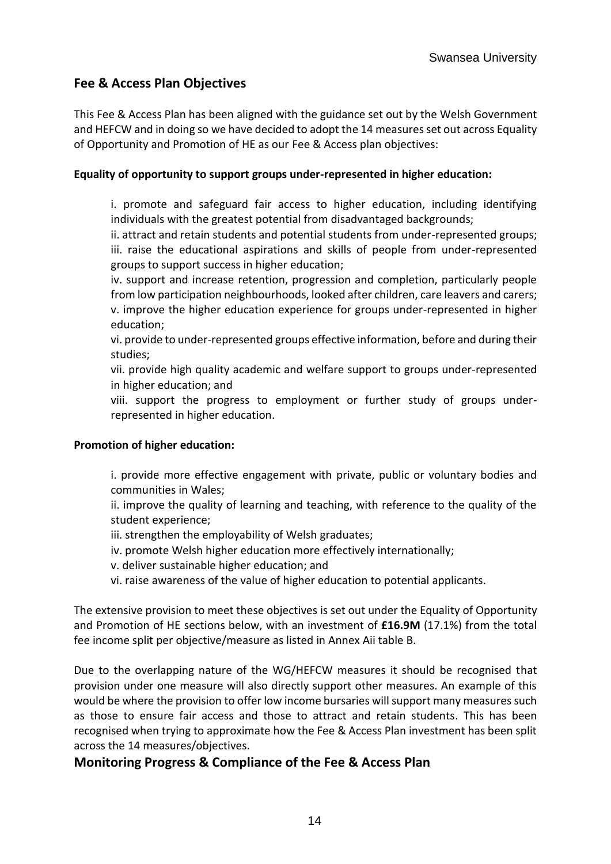#### **Fee & Access Plan Objectives**

This Fee & Access Plan has been aligned with the guidance set out by the Welsh Government and HEFCW and in doing so we have decided to adopt the 14 measures set out across Equality of Opportunity and Promotion of HE as our Fee & Access plan objectives:

#### **Equality of opportunity to support groups under-represented in higher education:**

i. promote and safeguard fair access to higher education, including identifying individuals with the greatest potential from disadvantaged backgrounds;

ii. attract and retain students and potential students from under-represented groups; iii. raise the educational aspirations and skills of people from under-represented groups to support success in higher education;

iv. support and increase retention, progression and completion, particularly people from low participation neighbourhoods, looked after children, care leavers and carers; v. improve the higher education experience for groups under-represented in higher education;

vi. provide to under-represented groups effective information, before and during their studies;

vii. provide high quality academic and welfare support to groups under-represented in higher education; and

viii. support the progress to employment or further study of groups underrepresented in higher education.

#### **Promotion of higher education:**

i. provide more effective engagement with private, public or voluntary bodies and communities in Wales;

ii. improve the quality of learning and teaching, with reference to the quality of the student experience;

iii. strengthen the employability of Welsh graduates;

iv. promote Welsh higher education more effectively internationally;

v. deliver sustainable higher education; and

vi. raise awareness of the value of higher education to potential applicants.

The extensive provision to meet these objectives is set out under the Equality of Opportunity and Promotion of HE sections below, with an investment of **£16.9M** (17.1%) from the total fee income split per objective/measure as listed in Annex Aii table B.

Due to the overlapping nature of the WG/HEFCW measures it should be recognised that provision under one measure will also directly support other measures. An example of this would be where the provision to offer low income bursaries will support many measures such as those to ensure fair access and those to attract and retain students. This has been recognised when trying to approximate how the Fee & Access Plan investment has been split across the 14 measures/objectives.

#### **Monitoring Progress & Compliance of the Fee & Access Plan**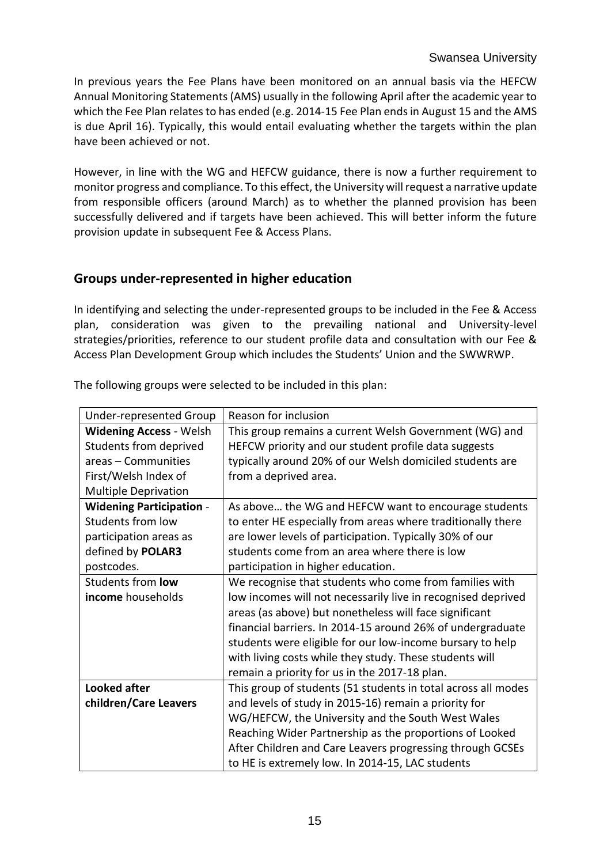In previous years the Fee Plans have been monitored on an annual basis via the HEFCW Annual Monitoring Statements (AMS) usually in the following April after the academic year to which the Fee Plan relates to has ended (e.g. 2014-15 Fee Plan ends in August 15 and the AMS is due April 16). Typically, this would entail evaluating whether the targets within the plan have been achieved or not.

However, in line with the WG and HEFCW guidance, there is now a further requirement to monitor progress and compliance. To this effect, the University will request a narrative update from responsible officers (around March) as to whether the planned provision has been successfully delivered and if targets have been achieved. This will better inform the future provision update in subsequent Fee & Access Plans.

#### **Groups under-represented in higher education**

In identifying and selecting the under-represented groups to be included in the Fee & Access plan, consideration was given to the prevailing national and University-level strategies/priorities, reference to our student profile data and consultation with our Fee & Access Plan Development Group which includes the Students' Union and the SWWRWP.

| The following groups were selected to be included in this plan: |
|-----------------------------------------------------------------|
|-----------------------------------------------------------------|

| Under-represented Group         | Reason for inclusion                                          |
|---------------------------------|---------------------------------------------------------------|
| <b>Widening Access - Welsh</b>  | This group remains a current Welsh Government (WG) and        |
| Students from deprived          | HEFCW priority and our student profile data suggests          |
| areas - Communities             | typically around 20% of our Welsh domiciled students are      |
| First/Welsh Index of            | from a deprived area.                                         |
| <b>Multiple Deprivation</b>     |                                                               |
| <b>Widening Participation -</b> | As above the WG and HEFCW want to encourage students          |
| Students from low               | to enter HE especially from areas where traditionally there   |
| participation areas as          | are lower levels of participation. Typically 30% of our       |
| defined by POLAR3               | students come from an area where there is low                 |
| postcodes.                      | participation in higher education.                            |
| Students from <b>low</b>        | We recognise that students who come from families with        |
| income households               | low incomes will not necessarily live in recognised deprived  |
|                                 | areas (as above) but nonetheless will face significant        |
|                                 | financial barriers. In 2014-15 around 26% of undergraduate    |
|                                 | students were eligible for our low-income bursary to help     |
|                                 | with living costs while they study. These students will       |
|                                 | remain a priority for us in the 2017-18 plan.                 |
| <b>Looked after</b>             | This group of students (51 students in total across all modes |
| children/Care Leavers           | and levels of study in 2015-16) remain a priority for         |
|                                 | WG/HEFCW, the University and the South West Wales             |
|                                 | Reaching Wider Partnership as the proportions of Looked       |
|                                 | After Children and Care Leavers progressing through GCSEs     |
|                                 | to HE is extremely low. In 2014-15, LAC students              |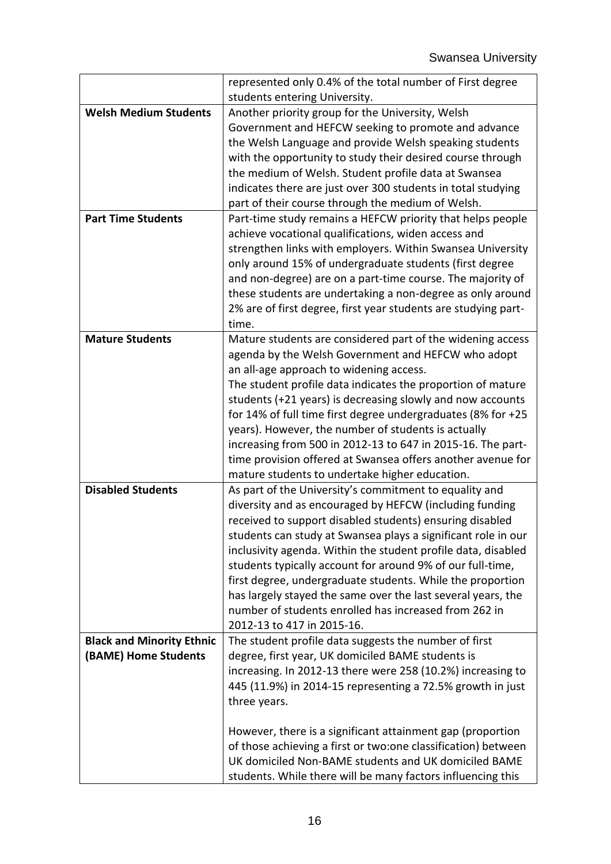|                                  | represented only 0.4% of the total number of First degree      |
|----------------------------------|----------------------------------------------------------------|
|                                  | students entering University.                                  |
| <b>Welsh Medium Students</b>     | Another priority group for the University, Welsh               |
|                                  | Government and HEFCW seeking to promote and advance            |
|                                  | the Welsh Language and provide Welsh speaking students         |
|                                  | with the opportunity to study their desired course through     |
|                                  | the medium of Welsh. Student profile data at Swansea           |
|                                  | indicates there are just over 300 students in total studying   |
|                                  | part of their course through the medium of Welsh.              |
| <b>Part Time Students</b>        | Part-time study remains a HEFCW priority that helps people     |
|                                  | achieve vocational qualifications, widen access and            |
|                                  | strengthen links with employers. Within Swansea University     |
|                                  | only around 15% of undergraduate students (first degree        |
|                                  | and non-degree) are on a part-time course. The majority of     |
|                                  | these students are undertaking a non-degree as only around     |
|                                  | 2% are of first degree, first year students are studying part- |
|                                  | time.                                                          |
| <b>Mature Students</b>           | Mature students are considered part of the widening access     |
|                                  | agenda by the Welsh Government and HEFCW who adopt             |
|                                  | an all-age approach to widening access.                        |
|                                  | The student profile data indicates the proportion of mature    |
|                                  | students (+21 years) is decreasing slowly and now accounts     |
|                                  | for 14% of full time first degree undergraduates (8% for +25   |
|                                  | years). However, the number of students is actually            |
|                                  | increasing from 500 in 2012-13 to 647 in 2015-16. The part-    |
|                                  | time provision offered at Swansea offers another avenue for    |
|                                  | mature students to undertake higher education.                 |
| <b>Disabled Students</b>         | As part of the University's commitment to equality and         |
|                                  | diversity and as encouraged by HEFCW (including funding        |
|                                  | received to support disabled students) ensuring disabled       |
|                                  | students can study at Swansea plays a significant role in our  |
|                                  | inclusivity agenda. Within the student profile data, disabled  |
|                                  | students typically account for around 9% of our full-time,     |
|                                  | first degree, undergraduate students. While the proportion     |
|                                  | has largely stayed the same over the last several years, the   |
|                                  | number of students enrolled has increased from 262 in          |
|                                  | 2012-13 to 417 in 2015-16.                                     |
| <b>Black and Minority Ethnic</b> | The student profile data suggests the number of first          |
| (BAME) Home Students             | degree, first year, UK domiciled BAME students is              |
|                                  | increasing. In 2012-13 there were 258 (10.2%) increasing to    |
|                                  | 445 (11.9%) in 2014-15 representing a 72.5% growth in just     |
|                                  | three years.                                                   |
|                                  |                                                                |
|                                  | However, there is a significant attainment gap (proportion     |
|                                  | of those achieving a first or two: one classification) between |
|                                  | UK domiciled Non-BAME students and UK domiciled BAME           |
|                                  | students. While there will be many factors influencing this    |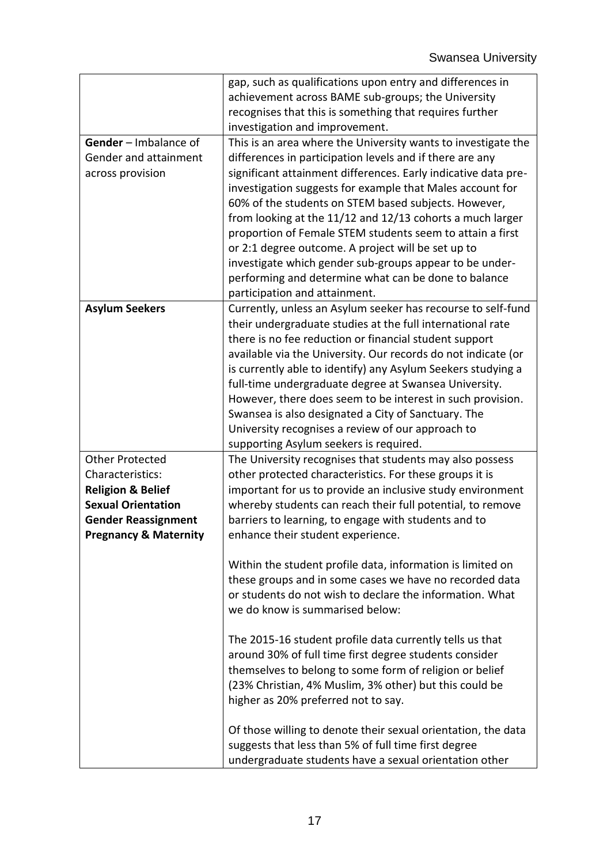|                                  | gap, such as qualifications upon entry and differences in      |
|----------------------------------|----------------------------------------------------------------|
|                                  | achievement across BAME sub-groups; the University             |
|                                  | recognises that this is something that requires further        |
|                                  | investigation and improvement.                                 |
| Gender - Imbalance of            | This is an area where the University wants to investigate the  |
| Gender and attainment            | differences in participation levels and if there are any       |
| across provision                 | significant attainment differences. Early indicative data pre- |
|                                  | investigation suggests for example that Males account for      |
|                                  | 60% of the students on STEM based subjects. However,           |
|                                  | from looking at the 11/12 and 12/13 cohorts a much larger      |
|                                  | proportion of Female STEM students seem to attain a first      |
|                                  | or 2:1 degree outcome. A project will be set up to             |
|                                  | investigate which gender sub-groups appear to be under-        |
|                                  | performing and determine what can be done to balance           |
|                                  | participation and attainment.                                  |
| <b>Asylum Seekers</b>            | Currently, unless an Asylum seeker has recourse to self-fund   |
|                                  | their undergraduate studies at the full international rate     |
|                                  | there is no fee reduction or financial student support         |
|                                  | available via the University. Our records do not indicate (or  |
|                                  | is currently able to identify) any Asylum Seekers studying a   |
|                                  | full-time undergraduate degree at Swansea University.          |
|                                  | However, there does seem to be interest in such provision.     |
|                                  | Swansea is also designated a City of Sanctuary. The            |
|                                  | University recognises a review of our approach to              |
|                                  | supporting Asylum seekers is required.                         |
| <b>Other Protected</b>           | The University recognises that students may also possess       |
| Characteristics:                 | other protected characteristics. For these groups it is        |
| <b>Religion &amp; Belief</b>     | important for us to provide an inclusive study environment     |
| <b>Sexual Orientation</b>        | whereby students can reach their full potential, to remove     |
| <b>Gender Reassignment</b>       | barriers to learning, to engage with students and to           |
| <b>Pregnancy &amp; Maternity</b> | enhance their student experience.                              |
|                                  |                                                                |
|                                  | Within the student profile data, information is limited on     |
|                                  | these groups and in some cases we have no recorded data        |
|                                  | or students do not wish to declare the information. What       |
|                                  | we do know is summarised below:                                |
|                                  | The 2015-16 student profile data currently tells us that       |
|                                  | around 30% of full time first degree students consider         |
|                                  | themselves to belong to some form of religion or belief        |
|                                  | (23% Christian, 4% Muslim, 3% other) but this could be         |
|                                  | higher as 20% preferred not to say.                            |
|                                  |                                                                |
|                                  | Of those willing to denote their sexual orientation, the data  |
|                                  | suggests that less than 5% of full time first degree           |
|                                  | undergraduate students have a sexual orientation other         |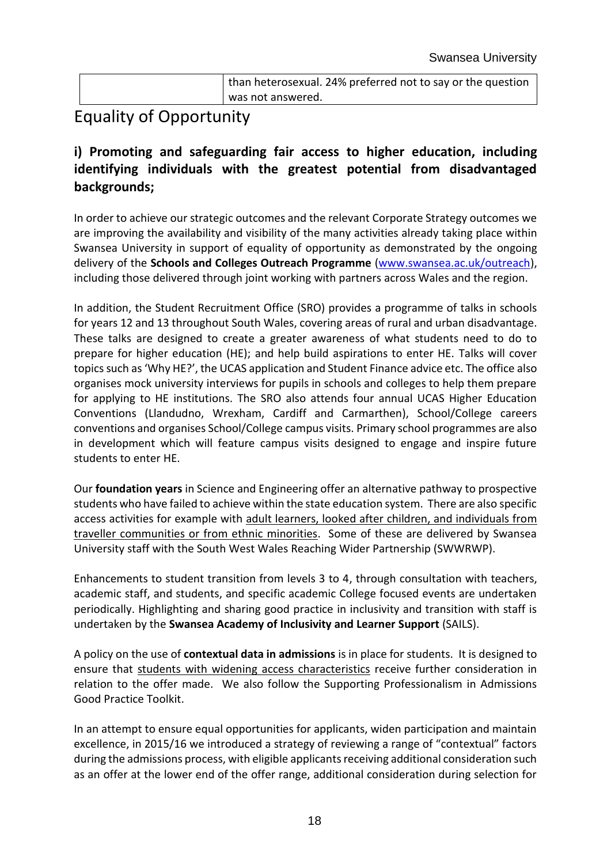| than heterosexual. 24% preferred not to say or the question |
|-------------------------------------------------------------|
| was not answered.                                           |

## Equality of Opportunity

## **i) Promoting and safeguarding fair access to higher education, including identifying individuals with the greatest potential from disadvantaged backgrounds;**

In order to achieve our strategic outcomes and the relevant Corporate Strategy outcomes we are improving the availability and visibility of the many activities already taking place within Swansea University in support of equality of opportunity as demonstrated by the ongoing delivery of the **Schools and Colleges Outreach Programme** [\(www.swansea.ac.uk/outreach\)](http://www.swansea.ac.uk/outreach), including those delivered through joint working with partners across Wales and the region.

In addition, the Student Recruitment Office (SRO) provides a programme of talks in schools for years 12 and 13 throughout South Wales, covering areas of rural and urban disadvantage. These talks are designed to create a greater awareness of what students need to do to prepare for higher education (HE); and help build aspirations to enter HE. Talks will cover topics such as 'Why HE?', the UCAS application and Student Finance advice etc. The office also organises mock university interviews for pupils in schools and colleges to help them prepare for applying to HE institutions. The SRO also attends four annual UCAS Higher Education Conventions (Llandudno, Wrexham, Cardiff and Carmarthen), School/College careers conventions and organises School/College campus visits. Primary school programmes are also in development which will feature campus visits designed to engage and inspire future students to enter HE.

Our **foundation years** in Science and Engineering offer an alternative pathway to prospective students who have failed to achieve within the state education system. There are also specific access activities for example with adult learners, looked after children, and individuals from traveller communities or from ethnic minorities. Some of these are delivered by Swansea University staff with the South West Wales Reaching Wider Partnership (SWWRWP).

Enhancements to student transition from levels 3 to 4, through consultation with teachers, academic staff, and students, and specific academic College focused events are undertaken periodically. Highlighting and sharing good practice in inclusivity and transition with staff is undertaken by the **Swansea Academy of Inclusivity and Learner Support** (SAILS).

A policy on the use of **contextual data in admissions** is in place for students. It is designed to ensure that students with widening access characteristics receive further consideration in relation to the offer made. We also follow the Supporting Professionalism in Admissions Good Practice Toolkit.

In an attempt to ensure equal opportunities for applicants, widen participation and maintain excellence, in 2015/16 we introduced a strategy of reviewing a range of "contextual" factors during the admissions process, with eligible applicants receiving additional consideration such as an offer at the lower end of the offer range, additional consideration during selection for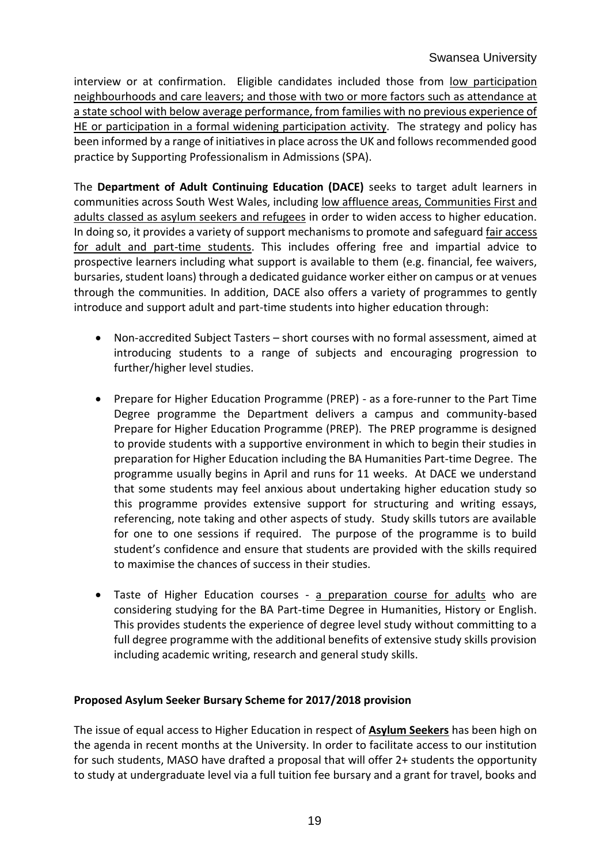interview or at confirmation. Eligible candidates included those from low participation neighbourhoods and care leavers; and those with two or more factors such as attendance at a state school with below average performance, from families with no previous experience of HE or participation in a formal widening participation activity. The strategy and policy has been informed by a range of initiatives in place across the UK and follows recommended good practice by Supporting Professionalism in Admissions (SPA).

The **Department of Adult Continuing Education (DACE)** seeks to target adult learners in communities across South West Wales, including low affluence areas, Communities First and adults classed as asylum seekers and refugees in order to widen access to higher education. In doing so, it provides a variety of support mechanisms to promote and safeguard fair access for adult and part-time students. This includes offering free and impartial advice to prospective learners including what support is available to them (e.g. financial, fee waivers, bursaries, student loans) through a dedicated guidance worker either on campus or at venues through the communities. In addition, DACE also offers a variety of programmes to gently introduce and support adult and part-time students into higher education through:

- Non-accredited Subject Tasters short courses with no formal assessment, aimed at introducing students to a range of subjects and encouraging progression to further/higher level studies.
- Prepare for Higher Education Programme (PREP) as a fore-runner to the Part Time Degree programme the Department delivers a campus and community-based Prepare for Higher Education Programme (PREP). The PREP programme is designed to provide students with a supportive environment in which to begin their studies in preparation for Higher Education including the BA Humanities Part-time Degree. The programme usually begins in April and runs for 11 weeks. At DACE we understand that some students may feel anxious about undertaking higher education study so this programme provides extensive support for structuring and writing essays, referencing, note taking and other aspects of study. Study skills tutors are available for one to one sessions if required. The purpose of the programme is to build student's confidence and ensure that students are provided with the skills required to maximise the chances of success in their studies.
- Taste of Higher Education courses a preparation course for adults who are considering studying for the BA Part-time Degree in Humanities, History or English. This provides students the experience of degree level study without committing to a full degree programme with the additional benefits of extensive study skills provision including academic writing, research and general study skills.

#### **Proposed Asylum Seeker Bursary Scheme for 2017/2018 provision**

The issue of equal access to Higher Education in respect of **Asylum Seekers** has been high on the agenda in recent months at the University. In order to facilitate access to our institution for such students, MASO have drafted a proposal that will offer 2+ students the opportunity to study at undergraduate level via a full tuition fee bursary and a grant for travel, books and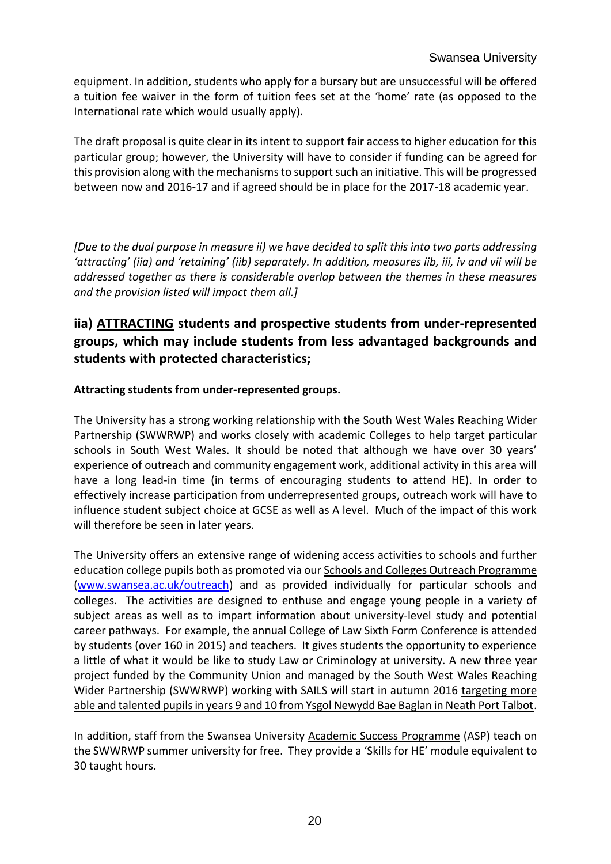equipment. In addition, students who apply for a bursary but are unsuccessful will be offered a tuition fee waiver in the form of tuition fees set at the 'home' rate (as opposed to the International rate which would usually apply).

The draft proposal is quite clear in its intent to support fair access to higher education for this particular group; however, the University will have to consider if funding can be agreed for this provision along with the mechanisms to support such an initiative. This will be progressed between now and 2016-17 and if agreed should be in place for the 2017-18 academic year.

*[Due to the dual purpose in measure ii) we have decided to split this into two parts addressing 'attracting' (iia) and 'retaining' (iib) separately. In addition, measures iib, iii, iv and vii will be addressed together as there is considerable overlap between the themes in these measures and the provision listed will impact them all.]*

## **iia) ATTRACTING students and prospective students from under-represented groups, which may include students from less advantaged backgrounds and students with protected characteristics;**

#### **Attracting students from under-represented groups.**

The University has a strong working relationship with the South West Wales Reaching Wider Partnership (SWWRWP) and works closely with academic Colleges to help target particular schools in South West Wales. It should be noted that although we have over 30 years' experience of outreach and community engagement work, additional activity in this area will have a long lead-in time (in terms of encouraging students to attend HE). In order to effectively increase participation from underrepresented groups, outreach work will have to influence student subject choice at GCSE as well as A level. Much of the impact of this work will therefore be seen in later years.

The University offers an extensive range of widening access activities to schools and further education college pupils both as promoted via our Schools and Colleges Outreach Programme [\(www.swansea.ac.uk/outreach\)](http://www.swansea.ac.uk/outreach) and as provided individually for particular schools and colleges. The activities are designed to enthuse and engage young people in a variety of subject areas as well as to impart information about university-level study and potential career pathways. For example, the annual College of Law Sixth Form Conference is attended by students (over 160 in 2015) and teachers. It gives students the opportunity to experience a little of what it would be like to study Law or Criminology at university. A new three year project funded by the Community Union and managed by the South West Wales Reaching Wider Partnership (SWWRWP) working with SAILS will start in autumn 2016 targeting more able and talented pupils in years 9 and 10 from Ysgol Newydd Bae Baglan in Neath Port Talbot.

In addition, staff from the Swansea University Academic Success Programme (ASP) teach on the SWWRWP summer university for free. They provide a 'Skills for HE' module equivalent to 30 taught hours.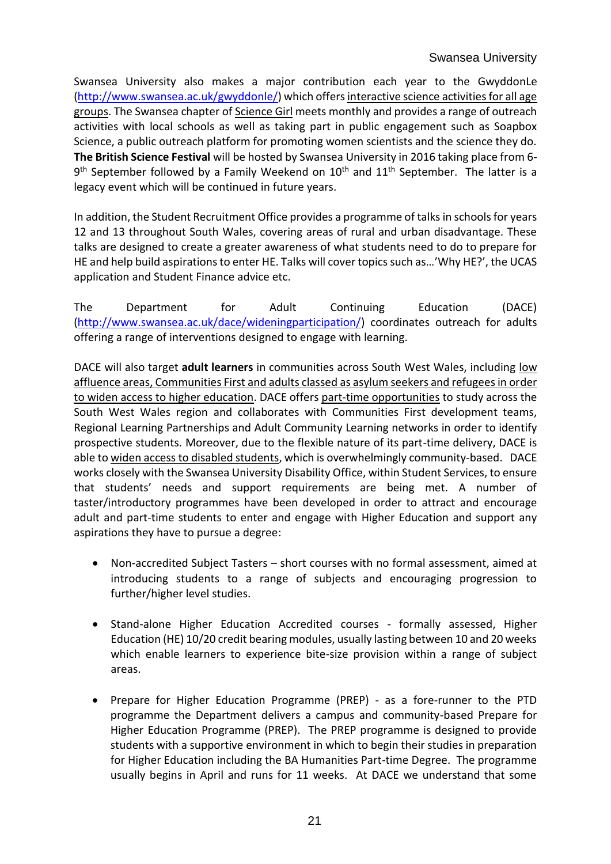Swansea University also makes a major contribution each year to the GwyddonLe [\(http://www.swansea.ac.uk/gwyddonle/\)](http://www.swansea.ac.uk/gwyddonle/) which offersinteractive science activities for all age groups. The Swansea chapter of Science Girl meets monthly and provides a range of outreach activities with local schools as well as taking part in public engagement such as Soapbox Science, a public outreach platform for promoting women scientists and the science they do. **The British Science Festival** will be hosted by Swansea University in 2016 taking place from 6-  $9<sup>th</sup>$  September followed by a Family Weekend on  $10<sup>th</sup>$  and  $11<sup>th</sup>$  September. The latter is a legacy event which will be continued in future years.

In addition, the Student Recruitment Office provides a programme of talks in schools for years 12 and 13 throughout South Wales, covering areas of rural and urban disadvantage. These talks are designed to create a greater awareness of what students need to do to prepare for HE and help build aspirations to enter HE. Talks will cover topics such as…'Why HE?', the UCAS application and Student Finance advice etc.

The Department for Adult Continuing Education (DACE) [\(http://www.swansea.ac.uk/dace/wideningparticipation/\)](http://www.swansea.ac.uk/dace/wideningparticipation/) coordinates outreach for adults offering a range of interventions designed to engage with learning.

DACE will also target **adult learners** in communities across South West Wales, including low affluence areas, Communities First and adults classed as asylum seekers and refugees in order to widen access to higher education. DACE offers part-time opportunities to study across the South West Wales region and collaborates with Communities First development teams, Regional Learning Partnerships and Adult Community Learning networks in order to identify prospective students. Moreover, due to the flexible nature of its part-time delivery, DACE is able to widen access to disabled students, which is overwhelmingly community-based. DACE works closely with the Swansea University Disability Office, within Student Services, to ensure that students' needs and support requirements are being met. A number of taster/introductory programmes have been developed in order to attract and encourage adult and part-time students to enter and engage with Higher Education and support any aspirations they have to pursue a degree:

- Non-accredited Subject Tasters short courses with no formal assessment, aimed at introducing students to a range of subjects and encouraging progression to further/higher level studies.
- Stand-alone Higher Education Accredited courses formally assessed, Higher Education (HE) 10/20 credit bearing modules, usually lasting between 10 and 20 weeks which enable learners to experience bite-size provision within a range of subject areas.
- Prepare for Higher Education Programme (PREP) as a fore-runner to the PTD programme the Department delivers a campus and community-based Prepare for Higher Education Programme (PREP). The PREP programme is designed to provide students with a supportive environment in which to begin their studies in preparation for Higher Education including the BA Humanities Part-time Degree. The programme usually begins in April and runs for 11 weeks. At DACE we understand that some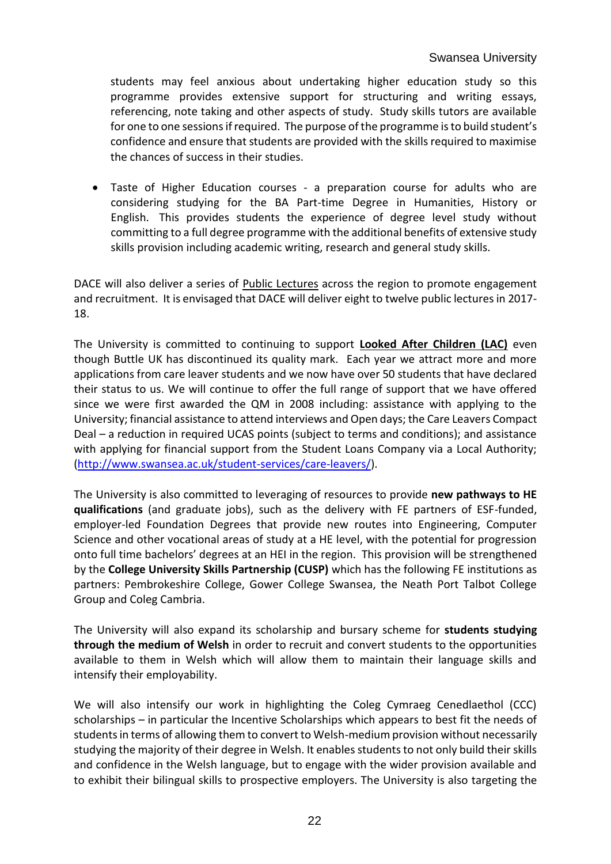students may feel anxious about undertaking higher education study so this programme provides extensive support for structuring and writing essays, referencing, note taking and other aspects of study. Study skills tutors are available for one to one sessions if required. The purpose of the programme is to build student's confidence and ensure that students are provided with the skills required to maximise the chances of success in their studies.

 Taste of Higher Education courses - a preparation course for adults who are considering studying for the BA Part-time Degree in Humanities, History or English. This provides students the experience of degree level study without committing to a full degree programme with the additional benefits of extensive study skills provision including academic writing, research and general study skills.

DACE will also deliver a series of Public Lectures across the region to promote engagement and recruitment. It is envisaged that DACE will deliver eight to twelve public lectures in 2017- 18.

The University is committed to continuing to support **Looked After Children (LAC)** even though Buttle UK has discontinued its quality mark. Each year we attract more and more applications from care leaver students and we now have over 50 students that have declared their status to us. We will continue to offer the full range of support that we have offered since we were first awarded the QM in 2008 including: assistance with applying to the University; financial assistance to attend interviews and Open days; the Care Leavers Compact Deal – a reduction in required UCAS points (subject to terms and conditions); and assistance with applying for financial support from the Student Loans Company via a Local Authority; [\(http://www.swansea.ac.uk/student-services/care-leavers/\)](http://www.swansea.ac.uk/student-services/care-leavers/).

The University is also committed to leveraging of resources to provide **new pathways to HE qualifications** (and graduate jobs), such as the delivery with FE partners of ESF-funded, employer-led Foundation Degrees that provide new routes into Engineering, Computer Science and other vocational areas of study at a HE level, with the potential for progression onto full time bachelors' degrees at an HEI in the region. This provision will be strengthened by the **College University Skills Partnership (CUSP)** which has the following FE institutions as partners: Pembrokeshire College, Gower College Swansea, the Neath Port Talbot College Group and Coleg Cambria.

The University will also expand its scholarship and bursary scheme for **students studying through the medium of Welsh** in order to recruit and convert students to the opportunities available to them in Welsh which will allow them to maintain their language skills and intensify their employability.

We will also intensify our work in highlighting the Coleg Cymraeg Cenedlaethol (CCC) scholarships – in particular the Incentive Scholarships which appears to best fit the needs of students in terms of allowing them to convert to Welsh-medium provision without necessarily studying the majority of their degree in Welsh. It enables students to not only build their skills and confidence in the Welsh language, but to engage with the wider provision available and to exhibit their bilingual skills to prospective employers. The University is also targeting the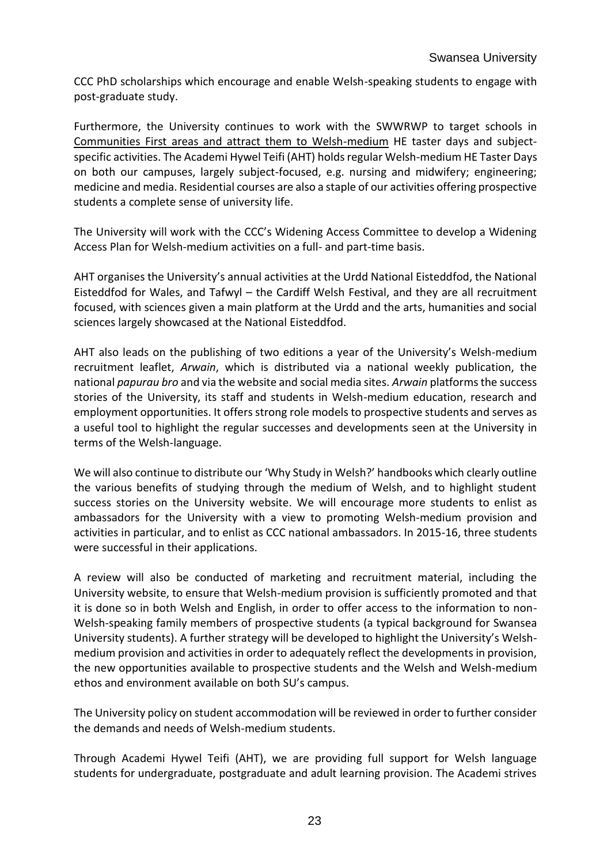CCC PhD scholarships which encourage and enable Welsh-speaking students to engage with post-graduate study.

Furthermore, the University continues to work with the SWWRWP to target schools in Communities First areas and attract them to Welsh-medium HE taster days and subjectspecific activities. The Academi Hywel Teifi (AHT) holds regular Welsh-medium HE Taster Days on both our campuses, largely subject-focused, e.g. nursing and midwifery; engineering; medicine and media. Residential courses are also a staple of our activities offering prospective students a complete sense of university life.

The University will work with the CCC's Widening Access Committee to develop a Widening Access Plan for Welsh-medium activities on a full- and part-time basis.

AHT organises the University's annual activities at the Urdd National Eisteddfod, the National Eisteddfod for Wales, and Tafwyl – the Cardiff Welsh Festival, and they are all recruitment focused, with sciences given a main platform at the Urdd and the arts, humanities and social sciences largely showcased at the National Eisteddfod.

AHT also leads on the publishing of two editions a year of the University's Welsh-medium recruitment leaflet, *Arwain*, which is distributed via a national weekly publication, the national *papurau bro* and via the website and social media sites. *Arwain* platforms the success stories of the University, its staff and students in Welsh-medium education, research and employment opportunities. It offers strong role models to prospective students and serves as a useful tool to highlight the regular successes and developments seen at the University in terms of the Welsh-language.

We will also continue to distribute our 'Why Study in Welsh?' handbooks which clearly outline the various benefits of studying through the medium of Welsh, and to highlight student success stories on the University website. We will encourage more students to enlist as ambassadors for the University with a view to promoting Welsh-medium provision and activities in particular, and to enlist as CCC national ambassadors. In 2015-16, three students were successful in their applications.

A review will also be conducted of marketing and recruitment material, including the University website, to ensure that Welsh-medium provision is sufficiently promoted and that it is done so in both Welsh and English, in order to offer access to the information to non-Welsh-speaking family members of prospective students (a typical background for Swansea University students). A further strategy will be developed to highlight the University's Welshmedium provision and activities in order to adequately reflect the developments in provision, the new opportunities available to prospective students and the Welsh and Welsh-medium ethos and environment available on both SU's campus.

The University policy on student accommodation will be reviewed in order to further consider the demands and needs of Welsh-medium students.

Through Academi Hywel Teifi (AHT), we are providing full support for Welsh language students for undergraduate, postgraduate and adult learning provision. The Academi strives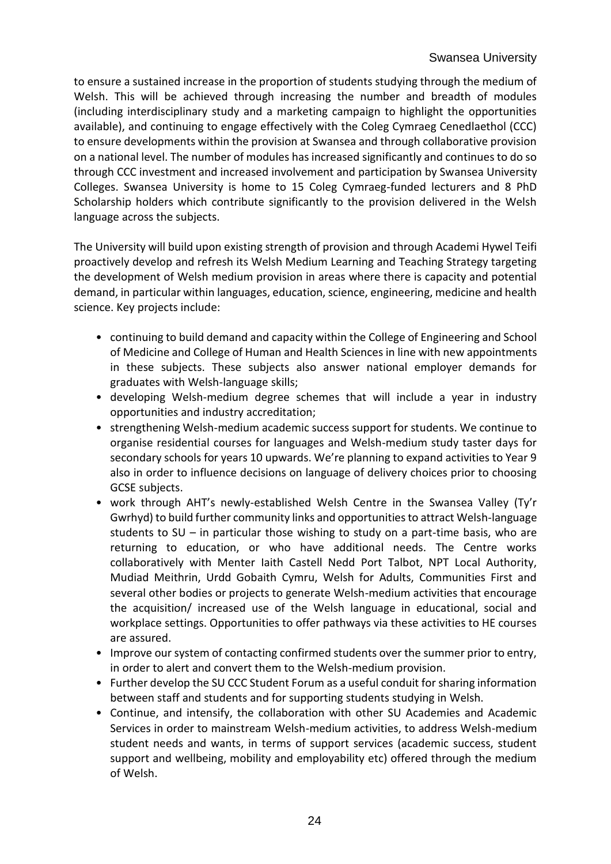to ensure a sustained increase in the proportion of students studying through the medium of Welsh. This will be achieved through increasing the number and breadth of modules (including interdisciplinary study and a marketing campaign to highlight the opportunities available), and continuing to engage effectively with the Coleg Cymraeg Cenedlaethol (CCC) to ensure developments within the provision at Swansea and through collaborative provision on a national level. The number of modules has increased significantly and continues to do so through CCC investment and increased involvement and participation by Swansea University Colleges. Swansea University is home to 15 Coleg Cymraeg-funded lecturers and 8 PhD Scholarship holders which contribute significantly to the provision delivered in the Welsh language across the subjects.

The University will build upon existing strength of provision and through Academi Hywel Teifi proactively develop and refresh its Welsh Medium Learning and Teaching Strategy targeting the development of Welsh medium provision in areas where there is capacity and potential demand, in particular within languages, education, science, engineering, medicine and health science. Key projects include:

- continuing to build demand and capacity within the College of Engineering and School of Medicine and College of Human and Health Sciences in line with new appointments in these subjects. These subjects also answer national employer demands for graduates with Welsh-language skills;
- developing Welsh-medium degree schemes that will include a year in industry opportunities and industry accreditation;
- strengthening Welsh-medium academic success support for students. We continue to organise residential courses for languages and Welsh-medium study taster days for secondary schools for years 10 upwards. We're planning to expand activities to Year 9 also in order to influence decisions on language of delivery choices prior to choosing GCSE subjects.
- work through AHT's newly-established Welsh Centre in the Swansea Valley (Ty'r Gwrhyd) to build further community links and opportunities to attract Welsh-language students to SU – in particular those wishing to study on a part-time basis, who are returning to education, or who have additional needs. The Centre works collaboratively with Menter Iaith Castell Nedd Port Talbot, NPT Local Authority, Mudiad Meithrin, Urdd Gobaith Cymru, Welsh for Adults, Communities First and several other bodies or projects to generate Welsh-medium activities that encourage the acquisition/ increased use of the Welsh language in educational, social and workplace settings. Opportunities to offer pathways via these activities to HE courses are assured.
- Improve our system of contacting confirmed students over the summer prior to entry, in order to alert and convert them to the Welsh-medium provision.
- Further develop the SU CCC Student Forum as a useful conduit for sharing information between staff and students and for supporting students studying in Welsh.
- Continue, and intensify, the collaboration with other SU Academies and Academic Services in order to mainstream Welsh-medium activities, to address Welsh-medium student needs and wants, in terms of support services (academic success, student support and wellbeing, mobility and employability etc) offered through the medium of Welsh.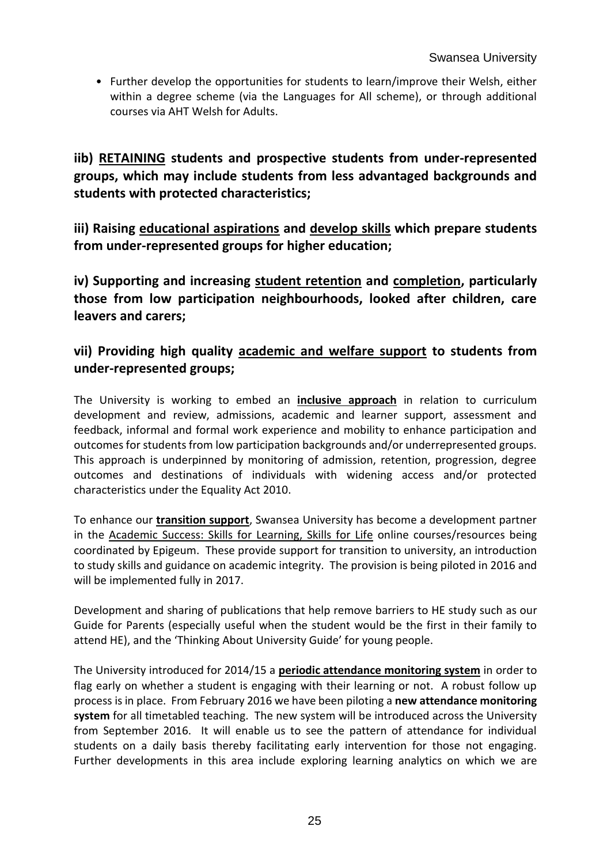• Further develop the opportunities for students to learn/improve their Welsh, either within a degree scheme (via the Languages for All scheme), or through additional courses via AHT Welsh for Adults.

**iib) RETAINING students and prospective students from under-represented groups, which may include students from less advantaged backgrounds and students with protected characteristics;**

**iii) Raising educational aspirations and develop skills which prepare students from under-represented groups for higher education;**

**iv) Supporting and increasing student retention and completion, particularly those from low participation neighbourhoods, looked after children, care leavers and carers;**

## **vii) Providing high quality academic and welfare support to students from under-represented groups;**

The University is working to embed an **inclusive approach** in relation to curriculum development and review, admissions, academic and learner support, assessment and feedback, informal and formal work experience and mobility to enhance participation and outcomes for students from low participation backgrounds and/or underrepresented groups. This approach is underpinned by monitoring of admission, retention, progression, degree outcomes and destinations of individuals with widening access and/or protected characteristics under the Equality Act 2010.

To enhance our **transition support**, Swansea University has become a development partner in the Academic Success: Skills for Learning, Skills for Life online courses/resources being coordinated by Epigeum. These provide support for transition to university, an introduction to study skills and guidance on academic integrity. The provision is being piloted in 2016 and will be implemented fully in 2017.

Development and sharing of publications that help remove barriers to HE study such as our Guide for Parents (especially useful when the student would be the first in their family to attend HE), and the 'Thinking About University Guide' for young people.

The University introduced for 2014/15 a **periodic attendance monitoring system** in order to flag early on whether a student is engaging with their learning or not. A robust follow up process is in place. From February 2016 we have been piloting a **new attendance monitoring system** for all timetabled teaching. The new system will be introduced across the University from September 2016. It will enable us to see the pattern of attendance for individual students on a daily basis thereby facilitating early intervention for those not engaging. Further developments in this area include exploring learning analytics on which we are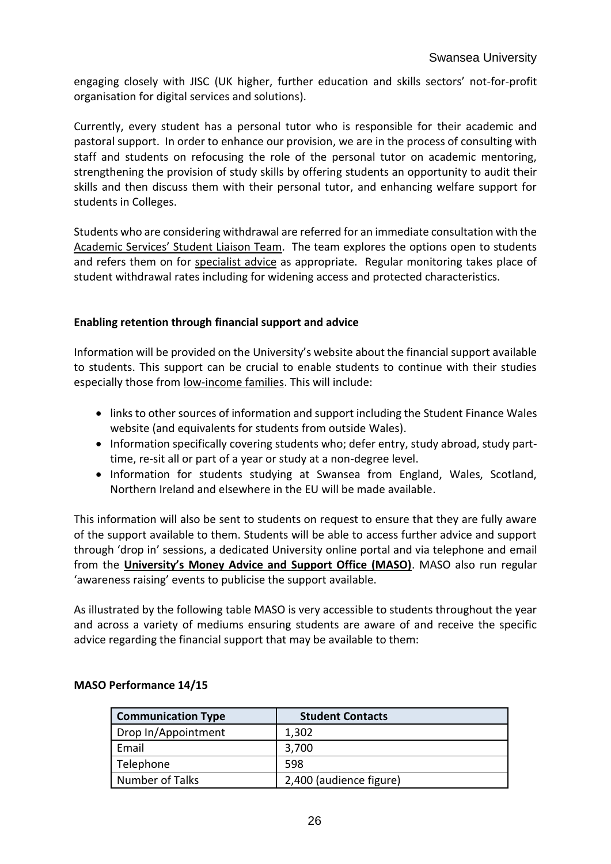engaging closely with JISC (UK higher, further education and skills sectors' not-for-profit organisation for digital services and solutions).

Currently, every student has a personal tutor who is responsible for their academic and pastoral support. In order to enhance our provision, we are in the process of consulting with staff and students on refocusing the role of the personal tutor on academic mentoring, strengthening the provision of study skills by offering students an opportunity to audit their skills and then discuss them with their personal tutor, and enhancing welfare support for students in Colleges.

Students who are considering withdrawal are referred for an immediate consultation with the Academic Services' Student Liaison Team. The team explores the options open to students and refers them on for specialist advice as appropriate. Regular monitoring takes place of student withdrawal rates including for widening access and protected characteristics.

#### **Enabling retention through financial support and advice**

Information will be provided on the University's website about the financial support available to students. This support can be crucial to enable students to continue with their studies especially those from low-income families. This will include:

- links to other sources of information and support including the Student Finance Wales website (and equivalents for students from outside Wales).
- Information specifically covering students who; defer entry, study abroad, study parttime, re-sit all or part of a year or study at a non-degree level.
- Information for students studying at Swansea from England, Wales, Scotland, Northern Ireland and elsewhere in the EU will be made available.

This information will also be sent to students on request to ensure that they are fully aware of the support available to them. Students will be able to access further advice and support through 'drop in' sessions, a dedicated University online portal and via telephone and email from the **University's Money Advice and Support Office (MASO)**. MASO also run regular 'awareness raising' events to publicise the support available.

As illustrated by the following table MASO is very accessible to students throughout the year and across a variety of mediums ensuring students are aware of and receive the specific advice regarding the financial support that may be available to them:

| <b>Communication Type</b> | <b>Student Contacts</b> |
|---------------------------|-------------------------|
| Drop In/Appointment       | 1,302                   |
| Email                     | 3,700                   |
| Telephone                 | 598                     |
| Number of Talks           | 2,400 (audience figure) |

#### **MASO Performance 14/15**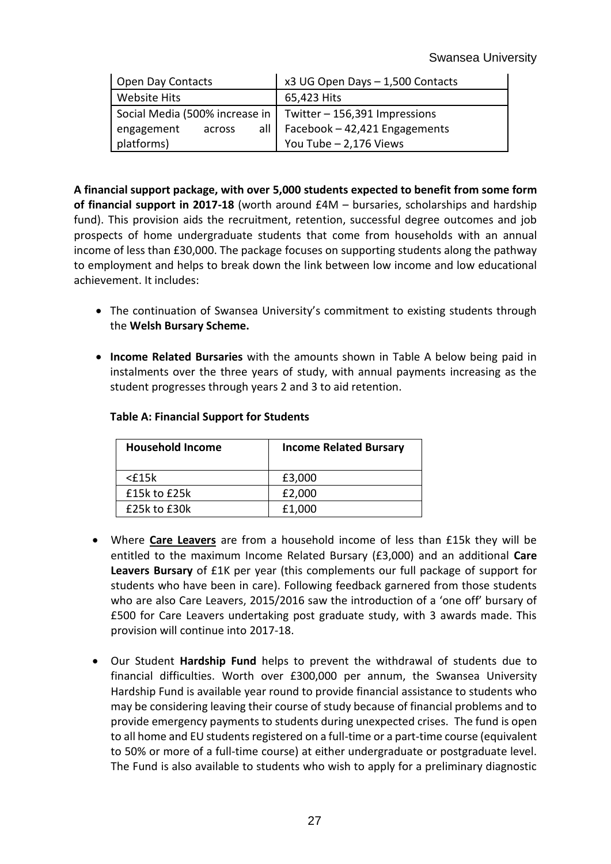| Open Day Contacts              | x3 UG Open Days - 1,500 Contacts     |
|--------------------------------|--------------------------------------|
| <b>Website Hits</b>            | 65,423 Hits                          |
| Social Media (500% increase in | Twitter - 156,391 Impressions        |
| across<br>engagement           | all   Facebook $-42,421$ Engagements |
| platforms)                     | You Tube - 2,176 Views               |

**A financial support package, with over 5,000 students expected to benefit from some form of financial support in 2017-18** (worth around £4M – bursaries, scholarships and hardship fund). This provision aids the recruitment, retention, successful degree outcomes and job prospects of home undergraduate students that come from households with an annual income of less than £30,000. The package focuses on supporting students along the pathway to employment and helps to break down the link between low income and low educational achievement. It includes:

- The continuation of Swansea University's commitment to existing students through the **Welsh Bursary Scheme.**
- **Income Related Bursaries** with the amounts shown in Table A below being paid in instalments over the three years of study, with annual payments increasing as the student progresses through years 2 and 3 to aid retention.

| <b>Household Income</b> | <b>Income Related Bursary</b> |
|-------------------------|-------------------------------|
| $<$ £15 $k$             | £3,000                        |
| £15k to £25k            | £2,000                        |
| £25k to £30k            | £1,000                        |

#### **Table A: Financial Support for Students**

- Where **Care Leavers** are from a household income of less than £15k they will be entitled to the maximum Income Related Bursary (£3,000) and an additional **Care Leavers Bursary** of £1K per year (this complements our full package of support for students who have been in care). Following feedback garnered from those students who are also Care Leavers, 2015/2016 saw the introduction of a 'one off' bursary of £500 for Care Leavers undertaking post graduate study, with 3 awards made. This provision will continue into 2017-18.
- Our Student **Hardship Fund** helps to prevent the withdrawal of students due to financial difficulties. Worth over £300,000 per annum, the Swansea University Hardship Fund is available year round to provide financial assistance to students who may be considering leaving their course of study because of financial problems and to provide emergency payments to students during unexpected crises. The fund is open to all home and EU students registered on a full-time or a part-time course (equivalent to 50% or more of a full-time course) at either undergraduate or postgraduate level. The Fund is also available to students who wish to apply for a preliminary diagnostic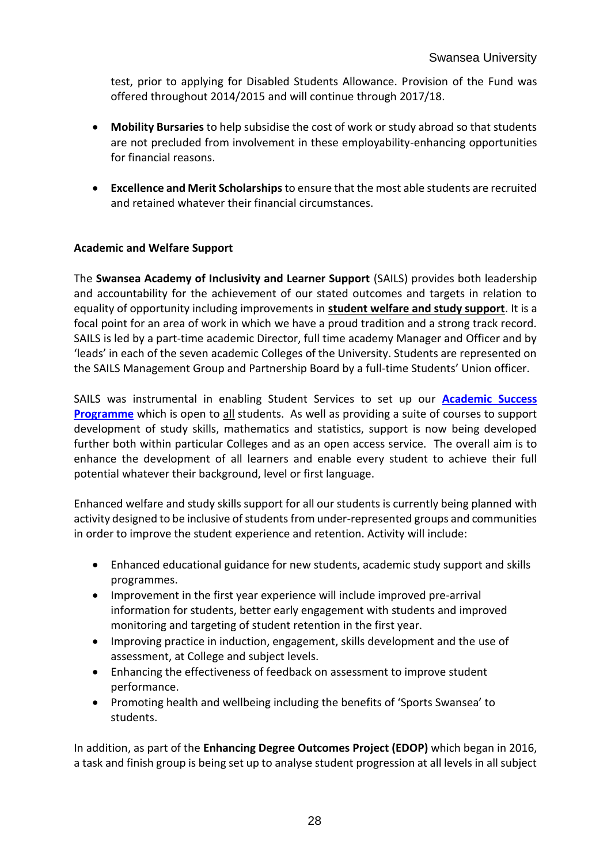test, prior to applying for Disabled Students Allowance. Provision of the Fund was offered throughout 2014/2015 and will continue through 2017/18.

- **Mobility Bursaries** to help subsidise the cost of work or study abroad so that students are not precluded from involvement in these employability-enhancing opportunities for financial reasons.
- **Excellence and Merit Scholarships**to ensure that the most able students are recruited and retained whatever their financial circumstances.

#### **Academic and Welfare Support**

The **Swansea Academy of Inclusivity and Learner Support** (SAILS) provides both leadership and accountability for the achievement of our stated outcomes and targets in relation to equality of opportunity including improvements in **student welfare and study support**. It is a focal point for an area of work in which we have a proud tradition and a strong track record. SAILS is led by a part-time academic Director, full time academy Manager and Officer and by 'leads' in each of the seven academic Colleges of the University. Students are represented on the SAILS Management Group and Partnership Board by a full-time Students' Union officer.

SAILS was instrumental in enabling Student Services to set up our **[Academic Success](http://www.swansea.ac.uk/asp)  [Programme](http://www.swansea.ac.uk/asp)** which is open to all students. As well as providing a suite of courses to support development of study skills, mathematics and statistics, support is now being developed further both within particular Colleges and as an open access service. The overall aim is to enhance the development of all learners and enable every student to achieve their full potential whatever their background, level or first language.

Enhanced welfare and study skills support for all our students is currently being planned with activity designed to be inclusive of students from under-represented groups and communities in order to improve the student experience and retention. Activity will include:

- Enhanced educational guidance for new students, academic study support and skills programmes.
- Improvement in the first year experience will include improved pre-arrival information for students, better early engagement with students and improved monitoring and targeting of student retention in the first year.
- Improving practice in induction, engagement, skills development and the use of assessment, at College and subject levels.
- Enhancing the effectiveness of feedback on assessment to improve student performance.
- Promoting health and wellbeing including the benefits of 'Sports Swansea' to students.

In addition, as part of the **Enhancing Degree Outcomes Project (EDOP)** which began in 2016, a task and finish group is being set up to analyse student progression at all levels in all subject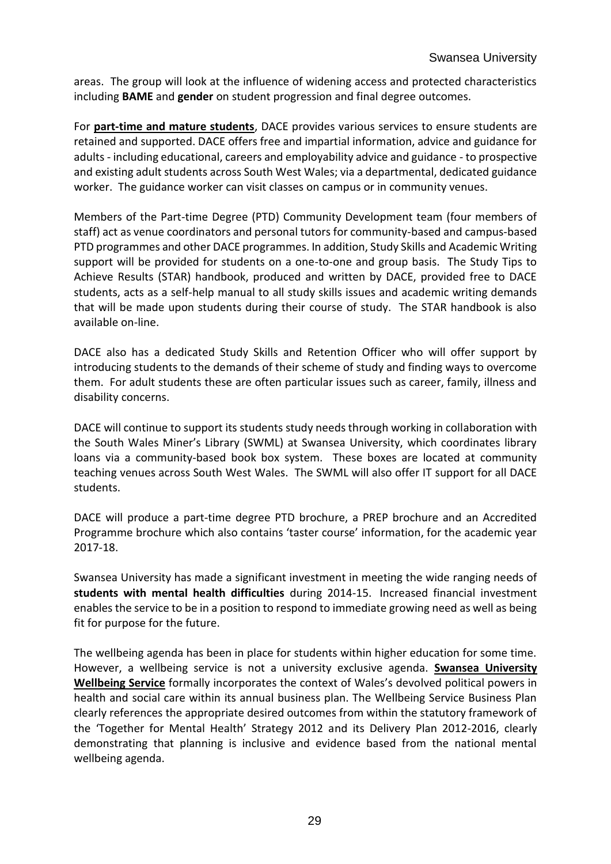areas. The group will look at the influence of widening access and protected characteristics including **BAME** and **gender** on student progression and final degree outcomes.

For **part-time and mature students**, DACE provides various services to ensure students are retained and supported. DACE offers free and impartial information, advice and guidance for adults - including educational, careers and employability advice and guidance - to prospective and existing adult students across South West Wales; via a departmental, dedicated guidance worker. The guidance worker can visit classes on campus or in community venues.

Members of the Part-time Degree (PTD) Community Development team (four members of staff) act as venue coordinators and personal tutors for community-based and campus-based PTD programmes and other DACE programmes. In addition, Study Skills and Academic Writing support will be provided for students on a one-to-one and group basis. The Study Tips to Achieve Results (STAR) handbook, produced and written by DACE, provided free to DACE students, acts as a self-help manual to all study skills issues and academic writing demands that will be made upon students during their course of study. The STAR handbook is also available on-line.

DACE also has a dedicated Study Skills and Retention Officer who will offer support by introducing students to the demands of their scheme of study and finding ways to overcome them. For adult students these are often particular issues such as career, family, illness and disability concerns.

DACE will continue to support its students study needs through working in collaboration with the South Wales Miner's Library (SWML) at Swansea University, which coordinates library loans via a community-based book box system. These boxes are located at community teaching venues across South West Wales. The SWML will also offer IT support for all DACE students.

DACE will produce a part-time degree PTD brochure, a PREP brochure and an Accredited Programme brochure which also contains 'taster course' information, for the academic year 2017-18.

Swansea University has made a significant investment in meeting the wide ranging needs of **students with mental health difficulties** during 2014-15. Increased financial investment enables the service to be in a position to respond to immediate growing need as well as being fit for purpose for the future.

The wellbeing agenda has been in place for students within higher education for some time. However, a wellbeing service is not a university exclusive agenda. **Swansea University Wellbeing Service** formally incorporates the context of Wales's devolved political powers in health and social care within its annual business plan. The Wellbeing Service Business Plan clearly references the appropriate desired outcomes from within the statutory framework of the 'Together for Mental Health' Strategy 2012 and its Delivery Plan 2012-2016, clearly demonstrating that planning is inclusive and evidence based from the national mental wellbeing agenda.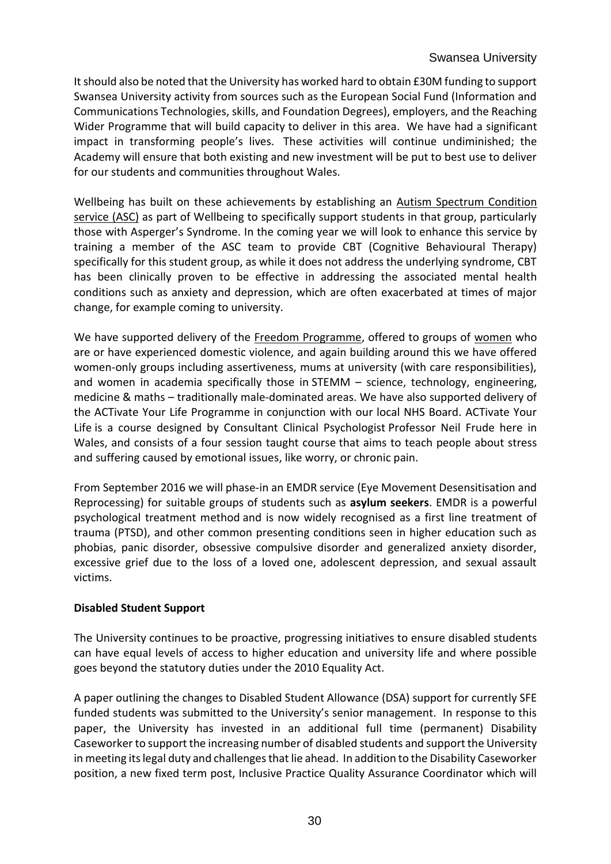It should also be noted that the University has worked hard to obtain £30M funding to support Swansea University activity from sources such as the European Social Fund (Information and Communications Technologies, skills, and Foundation Degrees), employers, and the Reaching Wider Programme that will build capacity to deliver in this area. We have had a significant impact in transforming people's lives. These activities will continue undiminished; the Academy will ensure that both existing and new investment will be put to best use to deliver for our students and communities throughout Wales.

Wellbeing has built on these achievements by establishing an Autism Spectrum Condition service (ASC) as part of Wellbeing to specifically support students in that group, particularly those with Asperger's Syndrome. In the coming year we will look to enhance this service by training a member of the ASC team to provide CBT (Cognitive Behavioural Therapy) specifically for this student group, as while it does not address the underlying syndrome, CBT has been clinically proven to be effective in addressing the associated mental health conditions such as anxiety and depression, which are often exacerbated at times of major change, for example coming to university.

We have supported delivery of the Freedom Programme, offered to groups of women who are or have experienced domestic violence, and again building around this we have offered women-only groups including assertiveness, mums at university (with care responsibilities), and women in academia specifically those in STEMM – science, technology, engineering, medicine & maths – traditionally male-dominated areas. We have also supported delivery of the ACTivate Your Life Programme in conjunction with our local NHS Board. ACTivate Your Life is a course designed by Consultant Clinical Psychologist Professor Neil Frude here in Wales, and consists of a four session taught course that aims to teach people about stress and suffering caused by emotional issues, like worry, or chronic pain.

From September 2016 we will phase-in an EMDR service (Eye Movement Desensitisation and Reprocessing) for suitable groups of students such as **asylum seekers**. EMDR is a powerful psychological treatment method and is now widely recognised as a first line treatment of trauma (PTSD), and other common presenting conditions seen in higher education such as phobias, panic disorder, obsessive compulsive disorder and generalized anxiety disorder, excessive grief due to the loss of a loved one, adolescent depression, and sexual assault victims.

#### **Disabled Student Support**

The University continues to be proactive, progressing initiatives to ensure disabled students can have equal levels of access to higher education and university life and where possible goes beyond the statutory duties under the 2010 Equality Act.

A paper outlining the changes to Disabled Student Allowance (DSA) support for currently SFE funded students was submitted to the University's senior management. In response to this paper, the University has invested in an additional full time (permanent) Disability Caseworker to support the increasing number of disabled students and support the University in meeting its legal duty and challenges that lie ahead. In addition to the Disability Caseworker position, a new fixed term post, Inclusive Practice Quality Assurance Coordinator which will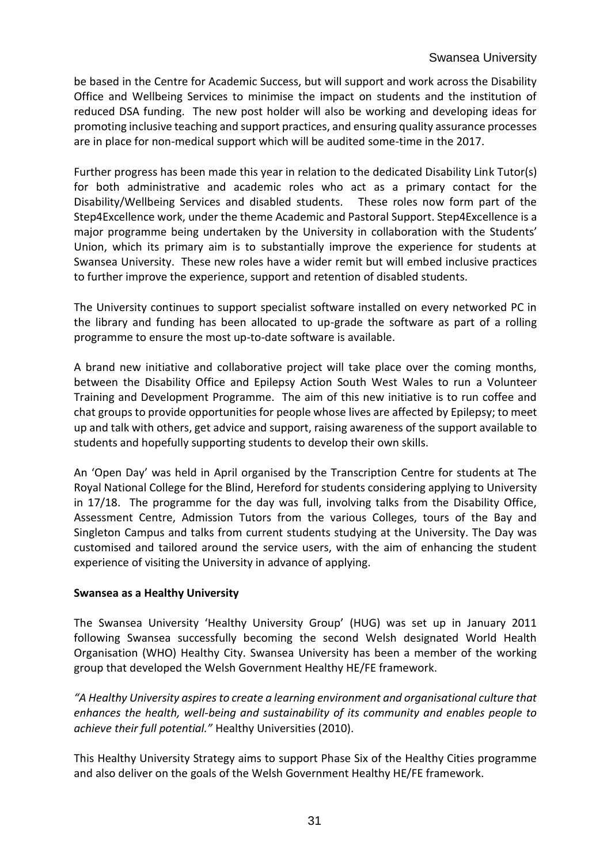be based in the Centre for Academic Success, but will support and work across the Disability Office and Wellbeing Services to minimise the impact on students and the institution of reduced DSA funding. The new post holder will also be working and developing ideas for promoting inclusive teaching and support practices, and ensuring quality assurance processes are in place for non-medical support which will be audited some-time in the 2017.

Further progress has been made this year in relation to the dedicated Disability Link Tutor(s) for both administrative and academic roles who act as a primary contact for the Disability/Wellbeing Services and disabled students. These roles now form part of the Step4Excellence work, under the theme Academic and Pastoral Support. Step4Excellence is a major programme being undertaken by the University in collaboration with the Students' Union, which its primary aim is to substantially improve the experience for students at Swansea University. These new roles have a wider remit but will embed inclusive practices to further improve the experience, support and retention of disabled students.

The University continues to support specialist software installed on every networked PC in the library and funding has been allocated to up-grade the software as part of a rolling programme to ensure the most up-to-date software is available.

A brand new initiative and collaborative project will take place over the coming months, between the Disability Office and Epilepsy Action South West Wales to run a Volunteer Training and Development Programme. The aim of this new initiative is to run coffee and chat groups to provide opportunities for people whose lives are affected by Epilepsy; to meet up and talk with others, get advice and support, raising awareness of the support available to students and hopefully supporting students to develop their own skills.

An 'Open Day' was held in April organised by the Transcription Centre for students at The Royal National College for the Blind, Hereford for students considering applying to University in 17/18. The programme for the day was full, involving talks from the Disability Office, Assessment Centre, Admission Tutors from the various Colleges, tours of the Bay and Singleton Campus and talks from current students studying at the University. The Day was customised and tailored around the service users, with the aim of enhancing the student experience of visiting the University in advance of applying.

#### **Swansea as a Healthy University**

The Swansea University 'Healthy University Group' (HUG) was set up in January 2011 following Swansea successfully becoming the second Welsh designated World Health Organisation (WHO) Healthy City. Swansea University has been a member of the working group that developed the Welsh Government Healthy HE/FE framework.

*"A Healthy University aspires to create a learning environment and organisational culture that enhances the health, well-being and sustainability of its community and enables people to achieve their full potential."* Healthy Universities (2010).

This Healthy University Strategy aims to support Phase Six of the Healthy Cities programme and also deliver on the goals of the Welsh Government Healthy HE/FE framework.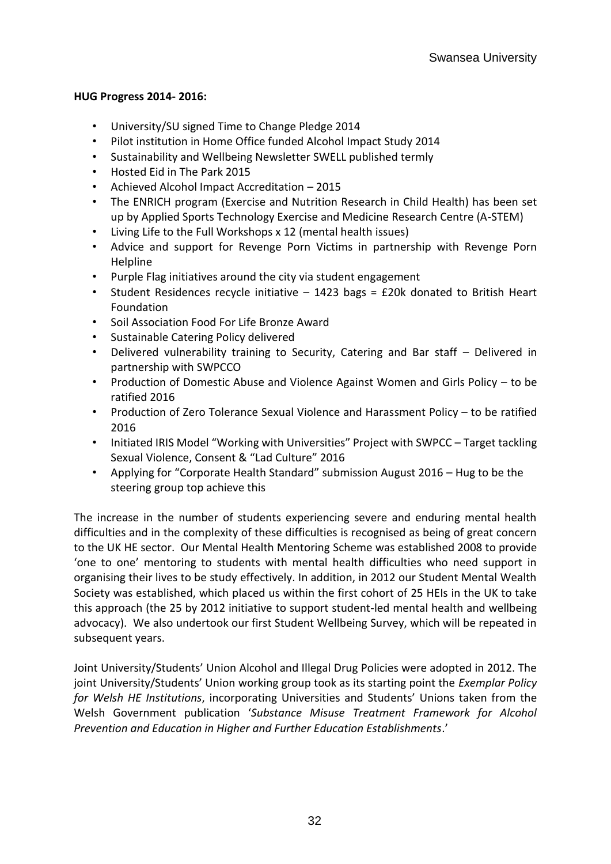#### **HUG Progress 2014- 2016:**

- University/SU signed Time to Change Pledge 2014
- Pilot institution in Home Office funded Alcohol Impact Study 2014
- Sustainability and Wellbeing Newsletter SWELL published termly
- Hosted Eid in The Park 2015
- Achieved Alcohol Impact Accreditation 2015
- The ENRICH program (Exercise and Nutrition Research in Child Health) has been set up by Applied Sports Technology Exercise and Medicine Research Centre (A-STEM)
- Living Life to the Full Workshops x 12 (mental health issues)
- Advice and support for Revenge Porn Victims in partnership with Revenge Porn Helpline
- Purple Flag initiatives around the city via student engagement
- Student Residences recycle initiative 1423 bags = £20k donated to British Heart Foundation
- Soil Association Food For Life Bronze Award
- Sustainable Catering Policy delivered
- Delivered vulnerability training to Security, Catering and Bar staff Delivered in partnership with SWPCCO
- Production of Domestic Abuse and Violence Against Women and Girls Policy to be ratified 2016
- Production of Zero Tolerance Sexual Violence and Harassment Policy to be ratified 2016
- Initiated IRIS Model "Working with Universities" Project with SWPCC Target tackling Sexual Violence, Consent & "Lad Culture" 2016
- Applying for "Corporate Health Standard" submission August 2016 Hug to be the steering group top achieve this

The increase in the number of students experiencing severe and enduring mental health difficulties and in the complexity of these difficulties is recognised as being of great concern to the UK HE sector. Our Mental Health Mentoring Scheme was established 2008 to provide 'one to one' mentoring to students with mental health difficulties who need support in organising their lives to be study effectively. In addition, in 2012 our Student Mental Wealth Society was established, which placed us within the first cohort of 25 HEIs in the UK to take this approach (the 25 by 2012 initiative to support student-led mental health and wellbeing advocacy). We also undertook our first Student Wellbeing Survey, which will be repeated in subsequent years.

Joint University/Students' Union Alcohol and Illegal Drug Policies were adopted in 2012. The joint University/Students' Union working group took as its starting point the *Exemplar Policy for Welsh HE Institutions*, incorporating Universities and Students' Unions taken from the Welsh Government publication '*Substance Misuse Treatment Framework for Alcohol Prevention and Education in Higher and Further Education Establishments*.'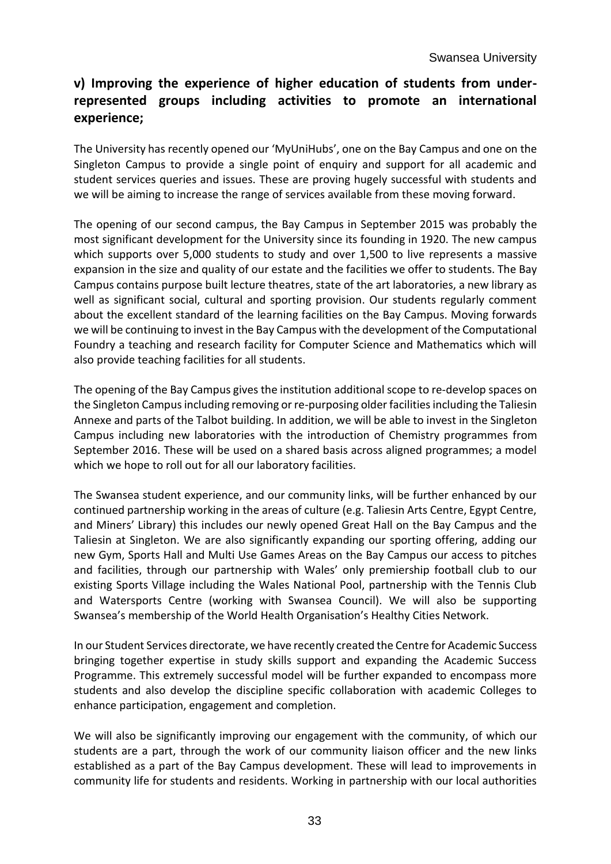## **v) Improving the experience of higher education of students from underrepresented groups including activities to promote an international experience;**

The University has recently opened our 'MyUniHubs', one on the Bay Campus and one on the Singleton Campus to provide a single point of enquiry and support for all academic and student services queries and issues. These are proving hugely successful with students and we will be aiming to increase the range of services available from these moving forward.

The opening of our second campus, the Bay Campus in September 2015 was probably the most significant development for the University since its founding in 1920. The new campus which supports over 5,000 students to study and over 1,500 to live represents a massive expansion in the size and quality of our estate and the facilities we offer to students. The Bay Campus contains purpose built lecture theatres, state of the art laboratories, a new library as well as significant social, cultural and sporting provision. Our students regularly comment about the excellent standard of the learning facilities on the Bay Campus. Moving forwards we will be continuing to invest in the Bay Campus with the development of the Computational Foundry a teaching and research facility for Computer Science and Mathematics which will also provide teaching facilities for all students.

The opening of the Bay Campus gives the institution additional scope to re-develop spaces on the Singleton Campus including removing or re-purposing older facilities including the Taliesin Annexe and parts of the Talbot building. In addition, we will be able to invest in the Singleton Campus including new laboratories with the introduction of Chemistry programmes from September 2016. These will be used on a shared basis across aligned programmes; a model which we hope to roll out for all our laboratory facilities.

The Swansea student experience, and our community links, will be further enhanced by our continued partnership working in the areas of culture (e.g. Taliesin Arts Centre, Egypt Centre, and Miners' Library) this includes our newly opened Great Hall on the Bay Campus and the Taliesin at Singleton. We are also significantly expanding our sporting offering, adding our new Gym, Sports Hall and Multi Use Games Areas on the Bay Campus our access to pitches and facilities, through our partnership with Wales' only premiership football club to our existing Sports Village including the Wales National Pool, partnership with the Tennis Club and Watersports Centre (working with Swansea Council). We will also be supporting Swansea's membership of the World Health Organisation's Healthy Cities Network.

In our Student Services directorate, we have recently created the Centre for Academic Success bringing together expertise in study skills support and expanding the Academic Success Programme. This extremely successful model will be further expanded to encompass more students and also develop the discipline specific collaboration with academic Colleges to enhance participation, engagement and completion.

We will also be significantly improving our engagement with the community, of which our students are a part, through the work of our community liaison officer and the new links established as a part of the Bay Campus development. These will lead to improvements in community life for students and residents. Working in partnership with our local authorities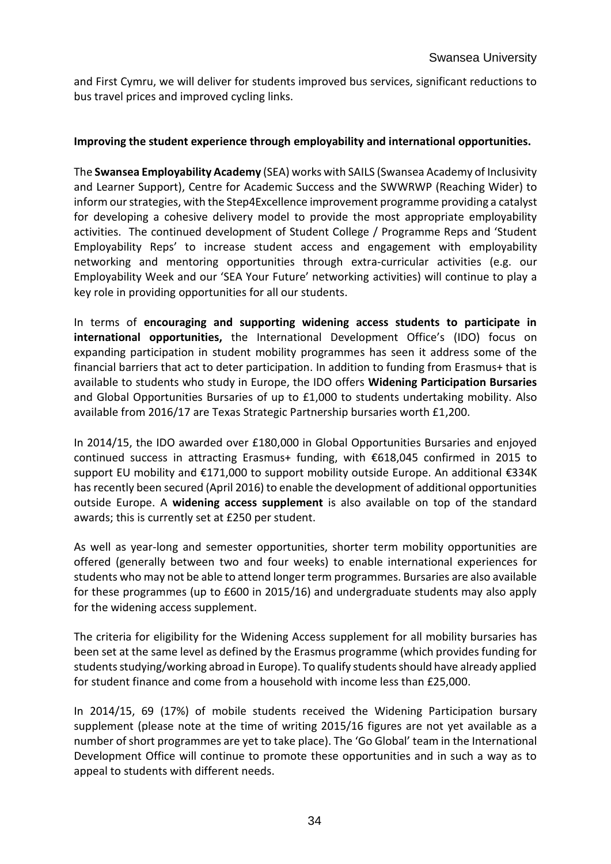and First Cymru, we will deliver for students improved bus services, significant reductions to bus travel prices and improved cycling links.

#### **Improving the student experience through employability and international opportunities.**

The **Swansea Employability Academy** (SEA) works with SAILS (Swansea Academy of Inclusivity and Learner Support), Centre for Academic Success and the SWWRWP (Reaching Wider) to inform our strategies, with the Step4Excellence improvement programme providing a catalyst for developing a cohesive delivery model to provide the most appropriate employability activities. The continued development of Student College / Programme Reps and 'Student Employability Reps' to increase student access and engagement with employability networking and mentoring opportunities through extra-curricular activities (e.g. our Employability Week and our 'SEA Your Future' networking activities) will continue to play a key role in providing opportunities for all our students.

In terms of **encouraging and supporting widening access students to participate in international opportunities,** the International Development Office's (IDO) focus on expanding participation in student mobility programmes has seen it address some of the financial barriers that act to deter participation. In addition to funding from Erasmus+ that is available to students who study in Europe, the IDO offers **Widening Participation Bursaries** and Global Opportunities Bursaries of up to £1,000 to students undertaking mobility. Also available from 2016/17 are Texas Strategic Partnership bursaries worth £1,200.

In 2014/15, the IDO awarded over £180,000 in Global Opportunities Bursaries and enjoyed continued success in attracting Erasmus+ funding, with €618,045 confirmed in 2015 to support EU mobility and €171,000 to support mobility outside Europe. An additional €334K has recently been secured (April 2016) to enable the development of additional opportunities outside Europe. A **widening access supplement** is also available on top of the standard awards; this is currently set at £250 per student.

As well as year-long and semester opportunities, shorter term mobility opportunities are offered (generally between two and four weeks) to enable international experiences for students who may not be able to attend longer term programmes. Bursaries are also available for these programmes (up to £600 in 2015/16) and undergraduate students may also apply for the widening access supplement.

The criteria for eligibility for the Widening Access supplement for all mobility bursaries has been set at the same level as defined by the Erasmus programme (which provides funding for students studying/working abroad in Europe). To qualify students should have already applied for student finance and come from a household with income less than £25,000.

In 2014/15, 69 (17%) of mobile students received the Widening Participation bursary supplement (please note at the time of writing 2015/16 figures are not yet available as a number of short programmes are yet to take place). The 'Go Global' team in the International Development Office will continue to promote these opportunities and in such a way as to appeal to students with different needs.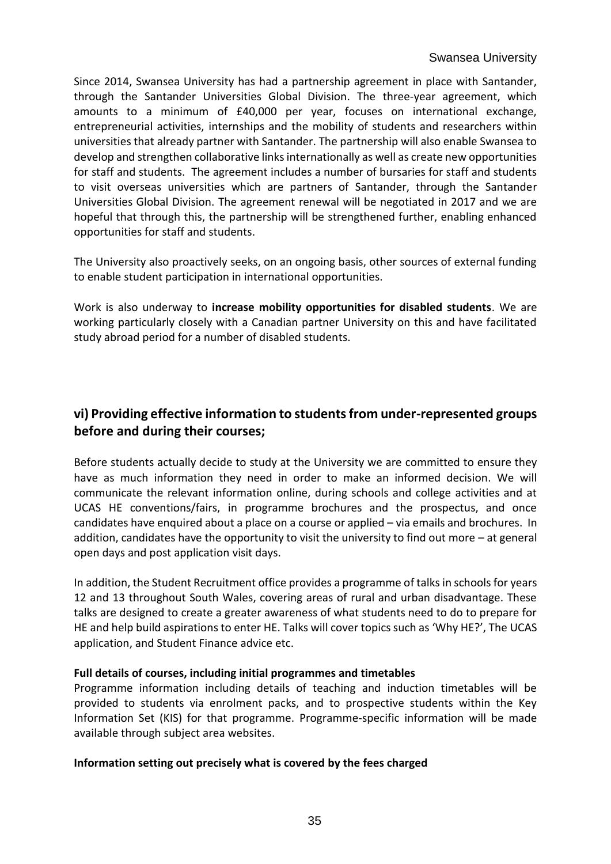Since 2014, Swansea University has had a partnership agreement in place with Santander, through the Santander Universities Global Division. The three-year agreement, which amounts to a minimum of £40,000 per year, focuses on international exchange, entrepreneurial activities, internships and the mobility of students and researchers within universities that already partner with Santander. The partnership will also enable Swansea to develop and strengthen collaborative links internationally as well as create new opportunities for staff and students. The agreement includes a number of bursaries for staff and students to visit overseas universities which are partners of Santander, through the Santander Universities Global Division. The agreement renewal will be negotiated in 2017 and we are hopeful that through this, the partnership will be strengthened further, enabling enhanced opportunities for staff and students.

The University also proactively seeks, on an ongoing basis, other sources of external funding to enable student participation in international opportunities.

Work is also underway to **increase mobility opportunities for disabled students**. We are working particularly closely with a Canadian partner University on this and have facilitated study abroad period for a number of disabled students.

## **vi) Providing effective information to students from under-represented groups before and during their courses;**

Before students actually decide to study at the University we are committed to ensure they have as much information they need in order to make an informed decision. We will communicate the relevant information online, during schools and college activities and at UCAS HE conventions/fairs, in programme brochures and the prospectus, and once candidates have enquired about a place on a course or applied – via emails and brochures. In addition, candidates have the opportunity to visit the university to find out more – at general open days and post application visit days.

In addition, the Student Recruitment office provides a programme of talks in schools for years 12 and 13 throughout South Wales, covering areas of rural and urban disadvantage. These talks are designed to create a greater awareness of what students need to do to prepare for HE and help build aspirations to enter HE. Talks will cover topics such as 'Why HE?', The UCAS application, and Student Finance advice etc.

#### **Full details of courses, including initial programmes and timetables**

Programme information including details of teaching and induction timetables will be provided to students via enrolment packs, and to prospective students within the Key Information Set (KIS) for that programme. Programme-specific information will be made available through subject area websites.

#### **Information setting out precisely what is covered by the fees charged**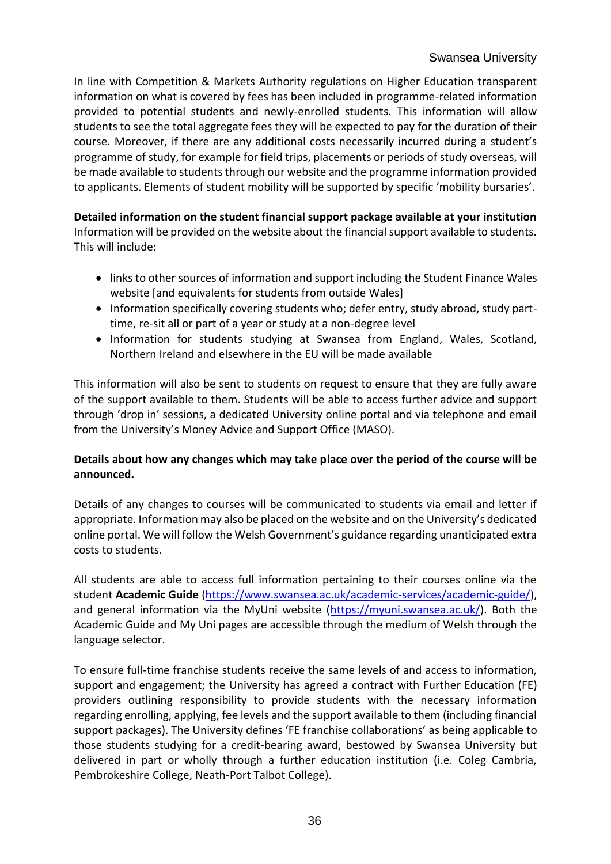In line with Competition & Markets Authority regulations on Higher Education transparent information on what is covered by fees has been included in programme-related information provided to potential students and newly-enrolled students. This information will allow students to see the total aggregate fees they will be expected to pay for the duration of their course. Moreover, if there are any additional costs necessarily incurred during a student's programme of study, for example for field trips, placements or periods of study overseas, will be made available to students through our website and the programme information provided to applicants. Elements of student mobility will be supported by specific 'mobility bursaries'.

**Detailed information on the student financial support package available at your institution** Information will be provided on the website about the financial support available to students.

- This will include:
	- links to other sources of information and support including the Student Finance Wales website [and equivalents for students from outside Wales]
	- Information specifically covering students who; defer entry, study abroad, study parttime, re-sit all or part of a year or study at a non-degree level
	- Information for students studying at Swansea from England, Wales, Scotland, Northern Ireland and elsewhere in the EU will be made available

This information will also be sent to students on request to ensure that they are fully aware of the support available to them. Students will be able to access further advice and support through 'drop in' sessions, a dedicated University online portal and via telephone and email from the University's Money Advice and Support Office (MASO).

#### **Details about how any changes which may take place over the period of the course will be announced.**

Details of any changes to courses will be communicated to students via email and letter if appropriate. Information may also be placed on the website and on the University's dedicated online portal. We will follow the Welsh Government's guidance regarding unanticipated extra costs to students.

All students are able to access full information pertaining to their courses online via the student **Academic Guide** [\(https://www.swansea.ac.uk/academic-services/academic-guide/\)](https://www.swansea.ac.uk/academic-services/academic-guide/), and general information via the MyUni website [\(https://myuni.swansea.ac.uk/\)](https://myuni.swansea.ac.uk/). Both the Academic Guide and My Uni pages are accessible through the medium of Welsh through the language selector.

To ensure full-time franchise students receive the same levels of and access to information, support and engagement; the University has agreed a contract with Further Education (FE) providers outlining responsibility to provide students with the necessary information regarding enrolling, applying, fee levels and the support available to them (including financial support packages). The University defines 'FE franchise collaborations' as being applicable to those students studying for a credit-bearing award, bestowed by Swansea University but delivered in part or wholly through a further education institution (i.e. Coleg Cambria, Pembrokeshire College, Neath-Port Talbot College).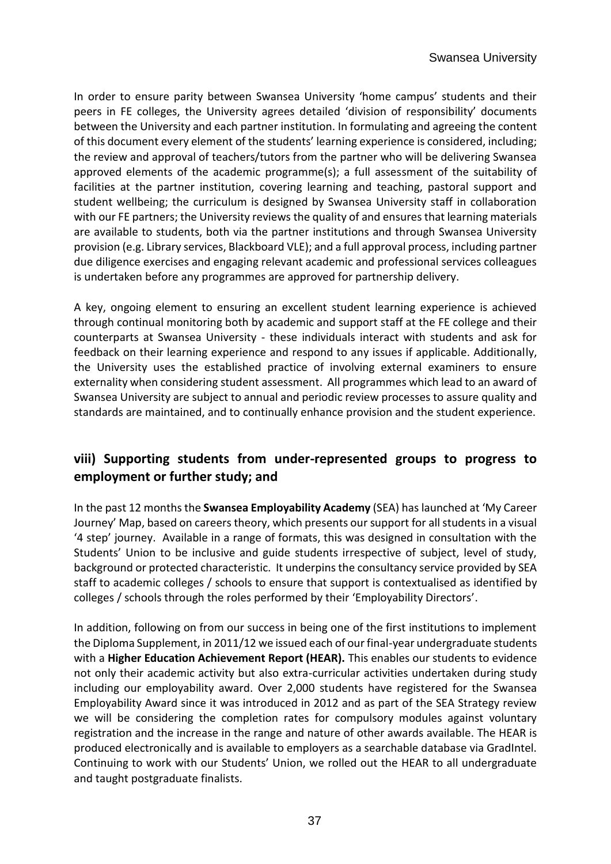In order to ensure parity between Swansea University 'home campus' students and their peers in FE colleges, the University agrees detailed 'division of responsibility' documents between the University and each partner institution. In formulating and agreeing the content of this document every element of the students' learning experience is considered, including; the review and approval of teachers/tutors from the partner who will be delivering Swansea approved elements of the academic programme(s); a full assessment of the suitability of facilities at the partner institution, covering learning and teaching, pastoral support and student wellbeing; the curriculum is designed by Swansea University staff in collaboration with our FE partners; the University reviews the quality of and ensures that learning materials are available to students, both via the partner institutions and through Swansea University provision (e.g. Library services, Blackboard VLE); and a full approval process, including partner due diligence exercises and engaging relevant academic and professional services colleagues is undertaken before any programmes are approved for partnership delivery.

A key, ongoing element to ensuring an excellent student learning experience is achieved through continual monitoring both by academic and support staff at the FE college and their counterparts at Swansea University - these individuals interact with students and ask for feedback on their learning experience and respond to any issues if applicable. Additionally, the University uses the established practice of involving external examiners to ensure externality when considering student assessment. All programmes which lead to an award of Swansea University are subject to annual and periodic review processes to assure quality and standards are maintained, and to continually enhance provision and the student experience.

## **viii) Supporting students from under-represented groups to progress to employment or further study; and**

In the past 12 months the **Swansea Employability Academy** (SEA) has launched at 'My Career Journey' Map, based on careers theory, which presents our support for all students in a visual '4 step' journey. Available in a range of formats, this was designed in consultation with the Students' Union to be inclusive and guide students irrespective of subject, level of study, background or protected characteristic. It underpins the consultancy service provided by SEA staff to academic colleges / schools to ensure that support is contextualised as identified by colleges / schools through the roles performed by their 'Employability Directors'.

In addition, following on from our success in being one of the first institutions to implement the Diploma Supplement, in 2011/12 we issued each of our final-year undergraduate students with a **Higher Education Achievement Report (HEAR).** This enables our students to evidence not only their academic activity but also extra-curricular activities undertaken during study including our employability award. Over 2,000 students have registered for the Swansea Employability Award since it was introduced in 2012 and as part of the SEA Strategy review we will be considering the completion rates for compulsory modules against voluntary registration and the increase in the range and nature of other awards available. The HEAR is produced electronically and is available to employers as a searchable database via GradIntel. Continuing to work with our Students' Union, we rolled out the HEAR to all undergraduate and taught postgraduate finalists.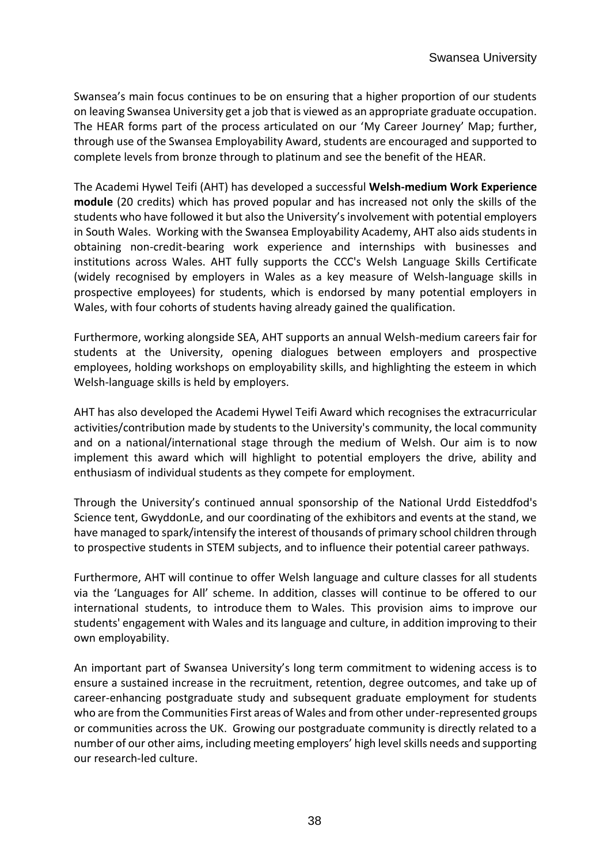Swansea's main focus continues to be on ensuring that a higher proportion of our students on leaving Swansea University get a job that is viewed as an appropriate graduate occupation. The HEAR forms part of the process articulated on our 'My Career Journey' Map; further, through use of the Swansea Employability Award, students are encouraged and supported to complete levels from bronze through to platinum and see the benefit of the HEAR.

The Academi Hywel Teifi (AHT) has developed a successful **Welsh-medium Work Experience module** (20 credits) which has proved popular and has increased not only the skills of the students who have followed it but also the University's involvement with potential employers in South Wales. Working with the Swansea Employability Academy, AHT also aids students in obtaining non-credit-bearing work experience and internships with businesses and institutions across Wales. AHT fully supports the CCC's Welsh Language Skills Certificate (widely recognised by employers in Wales as a key measure of Welsh-language skills in prospective employees) for students, which is endorsed by many potential employers in Wales, with four cohorts of students having already gained the qualification.

Furthermore, working alongside SEA, AHT supports an annual Welsh-medium careers fair for students at the University, opening dialogues between employers and prospective employees, holding workshops on employability skills, and highlighting the esteem in which Welsh-language skills is held by employers.

AHT has also developed the Academi Hywel Teifi Award which recognises the extracurricular activities/contribution made by students to the University's community, the local community and on a national/international stage through the medium of Welsh. Our aim is to now implement this award which will highlight to potential employers the drive, ability and enthusiasm of individual students as they compete for employment.

Through the University's continued annual sponsorship of the National Urdd Eisteddfod's Science tent, GwyddonLe, and our coordinating of the exhibitors and events at the stand, we have managed to spark/intensify the interest of thousands of primary school children through to prospective students in STEM subjects, and to influence their potential career pathways.

Furthermore, AHT will continue to offer Welsh language and culture classes for all students via the 'Languages for All' scheme. In addition, classes will continue to be offered to our international students, to introduce them to Wales. This provision aims to improve our students' engagement with Wales and its language and culture, in addition improving to their own employability.

An important part of Swansea University's long term commitment to widening access is to ensure a sustained increase in the recruitment, retention, degree outcomes, and take up of career-enhancing postgraduate study and subsequent graduate employment for students who are from the Communities First areas of Wales and from other under-represented groups or communities across the UK. Growing our postgraduate community is directly related to a number of our other aims, including meeting employers' high level skills needs and supporting our research-led culture.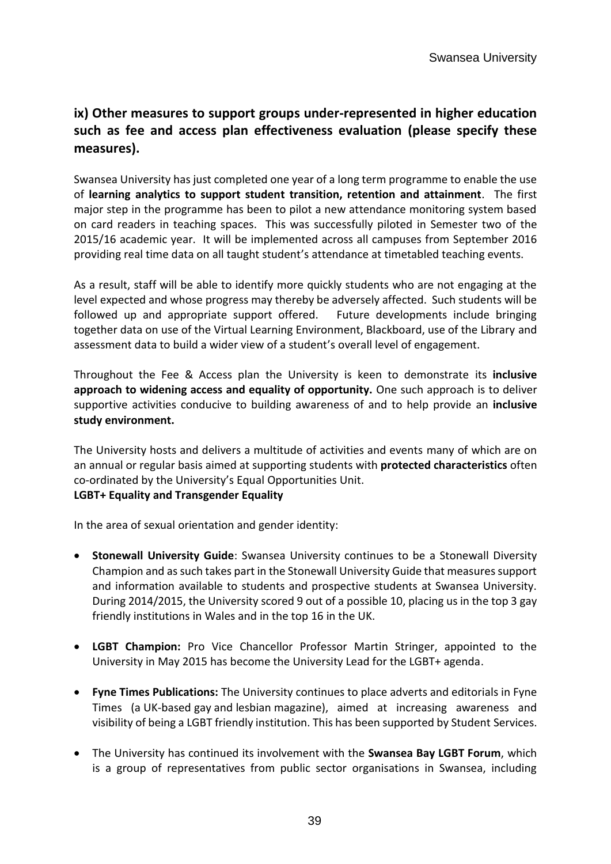## **ix) Other measures to support groups under-represented in higher education such as fee and access plan effectiveness evaluation (please specify these measures).**

Swansea University has just completed one year of a long term programme to enable the use of **learning analytics to support student transition, retention and attainment**. The first major step in the programme has been to pilot a new attendance monitoring system based on card readers in teaching spaces. This was successfully piloted in Semester two of the 2015/16 academic year. It will be implemented across all campuses from September 2016 providing real time data on all taught student's attendance at timetabled teaching events.

As a result, staff will be able to identify more quickly students who are not engaging at the level expected and whose progress may thereby be adversely affected. Such students will be followed up and appropriate support offered. Future developments include bringing together data on use of the Virtual Learning Environment, Blackboard, use of the Library and assessment data to build a wider view of a student's overall level of engagement.

Throughout the Fee & Access plan the University is keen to demonstrate its **inclusive approach to widening access and equality of opportunity.** One such approach is to deliver supportive activities conducive to building awareness of and to help provide an **inclusive study environment.** 

The University hosts and delivers a multitude of activities and events many of which are on an annual or regular basis aimed at supporting students with **protected characteristics** often co-ordinated by the University's Equal Opportunities Unit.

#### **LGBT+ Equality and Transgender Equality**

In the area of sexual orientation and gender identity:

- **Stonewall University Guide**: Swansea University continues to be a Stonewall Diversity Champion and as such takes part in the Stonewall University Guide that measures support and information available to students and prospective students at Swansea University. During 2014/2015, the University scored 9 out of a possible 10, placing us in the top 3 gay friendly institutions in Wales and in the top 16 in the UK.
- **LGBT Champion:** Pro Vice Chancellor Professor Martin Stringer, appointed to the University in May 2015 has become the University Lead for the LGBT+ agenda.
- **Fyne Times Publications:** The University continues to place adverts and editorials in Fyne Times (a UK-based gay and lesbian magazine), aimed at increasing awareness and visibility of being a LGBT friendly institution. This has been supported by Student Services.
- The University has continued its involvement with the **Swansea Bay LGBT Forum**, which is a group of representatives from public sector organisations in Swansea, including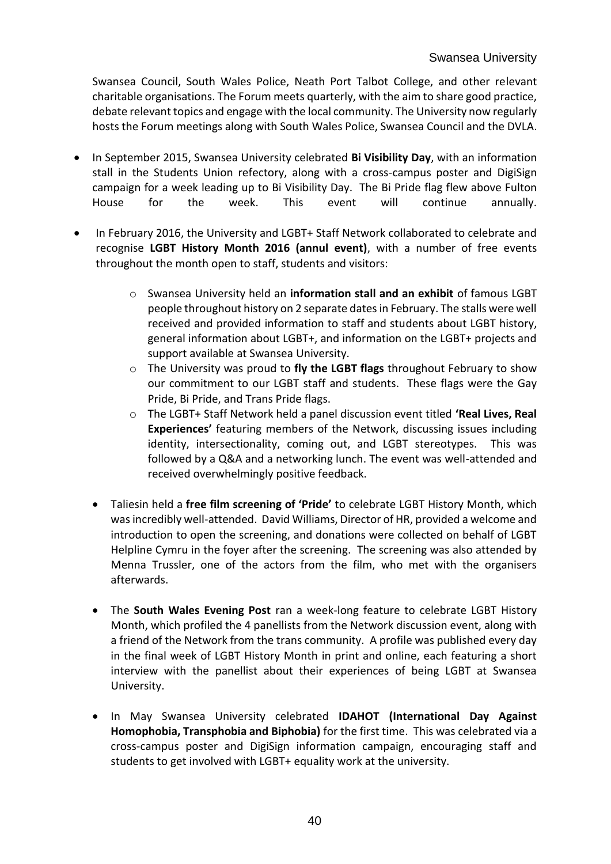Swansea Council, South Wales Police, Neath Port Talbot College, and other relevant charitable organisations. The Forum meets quarterly, with the aim to share good practice, debate relevant topics and engage with the local community. The University now regularly hosts the Forum meetings along with South Wales Police, Swansea Council and the DVLA.

- In September 2015, Swansea University celebrated **Bi Visibility Day**, with an information stall in the Students Union refectory, along with a cross-campus poster and DigiSign campaign for a week leading up to Bi Visibility Day. The Bi Pride flag flew above Fulton House for the week. This event will continue annually.
- In February 2016, the University and LGBT+ Staff Network collaborated to celebrate and recognise **LGBT History Month 2016 (annul event)**, with a number of free events throughout the month open to staff, students and visitors:
	- o Swansea University held an **information stall and an exhibit** of famous LGBT people throughout history on 2 separate dates in February. The stalls were well received and provided information to staff and students about LGBT history, general information about LGBT+, and information on the LGBT+ projects and support available at Swansea University.
	- o The University was proud to **fly the LGBT flags** throughout February to show our commitment to our LGBT staff and students. These flags were the Gay Pride, Bi Pride, and Trans Pride flags.
	- o The LGBT+ Staff Network held a panel discussion event titled **'Real Lives, Real Experiences'** featuring members of the Network, discussing issues including identity, intersectionality, coming out, and LGBT stereotypes. This was followed by a Q&A and a networking lunch. The event was well-attended and received overwhelmingly positive feedback.
	- Taliesin held a **free film screening of 'Pride'** to celebrate LGBT History Month, which was incredibly well-attended. David Williams, Director of HR, provided a welcome and introduction to open the screening, and donations were collected on behalf of LGBT Helpline Cymru in the foyer after the screening. The screening was also attended by Menna Trussler, one of the actors from the film, who met with the organisers afterwards.
	- The **South Wales Evening Post** ran a week-long feature to celebrate LGBT History Month, which profiled the 4 panellists from the Network discussion event, along with a friend of the Network from the trans community. A profile was published every day in the final week of LGBT History Month in print and online, each featuring a short interview with the panellist about their experiences of being LGBT at Swansea University.
	- In May Swansea University celebrated **IDAHOT (International Day Against Homophobia, Transphobia and Biphobia)** for the first time. This was celebrated via a cross-campus poster and DigiSign information campaign, encouraging staff and students to get involved with LGBT+ equality work at the university.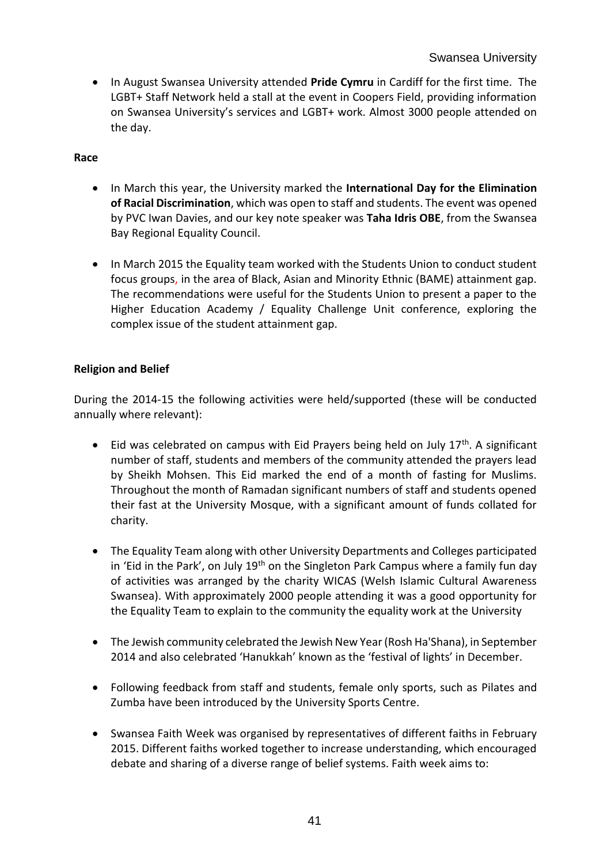• In August Swansea University attended **Pride Cymru** in Cardiff for the first time. The LGBT+ Staff Network held a stall at the event in Coopers Field, providing information on Swansea University's services and LGBT+ work. Almost 3000 people attended on the day.

#### **Race**

- In March this year, the University marked the **International Day for the Elimination of Racial Discrimination**, which was open to staff and students. The event was opened by PVC Iwan Davies, and our key note speaker was **Taha Idris OBE**, from the Swansea Bay Regional Equality Council.
- In March 2015 the Equality team worked with the Students Union to conduct student focus groups, in the area of Black, Asian and Minority Ethnic (BAME) attainment gap. The recommendations were useful for the Students Union to present a paper to the Higher Education Academy / Equality Challenge Unit conference, exploring the complex issue of the student attainment gap.

#### **Religion and Belief**

During the 2014-15 the following activities were held/supported (these will be conducted annually where relevant):

- $\bullet$  Eid was celebrated on campus with Eid Prayers being held on July 17<sup>th</sup>. A significant number of staff, students and members of the community attended the prayers lead by Sheikh Mohsen. This Eid marked the end of a month of fasting for Muslims. Throughout the month of Ramadan significant numbers of staff and students opened their fast at the University Mosque, with a significant amount of funds collated for charity.
- The Equality Team along with other University Departments and Colleges participated in 'Eid in the Park', on July  $19<sup>th</sup>$  on the Singleton Park Campus where a family fun day of activities was arranged by the charity WICAS (Welsh Islamic Cultural Awareness Swansea). With approximately 2000 people attending it was a good opportunity for the Equality Team to explain to the community the equality work at the University
- The Jewish community celebrated the Jewish New Year (Rosh Ha'Shana), in September 2014 and also celebrated 'Hanukkah' known as the 'festival of lights' in December.
- Following feedback from staff and students, female only sports, such as Pilates and Zumba have been introduced by the University Sports Centre.
- Swansea Faith Week was organised by representatives of different faiths in February 2015. Different faiths worked together to increase understanding, which encouraged debate and sharing of a diverse range of belief systems. Faith week aims to: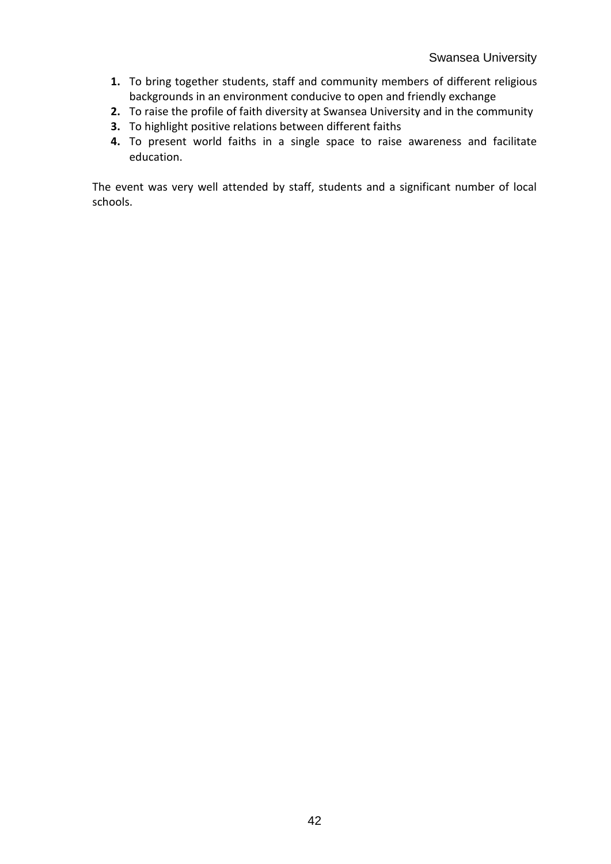- **1.** To bring together students, staff and community members of different religious backgrounds in an environment conducive to open and friendly exchange
- **2.** To raise the profile of faith diversity at Swansea University and in the community
- **3.** To highlight positive relations between different faiths
- **4.** To present world faiths in a single space to raise awareness and facilitate education.

The event was very well attended by staff, students and a significant number of local schools.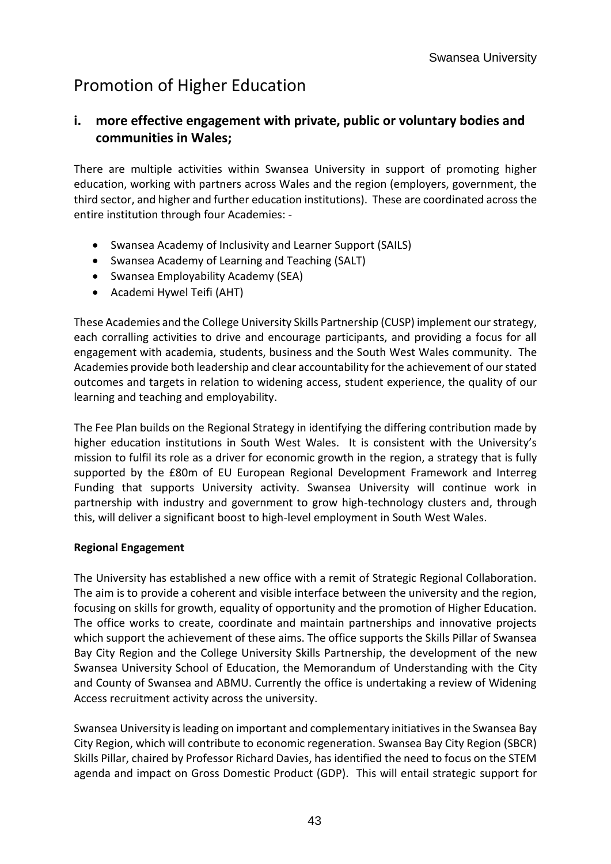# Promotion of Higher Education

### **i. more effective engagement with private, public or voluntary bodies and communities in Wales;**

There are multiple activities within Swansea University in support of promoting higher education, working with partners across Wales and the region (employers, government, the third sector, and higher and further education institutions). These are coordinated across the entire institution through four Academies: -

- Swansea Academy of Inclusivity and Learner Support (SAILS)
- Swansea Academy of Learning and Teaching (SALT)
- Swansea Employability Academy (SEA)
- Academi Hywel Teifi (AHT)

These Academies and the College University Skills Partnership (CUSP) implement our strategy, each corralling activities to drive and encourage participants, and providing a focus for all engagement with academia, students, business and the South West Wales community. The Academies provide both leadership and clear accountability for the achievement of our stated outcomes and targets in relation to widening access, student experience, the quality of our learning and teaching and employability.

The Fee Plan builds on the Regional Strategy in identifying the differing contribution made by higher education institutions in South West Wales. It is consistent with the University's mission to fulfil its role as a driver for economic growth in the region, a strategy that is fully supported by the £80m of EU European Regional Development Framework and Interreg Funding that supports University activity. Swansea University will continue work in partnership with industry and government to grow high-technology clusters and, through this, will deliver a significant boost to high-level employment in South West Wales.

#### **Regional Engagement**

The University has established a new office with a remit of Strategic Regional Collaboration. The aim is to provide a coherent and visible interface between the university and the region, focusing on skills for growth, equality of opportunity and the promotion of Higher Education. The office works to create, coordinate and maintain partnerships and innovative projects which support the achievement of these aims. The office supports the Skills Pillar of Swansea Bay City Region and the College University Skills Partnership, the development of the new Swansea University School of Education, the Memorandum of Understanding with the City and County of Swansea and ABMU. Currently the office is undertaking a review of Widening Access recruitment activity across the university.

Swansea University is leading on important and complementary initiatives in the Swansea Bay City Region, which will contribute to economic regeneration. Swansea Bay City Region (SBCR) Skills Pillar, chaired by Professor Richard Davies, has identified the need to focus on the STEM agenda and impact on Gross Domestic Product (GDP). This will entail strategic support for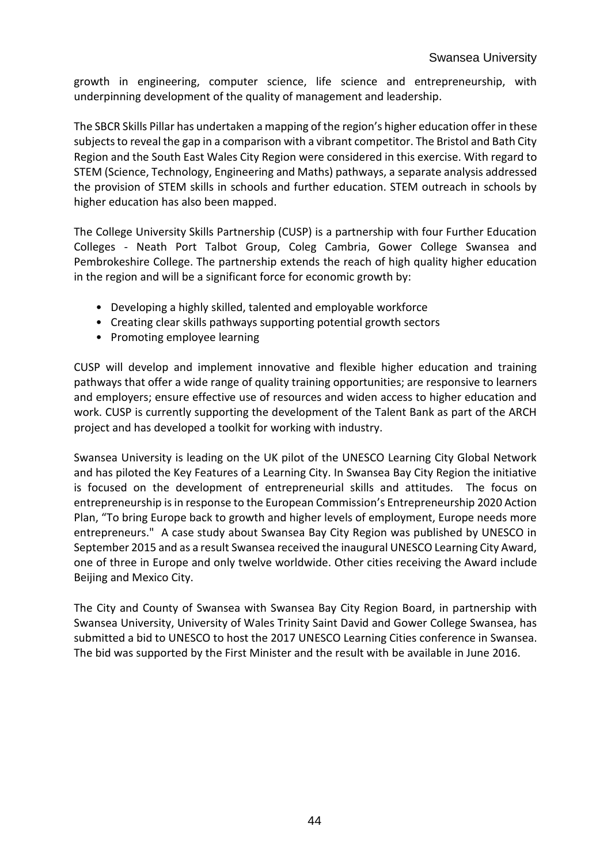growth in engineering, computer science, life science and entrepreneurship, with underpinning development of the quality of management and leadership.

The SBCR Skills Pillar has undertaken a mapping of the region's higher education offer in these subjects to reveal the gap in a comparison with a vibrant competitor. The Bristol and Bath City Region and the South East Wales City Region were considered in this exercise. With regard to STEM (Science, Technology, Engineering and Maths) pathways, a separate analysis addressed the provision of STEM skills in schools and further education. STEM outreach in schools by higher education has also been mapped.

The College University Skills Partnership (CUSP) is a partnership with four Further Education Colleges - Neath Port Talbot Group, Coleg Cambria, Gower College Swansea and Pembrokeshire College. The partnership extends the reach of high quality higher education in the region and will be a significant force for economic growth by:

- Developing a highly skilled, talented and employable workforce
- Creating clear skills pathways supporting potential growth sectors
- Promoting employee learning

CUSP will develop and implement innovative and flexible higher education and training pathways that offer a wide range of quality training opportunities; are responsive to learners and employers; ensure effective use of resources and widen access to higher education and work. CUSP is currently supporting the development of the Talent Bank as part of the ARCH project and has developed a toolkit for working with industry.

Swansea University is leading on the UK pilot of the UNESCO Learning City Global Network and has piloted the Key Features of a Learning City. In Swansea Bay City Region the initiative is focused on the development of entrepreneurial skills and attitudes. The focus on entrepreneurship is in response to the European Commission's Entrepreneurship 2020 Action Plan, "To bring Europe back to growth and higher levels of employment, Europe needs more entrepreneurs." A case study about Swansea Bay City Region was published by UNESCO in September 2015 and as a result Swansea received the inaugural UNESCO Learning City Award, one of three in Europe and only twelve worldwide. Other cities receiving the Award include Beijing and Mexico City.

The City and County of Swansea with Swansea Bay City Region Board, in partnership with Swansea University, University of Wales Trinity Saint David and Gower College Swansea, has submitted a bid to UNESCO to host the 2017 UNESCO Learning Cities conference in Swansea. The bid was supported by the First Minister and the result with be available in June 2016.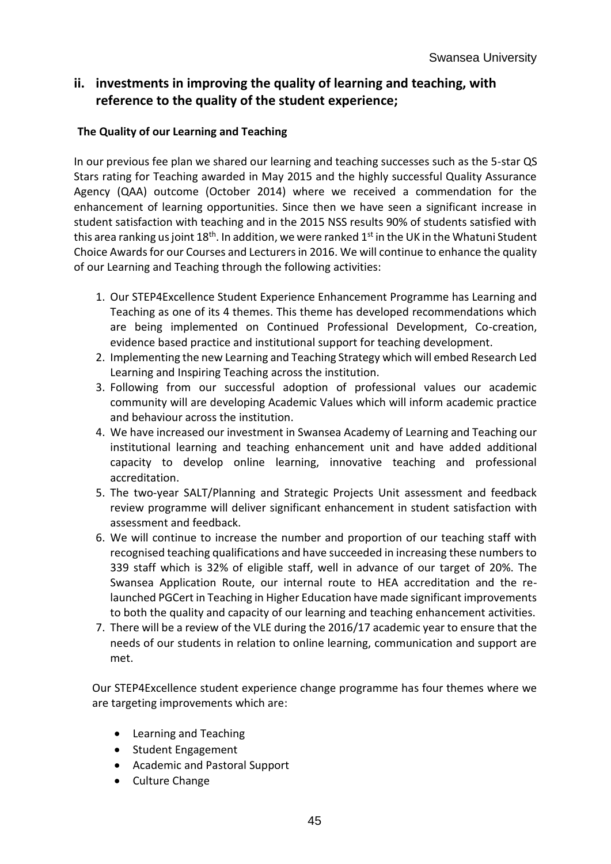## **ii. investments in improving the quality of learning and teaching, with reference to the quality of the student experience;**

#### **The Quality of our Learning and Teaching**

In our previous fee plan we shared our learning and teaching successes such as the 5-star QS Stars rating for Teaching awarded in May 2015 and the highly successful Quality Assurance Agency (QAA) outcome (October 2014) where we received a commendation for the enhancement of learning opportunities. Since then we have seen a significant increase in student satisfaction with teaching and in the 2015 NSS results 90% of students satisfied with this area ranking us joint  $18<sup>th</sup>$ . In addition, we were ranked  $1<sup>st</sup>$  in the UK in the Whatuni Student Choice Awards for our Courses and Lecturers in 2016. We will continue to enhance the quality of our Learning and Teaching through the following activities:

- 1. Our STEP4Excellence Student Experience Enhancement Programme has Learning and Teaching as one of its 4 themes. This theme has developed recommendations which are being implemented on Continued Professional Development, Co-creation, evidence based practice and institutional support for teaching development.
- 2. Implementing the new Learning and Teaching Strategy which will embed Research Led Learning and Inspiring Teaching across the institution.
- 3. Following from our successful adoption of professional values our academic community will are developing Academic Values which will inform academic practice and behaviour across the institution.
- 4. We have increased our investment in Swansea Academy of Learning and Teaching our institutional learning and teaching enhancement unit and have added additional capacity to develop online learning, innovative teaching and professional accreditation.
- 5. The two-year SALT/Planning and Strategic Projects Unit assessment and feedback review programme will deliver significant enhancement in student satisfaction with assessment and feedback.
- 6. We will continue to increase the number and proportion of our teaching staff with recognised teaching qualifications and have succeeded in increasing these numbers to 339 staff which is 32% of eligible staff, well in advance of our target of 20%. The Swansea Application Route, our internal route to HEA accreditation and the relaunched PGCert in Teaching in Higher Education have made significant improvements to both the quality and capacity of our learning and teaching enhancement activities.
- 7. There will be a review of the VLE during the 2016/17 academic year to ensure that the needs of our students in relation to online learning, communication and support are met.

Our STEP4Excellence student experience change programme has four themes where we are targeting improvements which are:

- Learning and Teaching
- Student Engagement
- Academic and Pastoral Support
- Culture Change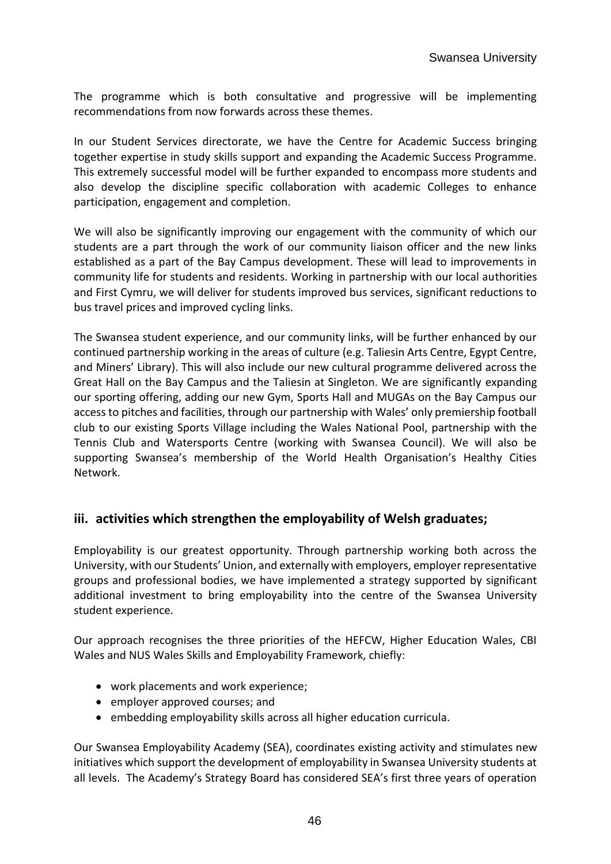The programme which is both consultative and progressive will be implementing recommendations from now forwards across these themes.

In our Student Services directorate, we have the Centre for Academic Success bringing together expertise in study skills support and expanding the Academic Success Programme. This extremely successful model will be further expanded to encompass more students and also develop the discipline specific collaboration with academic Colleges to enhance participation, engagement and completion.

We will also be significantly improving our engagement with the community of which our students are a part through the work of our community liaison officer and the new links established as a part of the Bay Campus development. These will lead to improvements in community life for students and residents. Working in partnership with our local authorities and First Cymru, we will deliver for students improved bus services, significant reductions to bus travel prices and improved cycling links.

The Swansea student experience, and our community links, will be further enhanced by our continued partnership working in the areas of culture (e.g. Taliesin Arts Centre, Egypt Centre, and Miners' Library). This will also include our new cultural programme delivered across the Great Hall on the Bay Campus and the Taliesin at Singleton. We are significantly expanding our sporting offering, adding our new Gym, Sports Hall and MUGAs on the Bay Campus our access to pitches and facilities, through our partnership with Wales' only premiership football club to our existing Sports Village including the Wales National Pool, partnership with the Tennis Club and Watersports Centre (working with Swansea Council). We will also be supporting Swansea's membership of the World Health Organisation's Healthy Cities Network.

#### **iii. activities which strengthen the employability of Welsh graduates;**

Employability is our greatest opportunity. Through partnership working both across the University, with our Students' Union, and externally with employers, employer representative groups and professional bodies, we have implemented a strategy supported by significant additional investment to bring employability into the centre of the Swansea University student experience.

Our approach recognises the three priorities of the HEFCW, Higher Education Wales, CBI Wales and NUS Wales Skills and Employability Framework, chiefly:

- work placements and work experience;
- employer approved courses; and
- embedding employability skills across all higher education curricula.

Our Swansea Employability Academy (SEA), coordinates existing activity and stimulates new initiatives which support the development of employability in Swansea University students at all levels. The Academy's Strategy Board has considered SEA's first three years of operation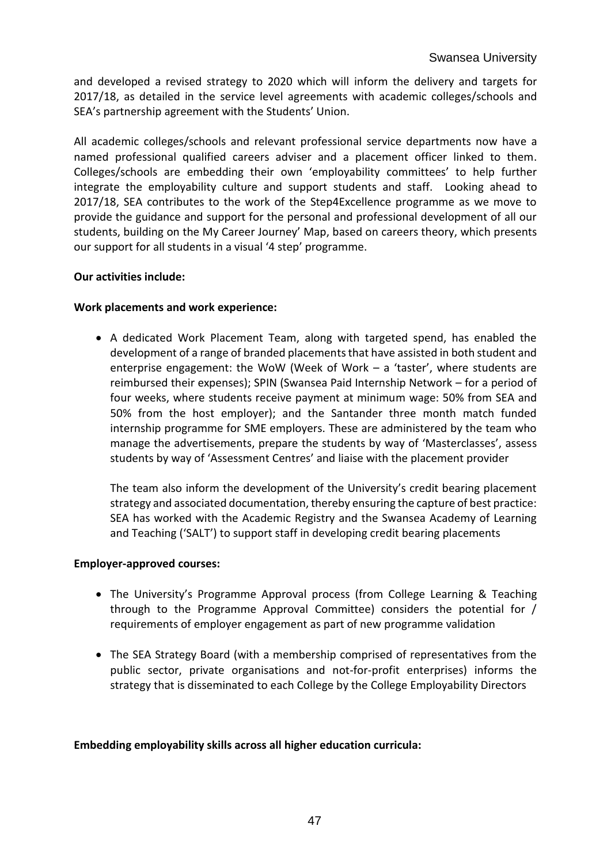and developed a revised strategy to 2020 which will inform the delivery and targets for 2017/18, as detailed in the service level agreements with academic colleges/schools and SEA's partnership agreement with the Students' Union.

All academic colleges/schools and relevant professional service departments now have a named professional qualified careers adviser and a placement officer linked to them. Colleges/schools are embedding their own 'employability committees' to help further integrate the employability culture and support students and staff. Looking ahead to 2017/18, SEA contributes to the work of the Step4Excellence programme as we move to provide the guidance and support for the personal and professional development of all our students, building on the My Career Journey' Map, based on careers theory, which presents our support for all students in a visual '4 step' programme.

#### **Our activities include:**

#### **Work placements and work experience:**

 A dedicated Work Placement Team, along with targeted spend, has enabled the development of a range of branded placements that have assisted in both student and enterprise engagement: the WoW (Week of Work – a 'taster', where students are reimbursed their expenses); SPIN (Swansea Paid Internship Network – for a period of four weeks, where students receive payment at minimum wage: 50% from SEA and 50% from the host employer); and the Santander three month match funded internship programme for SME employers. These are administered by the team who manage the advertisements, prepare the students by way of 'Masterclasses', assess students by way of 'Assessment Centres' and liaise with the placement provider

The team also inform the development of the University's credit bearing placement strategy and associated documentation, thereby ensuring the capture of best practice: SEA has worked with the Academic Registry and the Swansea Academy of Learning and Teaching ('SALT') to support staff in developing credit bearing placements

#### **Employer-approved courses:**

- The University's Programme Approval process (from College Learning & Teaching through to the Programme Approval Committee) considers the potential for / requirements of employer engagement as part of new programme validation
- The SEA Strategy Board (with a membership comprised of representatives from the public sector, private organisations and not-for-profit enterprises) informs the strategy that is disseminated to each College by the College Employability Directors

#### **Embedding employability skills across all higher education curricula:**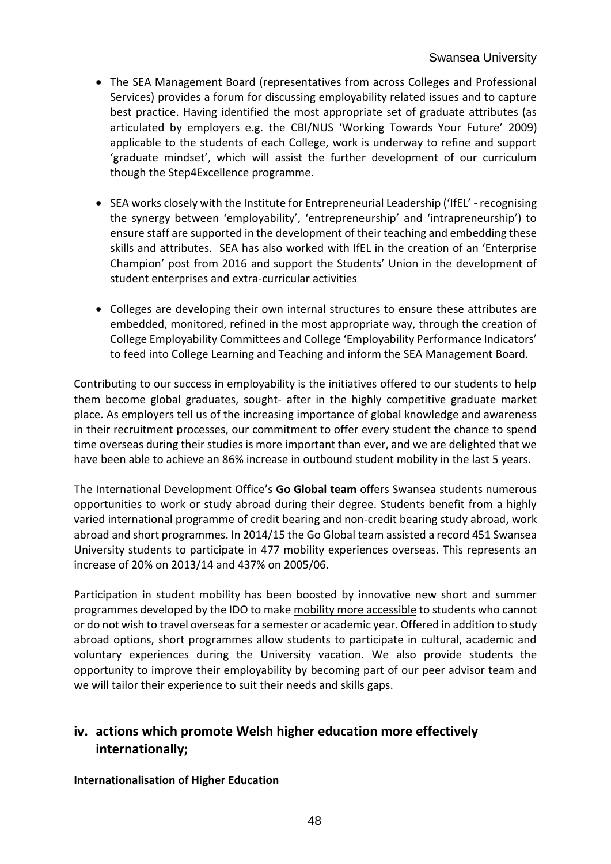- The SEA Management Board (representatives from across Colleges and Professional Services) provides a forum for discussing employability related issues and to capture best practice. Having identified the most appropriate set of graduate attributes (as articulated by employers e.g. the CBI/NUS 'Working Towards Your Future' 2009) applicable to the students of each College, work is underway to refine and support 'graduate mindset', which will assist the further development of our curriculum though the Step4Excellence programme.
- SEA works closely with the Institute for Entrepreneurial Leadership ('IfEL' recognising the synergy between 'employability', 'entrepreneurship' and 'intrapreneurship') to ensure staff are supported in the development of their teaching and embedding these skills and attributes. SEA has also worked with IfEL in the creation of an 'Enterprise Champion' post from 2016 and support the Students' Union in the development of student enterprises and extra-curricular activities
- Colleges are developing their own internal structures to ensure these attributes are embedded, monitored, refined in the most appropriate way, through the creation of College Employability Committees and College 'Employability Performance Indicators' to feed into College Learning and Teaching and inform the SEA Management Board.

Contributing to our success in employability is the initiatives offered to our students to help them become global graduates, sought- after in the highly competitive graduate market place. As employers tell us of the increasing importance of global knowledge and awareness in their recruitment processes, our commitment to offer every student the chance to spend time overseas during their studies is more important than ever, and we are delighted that we have been able to achieve an 86% increase in outbound student mobility in the last 5 years.

The International Development Office's **Go Global team** offers Swansea students numerous opportunities to work or study abroad during their degree. Students benefit from a highly varied international programme of credit bearing and non-credit bearing study abroad, work abroad and short programmes. In 2014/15 the Go Global team assisted a record 451 Swansea University students to participate in 477 mobility experiences overseas. This represents an increase of 20% on 2013/14 and 437% on 2005/06.

Participation in student mobility has been boosted by innovative new short and summer programmes developed by the IDO to make mobility more accessible to students who cannot or do not wish to travel overseas for a semester or academic year. Offered in addition to study abroad options, short programmes allow students to participate in cultural, academic and voluntary experiences during the University vacation. We also provide students the opportunity to improve their employability by becoming part of our peer advisor team and we will tailor their experience to suit their needs and skills gaps.

## **iv. actions which promote Welsh higher education more effectively internationally;**

#### **Internationalisation of Higher Education**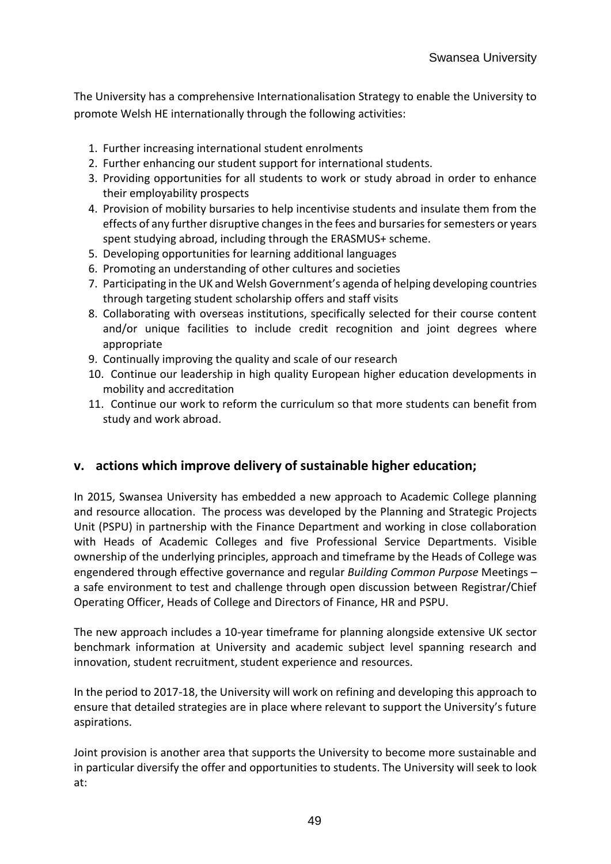The University has a comprehensive Internationalisation Strategy to enable the University to promote Welsh HE internationally through the following activities:

- 1. Further increasing international student enrolments
- 2. Further enhancing our student support for international students.
- 3. Providing opportunities for all students to work or study abroad in order to enhance their employability prospects
- 4. Provision of mobility bursaries to help incentivise students and insulate them from the effects of any further disruptive changes in the fees and bursaries for semesters or years spent studying abroad, including through the ERASMUS+ scheme.
- 5. Developing opportunities for learning additional languages
- 6. Promoting an understanding of other cultures and societies
- 7. Participating in the UK and Welsh Government's agenda of helping developing countries through targeting student scholarship offers and staff visits
- 8. Collaborating with overseas institutions, specifically selected for their course content and/or unique facilities to include credit recognition and joint degrees where appropriate
- 9. Continually improving the quality and scale of our research
- 10. Continue our leadership in high quality European higher education developments in mobility and accreditation
- 11. Continue our work to reform the curriculum so that more students can benefit from study and work abroad.

#### **v. actions which improve delivery of sustainable higher education;**

In 2015, Swansea University has embedded a new approach to Academic College planning and resource allocation. The process was developed by the Planning and Strategic Projects Unit (PSPU) in partnership with the Finance Department and working in close collaboration with Heads of Academic Colleges and five Professional Service Departments. Visible ownership of the underlying principles, approach and timeframe by the Heads of College was engendered through effective governance and regular *Building Common Purpose* Meetings – a safe environment to test and challenge through open discussion between Registrar/Chief Operating Officer, Heads of College and Directors of Finance, HR and PSPU.

The new approach includes a 10-year timeframe for planning alongside extensive UK sector benchmark information at University and academic subject level spanning research and innovation, student recruitment, student experience and resources.

In the period to 2017-18, the University will work on refining and developing this approach to ensure that detailed strategies are in place where relevant to support the University's future aspirations.

Joint provision is another area that supports the University to become more sustainable and in particular diversify the offer and opportunities to students. The University will seek to look at: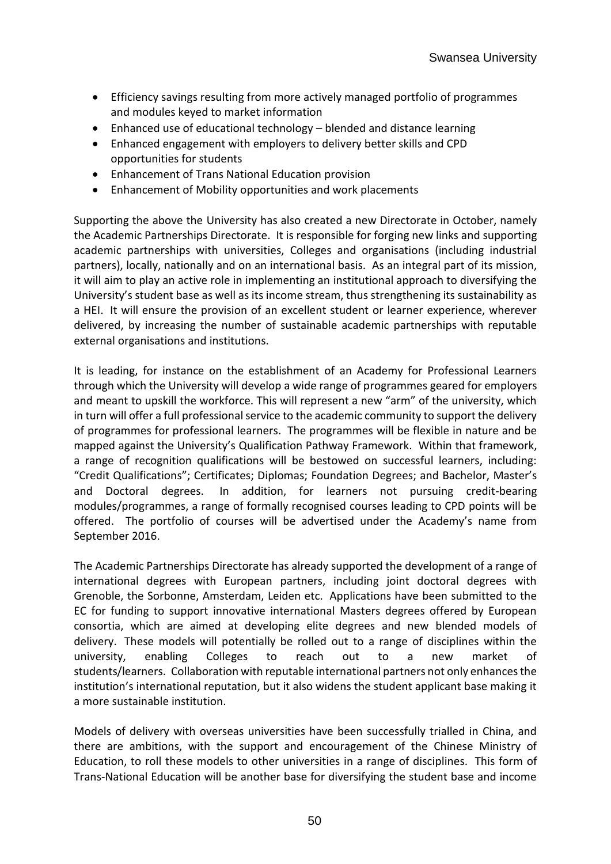- Efficiency savings resulting from more actively managed portfolio of programmes and modules keyed to market information
- Enhanced use of educational technology blended and distance learning
- Enhanced engagement with employers to delivery better skills and CPD opportunities for students
- Enhancement of Trans National Education provision
- Enhancement of Mobility opportunities and work placements

Supporting the above the University has also created a new Directorate in October, namely the Academic Partnerships Directorate. It is responsible for forging new links and supporting academic partnerships with universities, Colleges and organisations (including industrial partners), locally, nationally and on an international basis. As an integral part of its mission, it will aim to play an active role in implementing an institutional approach to diversifying the University's student base as well as its income stream, thus strengthening its sustainability as a HEI. It will ensure the provision of an excellent student or learner experience, wherever delivered, by increasing the number of sustainable academic partnerships with reputable external organisations and institutions.

It is leading, for instance on the establishment of an Academy for Professional Learners through which the University will develop a wide range of programmes geared for employers and meant to upskill the workforce. This will represent a new "arm" of the university, which in turn will offer a full professional service to the academic community to support the delivery of programmes for professional learners. The programmes will be flexible in nature and be mapped against the University's Qualification Pathway Framework. Within that framework, a range of recognition qualifications will be bestowed on successful learners, including: "Credit Qualifications"; Certificates; Diplomas; Foundation Degrees; and Bachelor, Master's and Doctoral degrees. In addition, for learners not pursuing credit-bearing modules/programmes, a range of formally recognised courses leading to CPD points will be offered. The portfolio of courses will be advertised under the Academy's name from September 2016.

The Academic Partnerships Directorate has already supported the development of a range of international degrees with European partners, including joint doctoral degrees with Grenoble, the Sorbonne, Amsterdam, Leiden etc. Applications have been submitted to the EC for funding to support innovative international Masters degrees offered by European consortia, which are aimed at developing elite degrees and new blended models of delivery. These models will potentially be rolled out to a range of disciplines within the university, enabling Colleges to reach out to a new market of students/learners. Collaboration with reputable international partners not only enhances the institution's international reputation, but it also widens the student applicant base making it a more sustainable institution.

Models of delivery with overseas universities have been successfully trialled in China, and there are ambitions, with the support and encouragement of the Chinese Ministry of Education, to roll these models to other universities in a range of disciplines. This form of Trans-National Education will be another base for diversifying the student base and income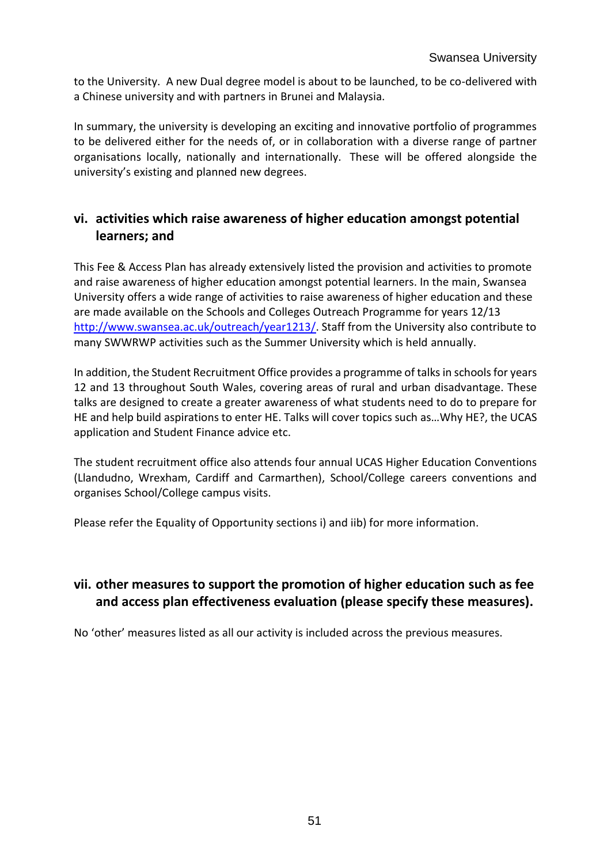to the University. A new Dual degree model is about to be launched, to be co-delivered with a Chinese university and with partners in Brunei and Malaysia.

In summary, the university is developing an exciting and innovative portfolio of programmes to be delivered either for the needs of, or in collaboration with a diverse range of partner organisations locally, nationally and internationally. These will be offered alongside the university's existing and planned new degrees.

## **vi. activities which raise awareness of higher education amongst potential learners; and**

This Fee & Access Plan has already extensively listed the provision and activities to promote and raise awareness of higher education amongst potential learners. In the main, Swansea University offers a wide range of activities to raise awareness of higher education and these are made available on the Schools and Colleges Outreach Programme for years 12/13 [http://www.swansea.ac.uk/outreach/year1213/.](http://www.swansea.ac.uk/outreach/year1213/) Staff from the University also contribute to many SWWRWP activities such as the Summer University which is held annually.

In addition, the Student Recruitment Office provides a programme of talks in schools for years 12 and 13 throughout South Wales, covering areas of rural and urban disadvantage. These talks are designed to create a greater awareness of what students need to do to prepare for HE and help build aspirations to enter HE. Talks will cover topics such as…Why HE?, the UCAS application and Student Finance advice etc.

The student recruitment office also attends four annual UCAS Higher Education Conventions (Llandudno, Wrexham, Cardiff and Carmarthen), School/College careers conventions and organises School/College campus visits.

Please refer the Equality of Opportunity sections i) and iib) for more information.

## **vii. other measures to support the promotion of higher education such as fee and access plan effectiveness evaluation (please specify these measures).**

No 'other' measures listed as all our activity is included across the previous measures.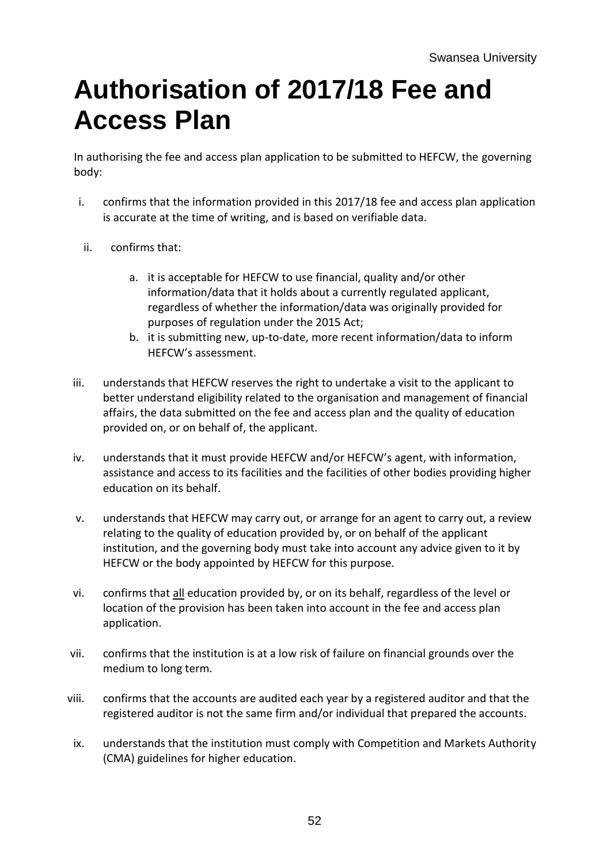# **Authorisation of 2017/18 Fee and Access Plan**

In authorising the fee and access plan application to be submitted to HEFCW, the governing body:

- i. confirms that the information provided in this 2017/18 fee and access plan application is accurate at the time of writing, and is based on verifiable data.
- ii. confirms that:
	- a. it is acceptable for HEFCW to use financial, quality and/or other information/data that it holds about a currently regulated applicant, regardless of whether the information/data was originally provided for purposes of regulation under the 2015 Act;
	- b. it is submitting new, up-to-date, more recent information/data to inform HEFCW's assessment.
- iii. understands that HEFCW reserves the right to undertake a visit to the applicant to better understand eligibility related to the organisation and management of financial affairs, the data submitted on the fee and access plan and the quality of education provided on, or on behalf of, the applicant.
- iv. understands that it must provide HEFCW and/or HEFCW's agent, with information, assistance and access to its facilities and the facilities of other bodies providing higher education on its behalf.
- v. understands that HEFCW may carry out, or arrange for an agent to carry out, a review relating to the quality of education provided by, or on behalf of the applicant institution, and the governing body must take into account any advice given to it by HEFCW or the body appointed by HEFCW for this purpose.
- vi. confirms that all education provided by, or on its behalf, regardless of the level or location of the provision has been taken into account in the fee and access plan application.
- vii. confirms that the institution is at a low risk of failure on financial grounds over the medium to long term.
- viii. confirms that the accounts are audited each year by a registered auditor and that the registered auditor is not the same firm and/or individual that prepared the accounts.
- ix. understands that the institution must comply with Competition and Markets Authority (CMA) guidelines for higher education.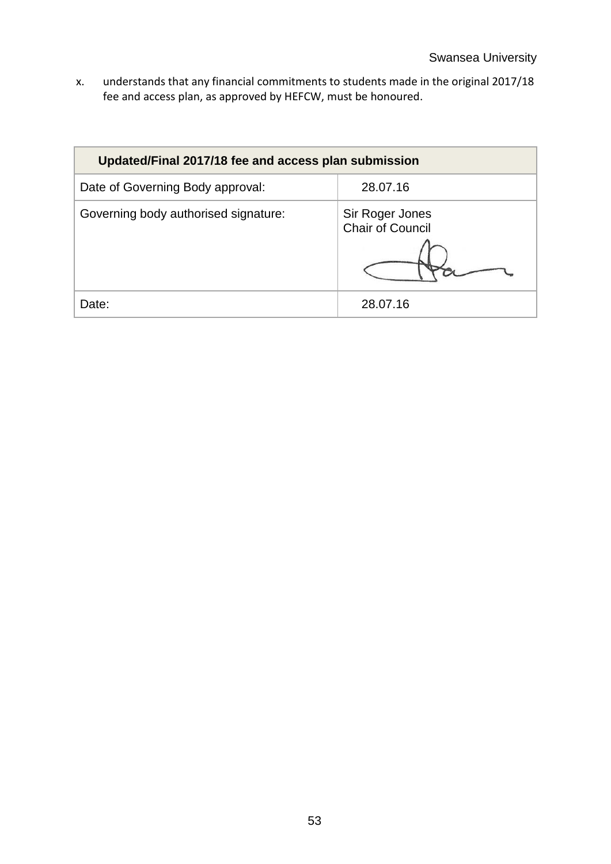x. understands that any financial commitments to students made in the original 2017/18 fee and access plan, as approved by HEFCW, must be honoured.

| Updated/Final 2017/18 fee and access plan submission |                                            |
|------------------------------------------------------|--------------------------------------------|
| Date of Governing Body approval:                     | 28.07.16                                   |
| Governing body authorised signature:                 | Sir Roger Jones<br><b>Chair of Council</b> |
| Date:                                                | 28.07.16                                   |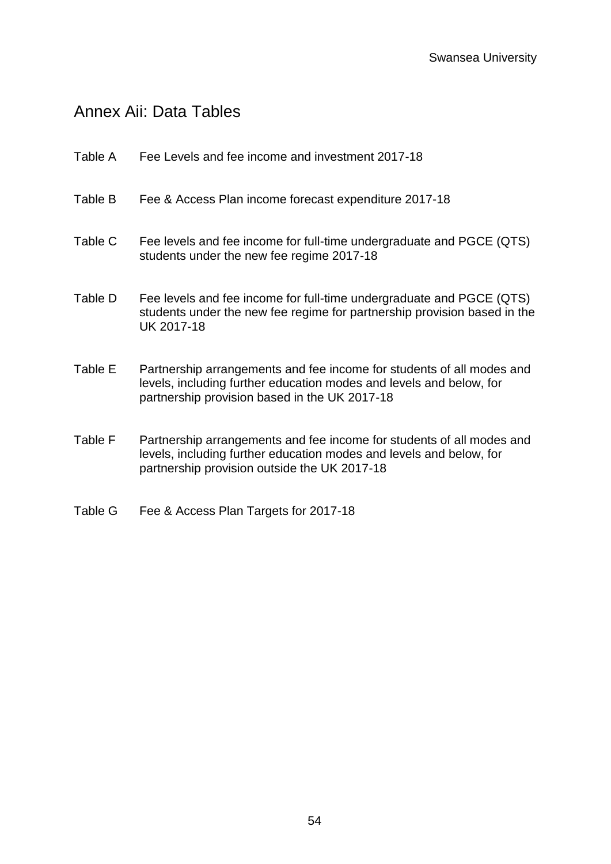# Annex Aii: Data Tables

| Table A | Fee Levels and fee income and investment 2017-18                                                                                                                                              |
|---------|-----------------------------------------------------------------------------------------------------------------------------------------------------------------------------------------------|
| Table B | Fee & Access Plan income forecast expenditure 2017-18                                                                                                                                         |
| Table C | Fee levels and fee income for full-time undergraduate and PGCE (QTS)<br>students under the new fee regime 2017-18                                                                             |
| Table D | Fee levels and fee income for full-time undergraduate and PGCE (QTS)<br>students under the new fee regime for partnership provision based in the<br>UK 2017-18                                |
| Table E | Partnership arrangements and fee income for students of all modes and<br>levels, including further education modes and levels and below, for<br>partnership provision based in the UK 2017-18 |
| Table F | Partnership arrangements and fee income for students of all modes and<br>levels, including further education modes and levels and below, for<br>partnership provision outside the UK 2017-18  |
| Table G | Fee & Access Plan Targets for 2017-18                                                                                                                                                         |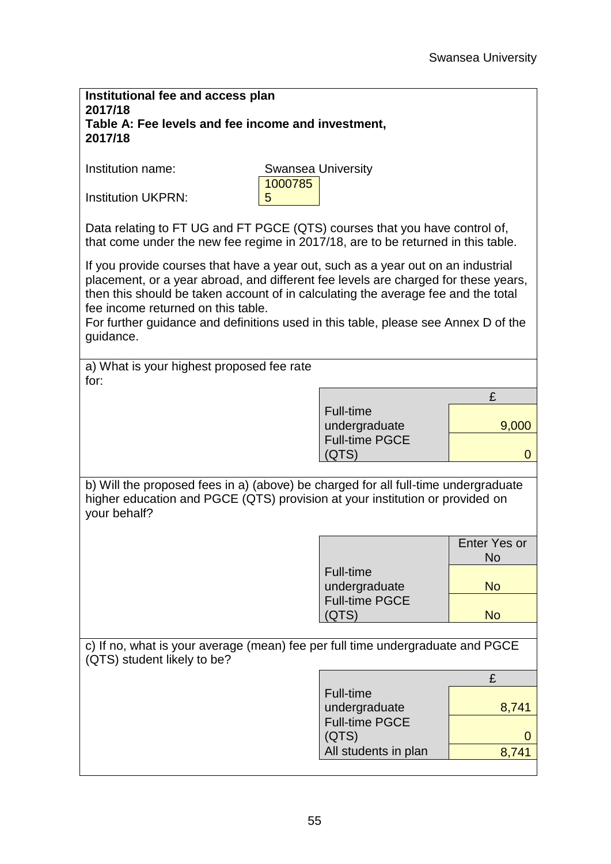| Institutional fee and access plan<br>2017/18                                                                                                                                                                                                                                                                                                                                            |                                                                                                                                                                    |                           |  |  |  |  |  |  |
|-----------------------------------------------------------------------------------------------------------------------------------------------------------------------------------------------------------------------------------------------------------------------------------------------------------------------------------------------------------------------------------------|--------------------------------------------------------------------------------------------------------------------------------------------------------------------|---------------------------|--|--|--|--|--|--|
| Table A: Fee levels and fee income and investment,                                                                                                                                                                                                                                                                                                                                      |                                                                                                                                                                    |                           |  |  |  |  |  |  |
| 2017/18                                                                                                                                                                                                                                                                                                                                                                                 |                                                                                                                                                                    |                           |  |  |  |  |  |  |
| Institution name:                                                                                                                                                                                                                                                                                                                                                                       | <b>Swansea University</b><br>1000785                                                                                                                               |                           |  |  |  |  |  |  |
| <b>Institution UKPRN:</b>                                                                                                                                                                                                                                                                                                                                                               | 5                                                                                                                                                                  |                           |  |  |  |  |  |  |
| Data relating to FT UG and FT PGCE (QTS) courses that you have control of,<br>that come under the new fee regime in 2017/18, are to be returned in this table.                                                                                                                                                                                                                          |                                                                                                                                                                    |                           |  |  |  |  |  |  |
| If you provide courses that have a year out, such as a year out on an industrial<br>placement, or a year abroad, and different fee levels are charged for these years,<br>then this should be taken account of in calculating the average fee and the total<br>fee income returned on this table.<br>For further guidance and definitions used in this table, please see Annex D of the |                                                                                                                                                                    |                           |  |  |  |  |  |  |
| guidance.                                                                                                                                                                                                                                                                                                                                                                               |                                                                                                                                                                    |                           |  |  |  |  |  |  |
| a) What is your highest proposed fee rate<br>for:                                                                                                                                                                                                                                                                                                                                       |                                                                                                                                                                    |                           |  |  |  |  |  |  |
|                                                                                                                                                                                                                                                                                                                                                                                         |                                                                                                                                                                    | £                         |  |  |  |  |  |  |
|                                                                                                                                                                                                                                                                                                                                                                                         | <b>Full-time</b><br>undergraduate                                                                                                                                  | 9,000                     |  |  |  |  |  |  |
|                                                                                                                                                                                                                                                                                                                                                                                         | <b>Full-time PGCE</b><br>(QTS)                                                                                                                                     | $\overline{0}$            |  |  |  |  |  |  |
|                                                                                                                                                                                                                                                                                                                                                                                         |                                                                                                                                                                    |                           |  |  |  |  |  |  |
| your behalf?                                                                                                                                                                                                                                                                                                                                                                            | b) Will the proposed fees in a) (above) be charged for all full-time undergraduate<br>higher education and PGCE (QTS) provision at your institution or provided on |                           |  |  |  |  |  |  |
|                                                                                                                                                                                                                                                                                                                                                                                         |                                                                                                                                                                    | Enter Yes or<br><b>No</b> |  |  |  |  |  |  |
|                                                                                                                                                                                                                                                                                                                                                                                         | <b>Full-time</b><br>undergraduate                                                                                                                                  | <b>No</b>                 |  |  |  |  |  |  |
|                                                                                                                                                                                                                                                                                                                                                                                         | <b>Full-time PGCE</b><br>(QTS)                                                                                                                                     | <b>No</b>                 |  |  |  |  |  |  |
|                                                                                                                                                                                                                                                                                                                                                                                         | c) If no, what is your average (mean) fee per full time undergraduate and PGCE                                                                                     |                           |  |  |  |  |  |  |
| (QTS) student likely to be?                                                                                                                                                                                                                                                                                                                                                             |                                                                                                                                                                    |                           |  |  |  |  |  |  |
|                                                                                                                                                                                                                                                                                                                                                                                         | <b>Full-time</b>                                                                                                                                                   | £                         |  |  |  |  |  |  |
|                                                                                                                                                                                                                                                                                                                                                                                         | undergraduate                                                                                                                                                      | 8,741                     |  |  |  |  |  |  |
|                                                                                                                                                                                                                                                                                                                                                                                         | <b>Full-time PGCE</b><br>(QTS)                                                                                                                                     | 0                         |  |  |  |  |  |  |
|                                                                                                                                                                                                                                                                                                                                                                                         | All students in plan                                                                                                                                               | 8,741                     |  |  |  |  |  |  |
|                                                                                                                                                                                                                                                                                                                                                                                         |                                                                                                                                                                    |                           |  |  |  |  |  |  |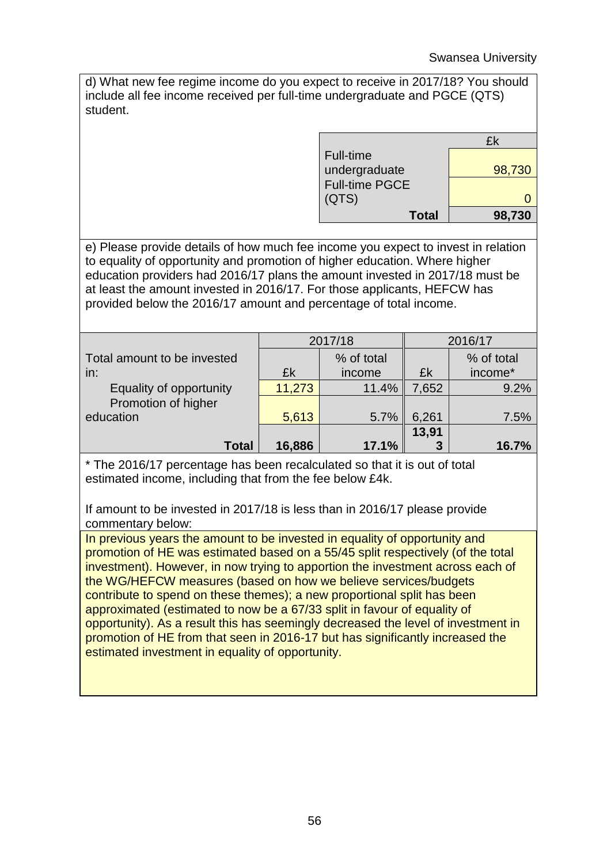d) What new fee regime income do you expect to receive in 2017/18? You should include all fee income received per full-time undergraduate and PGCE (QTS) student.

| £κ     |
|--------|
|        |
| 98,730 |
|        |
|        |
| 98,730 |
|        |

e) Please provide details of how much fee income you expect to invest in relation to equality of opportunity and promotion of higher education. Where higher education providers had 2016/17 plans the amount invested in 2017/18 must be at least the amount invested in 2016/17. For those applicants, HEFCW has provided below the 2016/17 amount and percentage of total income.

|                             |        | 2017/18    | 2016/17 |            |  |
|-----------------------------|--------|------------|---------|------------|--|
| Total amount to be invested |        | % of total |         | % of total |  |
| in:                         | £k     | income     | £k      | income*    |  |
| Equality of opportunity     | 11,273 | 11.4%      | 7,652   | 9.2%       |  |
| Promotion of higher         |        |            |         |            |  |
| education                   | 5,613  | 5.7%       | 6,261   | 7.5%       |  |
|                             |        |            | 13,91   |            |  |
| <b>Total</b>                | 16,886 | 17.1%      | 3       | 16.7%      |  |

\* The 2016/17 percentage has been recalculated so that it is out of total estimated income, including that from the fee below £4k.

If amount to be invested in 2017/18 is less than in 2016/17 please provide commentary below:

In previous years the amount to be invested in equality of opportunity and promotion of HE was estimated based on a 55/45 split respectively (of the total investment). However, in now trying to apportion the investment across each of the WG/HEFCW measures (based on how we believe services/budgets contribute to spend on these themes); a new proportional split has been approximated (estimated to now be a 67/33 split in favour of equality of opportunity). As a result this has seemingly decreased the level of investment in promotion of HE from that seen in 2016-17 but has significantly increased the estimated investment in equality of opportunity.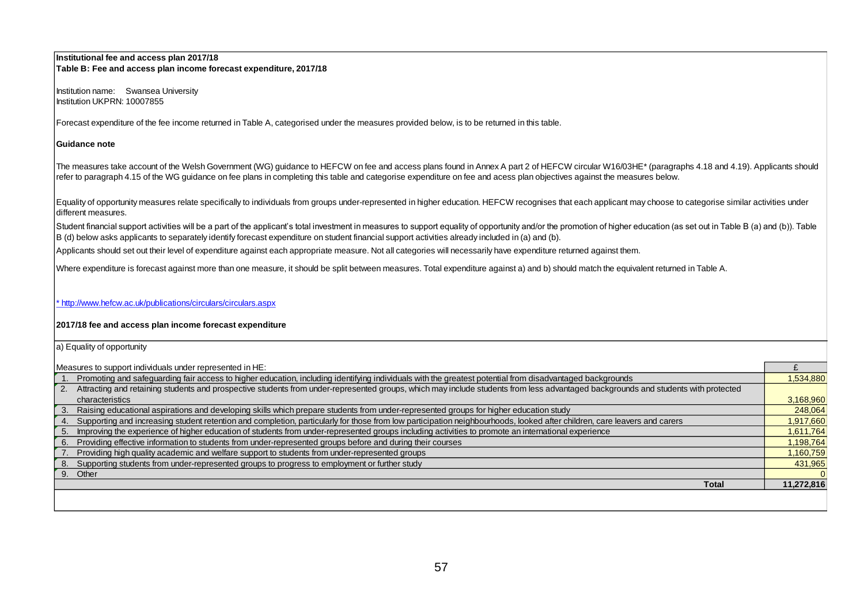#### **Institutional fee and access plan 2017/18 Table B: Fee and access plan income forecast expenditure, 2017/18**

Institution name: Swansea University Institution UKPRN: 10007855

Forecast expenditure of the fee income returned in Table A, categorised under the measures provided below, is to be returned in this table.

#### **Guidance note**

The measures take account of the Welsh Government (WG) quidance to HEFCW on fee and access plans found in Annex A part 2 of HEFCW circular W16/03HE\* (paragraphs 4.18 and 4.19). Applicants should refer to paragraph 4.15 of the WG guidance on fee plans in completing this table and categorise expenditure on fee and acess plan objectives against the measures below.

Equality of opportunity measures relate specifically to individuals from groups under-represented in higher education. HEFCW recognises that each applicant may choose to categorise similar activities under different measures.

Student financial support activities will be a part of the applicant's total investment in measures to support equality of opportunity and/or the promotion of higher education (as set out in Table B (a) and (b)). Table B (d) below asks applicants to separately identify forecast expenditure on student financial support activities already included in (a) and (b).

Applicants should set out their level of expenditure against each appropriate measure. Not all categories will necessarily have expenditure returned against them.

Where expenditure is forecast against more than one measure, it should be split between measures. Total expenditure against a) and b) should match the equivalent returned in Table A.

\* http://www.hefcw.ac.uk/publications/circulars/circulars.aspx

#### **2017/18 fee and access plan income forecast expenditure**

| a) Equality of opportunity                                                                                                                                                           |                |  |  |  |  |  |  |
|--------------------------------------------------------------------------------------------------------------------------------------------------------------------------------------|----------------|--|--|--|--|--|--|
| Measures to support individuals under represented in HE:                                                                                                                             |                |  |  |  |  |  |  |
| Promoting and safeguarding fair access to higher education, including identifying individuals with the greatest potential from disadvantaged backgrounds                             | 1,534,880      |  |  |  |  |  |  |
| 2. Attracting and retaining students and prospective students from under-represented groups, which may include students from less advantaged backgrounds and students with protected |                |  |  |  |  |  |  |
| characteristics                                                                                                                                                                      | 3,168,960      |  |  |  |  |  |  |
| 3. Raising educational aspirations and developing skills which prepare students from under-represented groups for higher education study                                             | 248,064        |  |  |  |  |  |  |
| Supporting and increasing student retention and completion, particularly for those from low participation neighbourhoods, looked after children, care leavers and carers             | 1,917,660      |  |  |  |  |  |  |
| Improving the experience of higher education of students from under-represented groups including activities to promote an international experience<br>5.                             | 1,611,764      |  |  |  |  |  |  |
| Providing effective information to students from under-represented groups before and during their courses<br>6.                                                                      | 1,198,764      |  |  |  |  |  |  |
| Providing high quality academic and welfare support to students from under-represented groups                                                                                        | 1,160,759      |  |  |  |  |  |  |
| 8. Supporting students from under-represented groups to progress to employment or further study                                                                                      | 431,965        |  |  |  |  |  |  |
| 9. Other                                                                                                                                                                             | $\overline{0}$ |  |  |  |  |  |  |
| <b>Total</b>                                                                                                                                                                         | 11,272,816     |  |  |  |  |  |  |
|                                                                                                                                                                                      |                |  |  |  |  |  |  |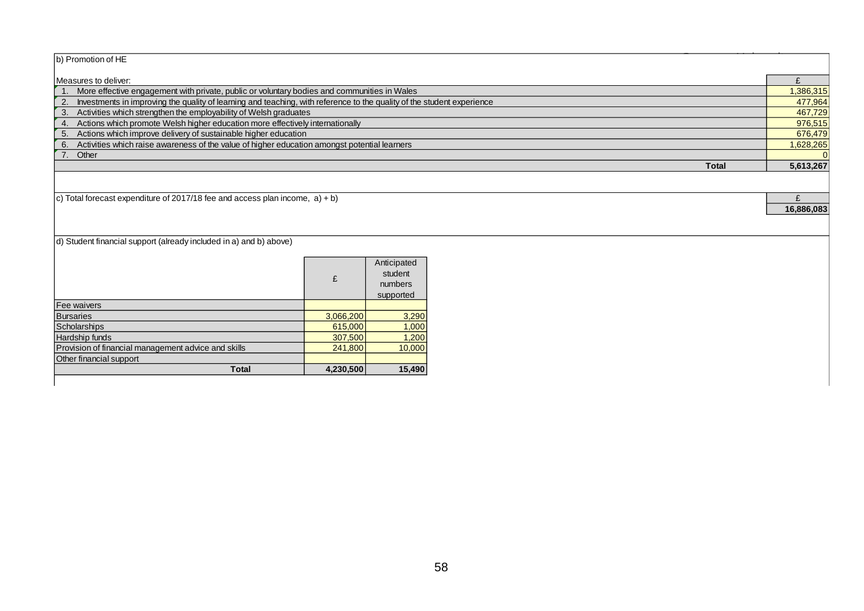| b) Promotion of HE                                                                                                        |           |
|---------------------------------------------------------------------------------------------------------------------------|-----------|
| Measures to deliver:                                                                                                      |           |
| More effective engagement with private, public or voluntary bodies and communities in Wales                               | 1,386,315 |
| 2. Investments in improving the quality of learning and teaching, with reference to the quality of the student experience | 477,964   |
| 3. Activities which strengthen the employability of Welsh graduates                                                       | 467,729   |
| 4. Actions which promote Welsh higher education more effectively internationally                                          | 976,515   |
| 5. Actions which improve delivery of sustainable higher education                                                         | 676,479   |
| 6. Activities which raise awareness of the value of higher education amongst potential learners                           | 1,628,265 |
| 7. Other                                                                                                                  |           |
| <b>Total</b>                                                                                                              | 5,613,267 |
|                                                                                                                           |           |

c) Total forecast expenditure of 2017/18 fee and access plan income,  $a) + b$ 

**16,886,083**

d) Student financial support (already included in a) and b) above)

|                                                     | £         | Anticipated<br>student<br>numbers<br>supported |
|-----------------------------------------------------|-----------|------------------------------------------------|
| Fee waivers                                         |           |                                                |
| <b>Bursaries</b>                                    | 3,066,200 | 3,290                                          |
| Scholarships                                        | 615,000   | 1,000                                          |
| Hardship funds                                      | 307,500   | 1,200                                          |
| Provision of financial management advice and skills | 241,800   | 10,000                                         |
| Other financial support                             |           |                                                |
| <b>Total</b>                                        | 4,230,500 | 15,490                                         |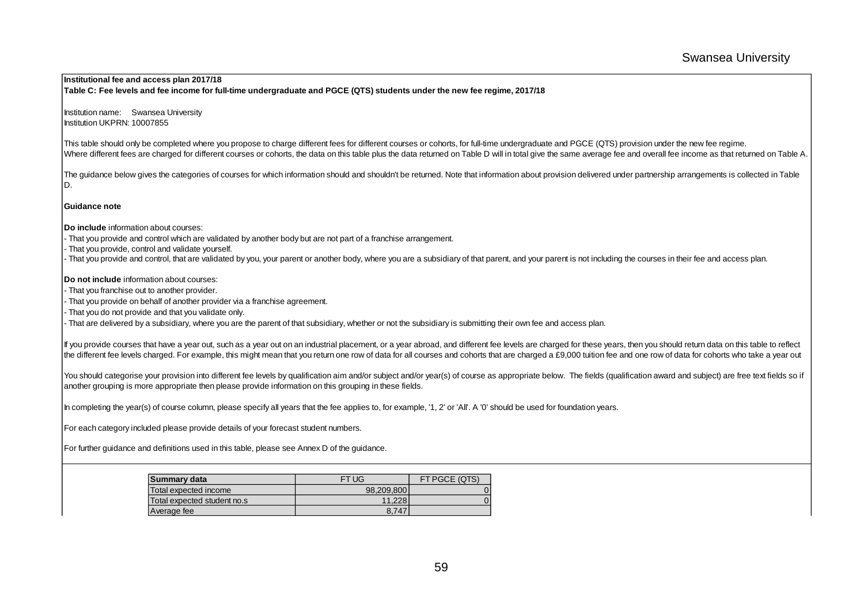#### **Institutional fee and access plan 2017/18**

**Table C: Fee levels and fee income for full-time undergraduate and PGCE (QTS) students under the new fee regime, 2017/18** 

Institution name: Swansea University Institution UKPRN: 10007855

This table should only be completed where you propose to charge different fees for different courses or cohorts, for full-time undergraduate and PGCE (QTS) provision under the new fee regime. Where different fees are charged for different courses or cohorts, the data on this table plus the data returned on Table D will in total give the same average fee and overall fee income as that returned on Table A.

The guidance below gives the categories of courses for which information should and shouldn't be returned. Note that information about provision delivered under partnership arrangements is collected in Table D.

#### **Guidance note**

**Do include** information about courses:

- That you provide and control which are validated by another body but are not part of a franchise arrangement.

- That you provide, control and validate yourself.

That you provide and control, that are validated by you, your parent or another body, where you are a subsidiary of that parent, and your parent is not including the courses in their fee and access plan.

#### **Do not include** information about courses:

- That you franchise out to another provider.

- That you provide on behalf of another provider via a franchise agreement.

- That you do not provide and that you validate only.

That are delivered by a subsidiary, where you are the parent of that subsidiary, whether or not the subsidiary is submitting their own fee and access plan.

If you provide courses that have a year out, such as a year out on an industrial placement, or a year abroad, and different fee levels are charged for these years, then you should return data on this table to reflect the different fee levels charged. For example, this might mean that you return one row of data for all courses and cohorts that are charged a £9,000 tuition fee and one row of data for cohorts who take a year out

You should categorise your provision into different fee levels by qualification aim and/or subject and/or year(s) of course as appropriate below. The fields (qualification award and subject) are free text fields so if another grouping is more appropriate then please provide information on this grouping in these fields.

In completing the year(s) of course column, please specify all years that the fee applies to, for example, '1, 2' or 'All'. A '0' should be used for foundation years.

For each category included please provide details of your forecast student numbers.

| Summary data                | FT UG      | FT PGCE (QTS) |  |  |
|-----------------------------|------------|---------------|--|--|
| Total expected income       | 98.209.800 |               |  |  |
| Total expected student no.s | 11.228     |               |  |  |
| Average fee                 | 8.747      |               |  |  |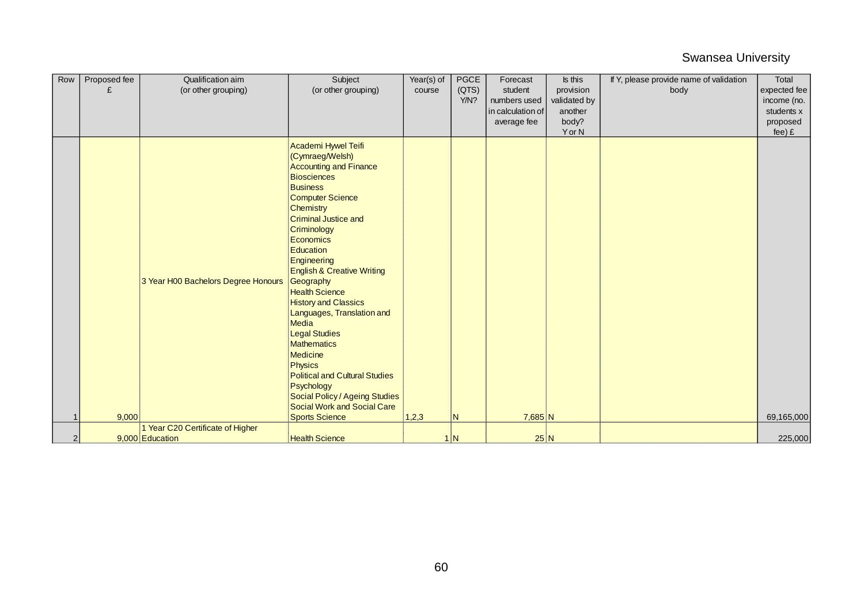| Row | Proposed fee | Qualification aim                   | Subject                                              | Year(s) of | <b>PGCE</b> | Forecast          | Is this      | If Y, please provide name of validation | Total        |
|-----|--------------|-------------------------------------|------------------------------------------------------|------------|-------------|-------------------|--------------|-----------------------------------------|--------------|
|     | £            | (or other grouping)                 | (or other grouping)                                  | course     | (QTS)       | student           | provision    | body                                    | expected fee |
|     |              |                                     |                                                      |            | Y/N?        | numbers used      | validated by |                                         | income (no.  |
|     |              |                                     |                                                      |            |             | in calculation of | another      |                                         | students x   |
|     |              |                                     |                                                      |            |             | average fee       | body?        |                                         | proposed     |
|     |              |                                     |                                                      |            |             |                   | Y or N       |                                         | $fee)$ £     |
|     |              |                                     | Academi Hywel Teifi                                  |            |             |                   |              |                                         |              |
|     |              |                                     | (Cymraeg/Welsh)                                      |            |             |                   |              |                                         |              |
|     |              |                                     | <b>Accounting and Finance</b>                        |            |             |                   |              |                                         |              |
|     |              |                                     | Biosciences                                          |            |             |                   |              |                                         |              |
|     |              |                                     | <b>Business</b>                                      |            |             |                   |              |                                         |              |
|     |              |                                     | <b>Computer Science</b>                              |            |             |                   |              |                                         |              |
|     |              |                                     | Chemistry                                            |            |             |                   |              |                                         |              |
|     |              |                                     | <b>Criminal Justice and</b>                          |            |             |                   |              |                                         |              |
|     |              |                                     | Criminology                                          |            |             |                   |              |                                         |              |
|     |              |                                     | Economics                                            |            |             |                   |              |                                         |              |
|     |              |                                     | Education                                            |            |             |                   |              |                                         |              |
|     |              |                                     | Engineering                                          |            |             |                   |              |                                         |              |
|     |              |                                     | <b>English &amp; Creative Writing</b>                |            |             |                   |              |                                         |              |
|     |              | 3 Year H00 Bachelors Degree Honours | Geography                                            |            |             |                   |              |                                         |              |
|     |              |                                     | <b>Health Science</b>                                |            |             |                   |              |                                         |              |
|     |              |                                     | <b>History and Classics</b>                          |            |             |                   |              |                                         |              |
|     |              |                                     | Languages, Translation and                           |            |             |                   |              |                                         |              |
|     |              |                                     | Media                                                |            |             |                   |              |                                         |              |
|     |              |                                     | <b>Legal Studies</b>                                 |            |             |                   |              |                                         |              |
|     |              |                                     | Mathematics                                          |            |             |                   |              |                                         |              |
|     |              |                                     | Medicine                                             |            |             |                   |              |                                         |              |
|     |              |                                     | Physics                                              |            |             |                   |              |                                         |              |
|     |              |                                     | Political and Cultural Studies                       |            |             |                   |              |                                         |              |
|     |              |                                     | Psychology                                           |            |             |                   |              |                                         |              |
|     |              |                                     | Social Policy / Ageing Studies                       |            |             |                   |              |                                         |              |
|     | 9,000        |                                     | Social Work and Social Care<br><b>Sports Science</b> | 1,2,3      |             | 7,685 N           |              |                                         | 69,165,000   |
|     |              | 1 Year C20 Certificate of Higher    |                                                      |            | N           |                   |              |                                         |              |
| 2   |              | 9,000 Education                     | <b>Health Science</b>                                |            | 1 N         | 25 N              |              |                                         | 225,000      |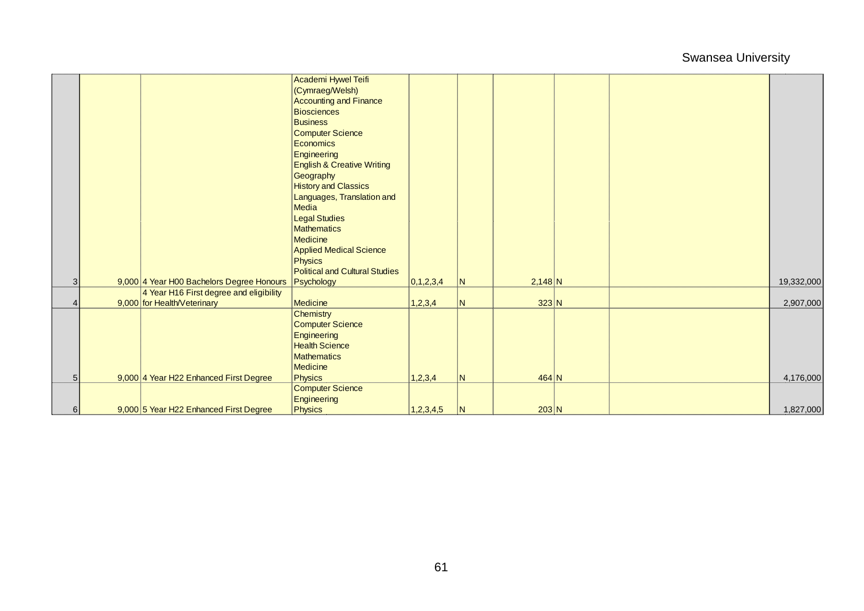|                          |                                                      | Academi Hywel Teifi                   |           |                |           |  |            |
|--------------------------|------------------------------------------------------|---------------------------------------|-----------|----------------|-----------|--|------------|
|                          |                                                      | (Cymraeg/Welsh)                       |           |                |           |  |            |
|                          |                                                      | <b>Accounting and Finance</b>         |           |                |           |  |            |
|                          |                                                      | <b>Biosciences</b>                    |           |                |           |  |            |
|                          |                                                      | <b>Business</b>                       |           |                |           |  |            |
|                          |                                                      | <b>Computer Science</b>               |           |                |           |  |            |
|                          |                                                      | Economics                             |           |                |           |  |            |
|                          |                                                      | Engineering                           |           |                |           |  |            |
|                          |                                                      | <b>English &amp; Creative Writing</b> |           |                |           |  |            |
|                          |                                                      | Geography                             |           |                |           |  |            |
|                          |                                                      | <b>History and Classics</b>           |           |                |           |  |            |
|                          |                                                      | Languages, Translation and            |           |                |           |  |            |
|                          |                                                      | Media                                 |           |                |           |  |            |
|                          |                                                      | <b>Legal Studies</b>                  |           |                |           |  |            |
|                          |                                                      | <b>Mathematics</b>                    |           |                |           |  |            |
|                          |                                                      | <b>Medicine</b>                       |           |                |           |  |            |
|                          |                                                      | <b>Applied Medical Science</b>        |           |                |           |  |            |
|                          |                                                      | <b>Physics</b>                        |           |                |           |  |            |
|                          |                                                      | <b>Political and Cultural Studies</b> |           |                |           |  |            |
| 3                        | 9,000 4 Year H00 Bachelors Degree Honours Psychology |                                       | 0,1,2,3,4 | N              | $2,148$ N |  | 19,332,000 |
|                          | 4 Year H16 First degree and eligibility              |                                       |           |                |           |  |            |
| $\boldsymbol{\varDelta}$ | 9,000 for Health/Veterinary                          | <b>Medicine</b>                       | 1,2,3,4   | IN.            | $323$ N   |  | 2,907,000  |
|                          |                                                      | Chemistry                             |           |                |           |  |            |
|                          |                                                      | <b>Computer Science</b>               |           |                |           |  |            |
|                          |                                                      | Engineering                           |           |                |           |  |            |
|                          |                                                      | <b>Health Science</b>                 |           |                |           |  |            |
|                          |                                                      | <b>Mathematics</b>                    |           |                |           |  |            |
|                          |                                                      | <b>Medicine</b>                       |           |                |           |  |            |
| 5                        | 9,000 4 Year H22 Enhanced First Degree               | <b>Physics</b>                        | 1,2,3,4   | N              | $464$ N   |  | 4,176,000  |
|                          |                                                      | <b>Computer Science</b>               |           |                |           |  |            |
|                          |                                                      | Engineering                           |           |                |           |  |            |
| 6                        | 9,000 5 Year H22 Enhanced First Degree               | <b>Physics</b>                        | 1,2,3,4,5 | $\overline{N}$ | $203$ N   |  | 1,827,000  |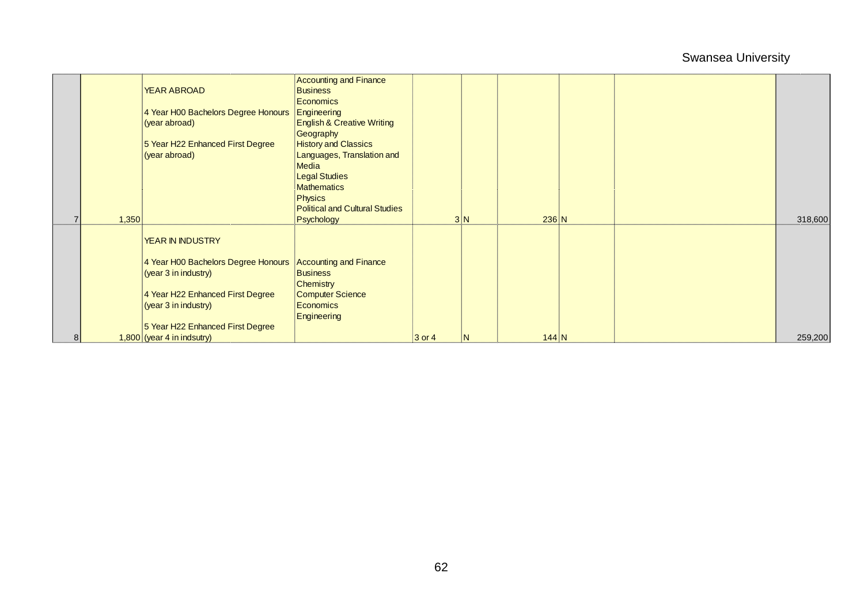|                |       |                                     | <b>Accounting and Finance</b>         |        |     |         |  |         |
|----------------|-------|-------------------------------------|---------------------------------------|--------|-----|---------|--|---------|
|                |       | <b>YEAR ABROAD</b>                  | <b>Business</b>                       |        |     |         |  |         |
|                |       |                                     | Economics                             |        |     |         |  |         |
|                |       | 4 Year H00 Bachelors Degree Honours | Engineering                           |        |     |         |  |         |
|                |       | (year abroad)                       | <b>English &amp; Creative Writing</b> |        |     |         |  |         |
|                |       |                                     | Geography                             |        |     |         |  |         |
|                |       | 5 Year H22 Enhanced First Degree    | <b>History and Classics</b>           |        |     |         |  |         |
|                |       | (year abroad)                       | Languages, Translation and            |        |     |         |  |         |
|                |       |                                     | Media                                 |        |     |         |  |         |
|                |       |                                     | <b>Legal Studies</b>                  |        |     |         |  |         |
|                |       |                                     | <b>Mathematics</b>                    |        |     |         |  |         |
|                |       |                                     | <b>Physics</b>                        |        |     |         |  |         |
|                |       |                                     | <b>Political and Cultural Studies</b> |        |     |         |  |         |
| $\overline{7}$ | 1,350 |                                     | Psychology                            |        | 3 N | $236$ N |  | 318,600 |
|                |       | YEAR IN INDUSTRY                    |                                       |        |     |         |  |         |
|                |       | 4 Year H00 Bachelors Degree Honours | <b>Accounting and Finance</b>         |        |     |         |  |         |
|                |       | (year 3 in industry)                | <b>Business</b>                       |        |     |         |  |         |
|                |       |                                     | Chemistry                             |        |     |         |  |         |
|                |       | 4 Year H22 Enhanced First Degree    | <b>Computer Science</b>               |        |     |         |  |         |
|                |       | (year 3 in industry)                | Economics                             |        |     |         |  |         |
|                |       |                                     | Engineering                           |        |     |         |  |         |
|                |       | 5 Year H22 Enhanced First Degree    |                                       |        |     |         |  |         |
| 8              |       | $1,800$ (year 4 in indsutry)        |                                       | 3 or 4 | N   | $144$ N |  | 259,200 |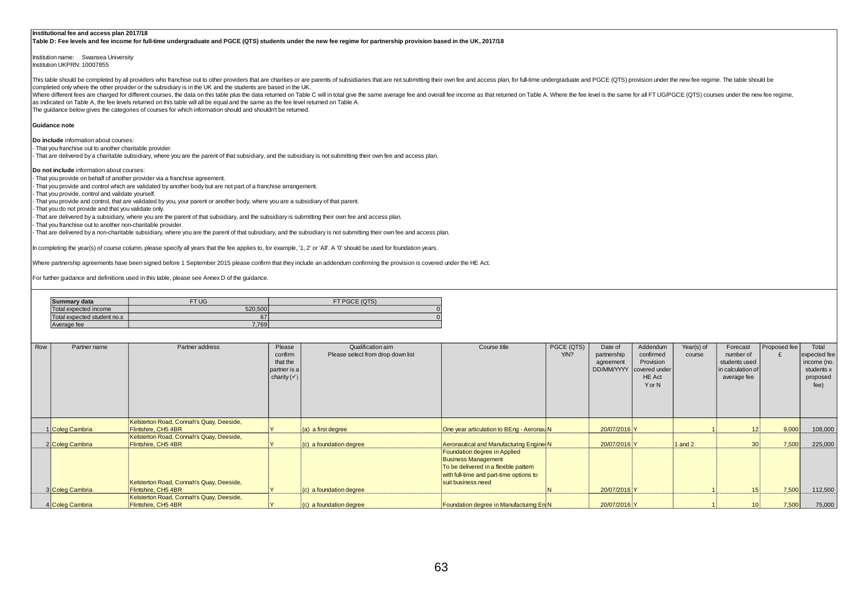#### **Institutional fee and access plan 2017/18**

**Table D: Fee levels and fee income for full-time undergraduate and PGCE (QTS) students under the new fee regime for partnership provision based in the UK, 2017/18**

Institution name: Swansea University Institution UKPRN: 10007855

This table should be completed by all providers who franchise out to other providers that are charities or are parents of subsidiaries that are not submitting their own fee and access plan, for full-time undergraduate and  $\sim$  completed only where the other provider or the subsidiary is in the UK and the students are based in the UK.

Where different fees are charged for different courses, the data on this table plus the data returned on Table C will in total give the same average fee and overall fee income as that returned on Table A. Where the fee lev as indicated on Table A, the fee levels returned on this table will all be equal and the same as the fee level returned on Table A.

The guidance below gives the categories of courses for which information should and shouldn't be returned.

#### **Guidance note**

**Do include** information about courses:

- That you franchise out to another charitable provider.

- That are delivered by a charitable subsidiary, where you are the parent of that subsidiary, and the subsidiary is not submitting their own fee and access plan.

**Do not include** information about courses:

- That you provide on behalf of another provider via a franchise agreement.

- That you provide and control which are validated by another body but are not part of a franchise arrangement.

- That you provide, control and validate yourself.

- That you provide and control, that are validated by you, your parent or another body, where you are a subsidiary of that parent.

- That you do not provide and that you validate only.

- That are delivered by a subsidiary, where you are the parent of that subsidiary, and the subsidiary is submitting their own fee and access plan.

- That you franchise out to another non-charitable provider.

- That are delivered by a non-charitable subsidiary, where you are the parent of that subsidiary, and the subsidiary is not submitting their own fee and access plan.

In completing the year(s) of course column, please specify all years that the fee applies to, for example, '1, 2' or 'All'. A '0' should be used for foundation years.

Where partnership agreements have been signed before 1 September 2015 please confirm that they include an addendum confirming the provision is covered under the HE Act.

| Summary data                | FT UG        | FT PGCE (QTS) |
|-----------------------------|--------------|---------------|
| Total expected income       | 520.500      |               |
| Total expected student no.s | $\sim$<br>07 |               |
| Average fee                 | 7,769        |               |

| Row | Partner name         | Partner address                          | Please                 | Qualification aim                 | Course title                              | PGCE (QTS) | Date of                    | Addendum  | Year(s) of | Forecast          | Proposed fee | Total        |
|-----|----------------------|------------------------------------------|------------------------|-----------------------------------|-------------------------------------------|------------|----------------------------|-----------|------------|-------------------|--------------|--------------|
|     |                      |                                          | confirm                | Please select from drop down list |                                           | Y/N?       | partnership                | confirmed | course     | number of         |              | expected fee |
|     |                      |                                          | that the               |                                   |                                           |            | agreement                  | Provision |            | students used     |              | income (no.  |
|     |                      |                                          | partner is a           |                                   |                                           |            | DD/MM/YYYY   covered under |           |            | in calculation of |              | students x   |
|     |                      |                                          | charity $(\checkmark)$ |                                   |                                           |            |                            | HE Act    |            | average fee       |              | proposed     |
|     |                      |                                          |                        |                                   |                                           |            |                            | Y or N    |            |                   |              | fee)         |
|     |                      |                                          |                        |                                   |                                           |            |                            |           |            |                   |              |              |
|     |                      |                                          |                        |                                   |                                           |            |                            |           |            |                   |              |              |
|     |                      |                                          |                        |                                   |                                           |            |                            |           |            |                   |              |              |
|     |                      |                                          |                        |                                   |                                           |            |                            |           |            |                   |              |              |
|     |                      | Kelsterton Road, Connah's Quay, Deeside, |                        |                                   |                                           |            |                            |           |            |                   |              |              |
|     | <b>Coleg Cambria</b> | Flintshire, CH5 4BR                      |                        | $(a)$ a first degree              | One year articulation to BEng - Aeronau N |            | 20/07/2016 Y               |           |            |                   | 9,000        | 108,000      |
|     |                      | Kelsterton Road, Connah's Quay, Deeside, |                        |                                   |                                           |            |                            |           |            |                   |              |              |
|     | 2 Coleg Cambria      | Flintshire, CH5 4BR                      |                        | $(c)$ a foundation degree         | Aeronautical and Manufacturing Engine N   |            | 20/07/2016 Y               |           | 1 and $2$  | 30                | 7.500        | 225,000      |
|     |                      |                                          |                        |                                   | Foundation degree in Applied              |            |                            |           |            |                   |              |              |
|     |                      |                                          |                        |                                   | <b>Business Management</b>                |            |                            |           |            |                   |              |              |
|     |                      |                                          |                        |                                   | To be delivered in a flexible pattern     |            |                            |           |            |                   |              |              |
|     |                      |                                          |                        |                                   | with full-time and part-time options to   |            |                            |           |            |                   |              |              |
|     |                      | Kelsterton Road, Connah's Quay, Deeside, |                        |                                   | suit business need                        |            |                            |           |            |                   |              |              |
|     | 3 Coleg Cambria      | Flintshire, CH5 4BR                      |                        | $(c)$ a foundation degree         |                                           |            | 20/07/2016 Y               |           |            | 15                | 7,500        | 112,500      |
|     |                      | Kelsterton Road, Connah's Quay, Deeside, |                        |                                   |                                           |            |                            |           |            |                   |              |              |
|     | 4 Coleg Cambria      | Flintshire, CH5 4BR                      |                        | $(c)$ a foundation degree         | Foundation degree in Manufactuirng En N   |            | 20/07/2016 Y               |           |            |                   | 7,500        | 75,000       |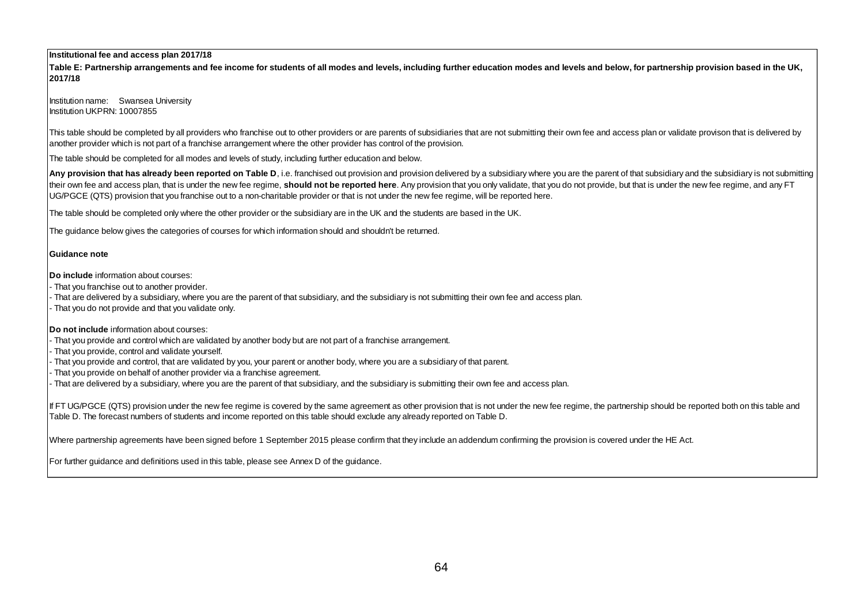#### **Institutional fee and access plan 2017/18**

Institutional fee and access plan 2017/18<br>Table E: Partnership arrangements and fee income for students of all modes and levels, including further education modes and levels and below, for partnership provision based in th **2017/18**

Institution name: Swansea University Institution UKPRN: 10007855

This table should be completed by all providers who franchise out to other providers or are parents of subsidiaries that are not submitting their own fee and access plan or validate provison that is delivered by another provider which is not part of a franchise arrangement where the other provider has control of the provision.

The table should be completed for all modes and levels of study, including further education and below.

Any provision that has already been reported on Table D, i.e. franchised out provision and provision delivered by a subsidiary where you are the parent of that subsidiary and the subsidiary is not submitting their own fee and access plan, that is under the new fee regime, **should not be reported here**. Any provision that you only validate, that you do not provide, but that is under the new fee regime, and any FT UG/PGCE (QTS) provision that you franchise out to a non-charitable provider or that is not under the new fee regime, will be reported here.

The table should be completed only where the other provider or the subsidiary are in the UK and the students are based in the UK.

The guidance below gives the categories of courses for which information should and shouldn't be returned.

#### **Guidance note**

**Do include** information about courses:

- That you franchise out to another provider.

- That are delivered by a subsidiary, where you are the parent of that subsidiary, and the subsidiary is not submitting their own fee and access plan.

- That you do not provide and that you validate only.

#### **Do not include** information about courses:

- That you provide and control which are validated by another body but are not part of a franchise arrangement.

- That you provide, control and validate yourself.

- That you provide and control, that are validated by you, your parent or another body, where you are a subsidiary of that parent.

- That you provide on behalf of another provider via a franchise agreement.

- That are delivered by a subsidiary, where you are the parent of that subsidiary, and the subsidiary is submitting their own fee and access plan.

If FT UG/PGCE (QTS) provision under the new fee regime is covered by the same agreement as other provision that is not under the new fee regime, the partnership should be reported both on this table and Table D. The forecast numbers of students and income reported on this table should exclude any already reported on Table D.

Where partnership agreements have been signed before 1 September 2015 please confirm that they include an addendum confirming the provision is covered under the HE Act.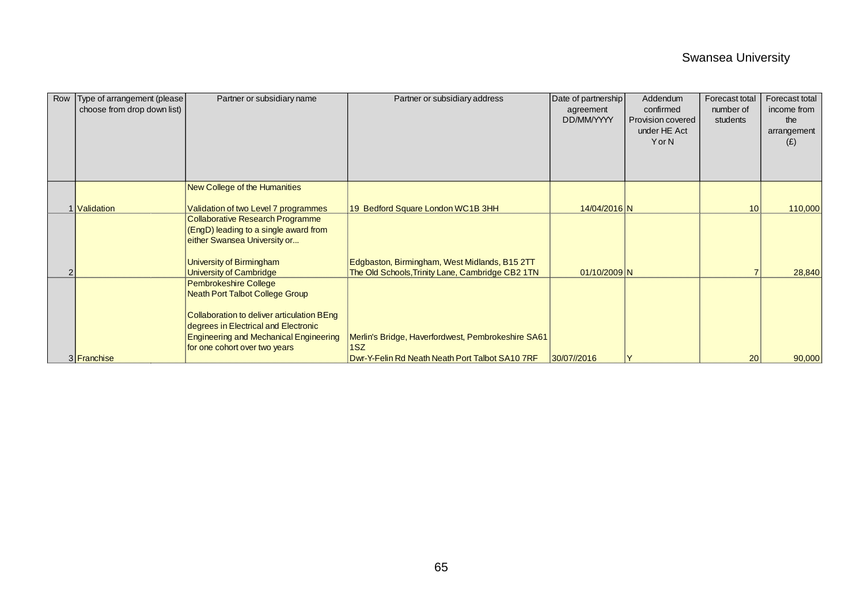| Row | Type of arrangement (please<br>choose from drop down list) | Partner or subsidiary name                                                                                                                                                                                                       | Partner or subsidiary address                             | Date of partnership<br>agreement<br>DD/MM/YYYY | Addendum<br>confirmed<br>Provision covered<br>under HE Act<br>Y or N | Forecast total<br>number of<br>students | Forecast total<br>income from<br>the<br>arrangement<br>(E) |
|-----|------------------------------------------------------------|----------------------------------------------------------------------------------------------------------------------------------------------------------------------------------------------------------------------------------|-----------------------------------------------------------|------------------------------------------------|----------------------------------------------------------------------|-----------------------------------------|------------------------------------------------------------|
|     |                                                            | New College of the Humanities                                                                                                                                                                                                    |                                                           |                                                |                                                                      |                                         |                                                            |
|     | 1 Validation                                               | Validation of two Level 7 programmes                                                                                                                                                                                             | 19 Bedford Square London WC1B 3HH                         | 14/04/2016 N                                   |                                                                      | 10 <sup>1</sup>                         | 110,000                                                    |
|     |                                                            | Collaborative Research Programme<br>(EngD) leading to a single award from<br>either Swansea University or                                                                                                                        |                                                           |                                                |                                                                      |                                         |                                                            |
|     |                                                            | University of Birmingham                                                                                                                                                                                                         | Edgbaston, Birmingham, West Midlands, B15 2TT             |                                                |                                                                      |                                         |                                                            |
|     |                                                            | University of Cambridge                                                                                                                                                                                                          | The Old Schools, Trinity Lane, Cambridge CB2 1TN          | 01/10/2009 N                                   |                                                                      |                                         | 28,840                                                     |
|     |                                                            | Pembrokeshire College<br>Neath Port Talbot College Group<br>Collaboration to deliver articulation BEng<br>degrees in Electrical and Electronic<br><b>Engineering and Mechanical Engineering</b><br>for one cohort over two years | Merlin's Bridge, Haverfordwest, Pembrokeshire SA61<br>1SZ |                                                |                                                                      |                                         |                                                            |
|     | 3 Franchise                                                |                                                                                                                                                                                                                                  | Dwr-Y-Felin Rd Neath Neath Port Talbot SA10 7RF           | 30/07//2016                                    |                                                                      | 20                                      | 90,000                                                     |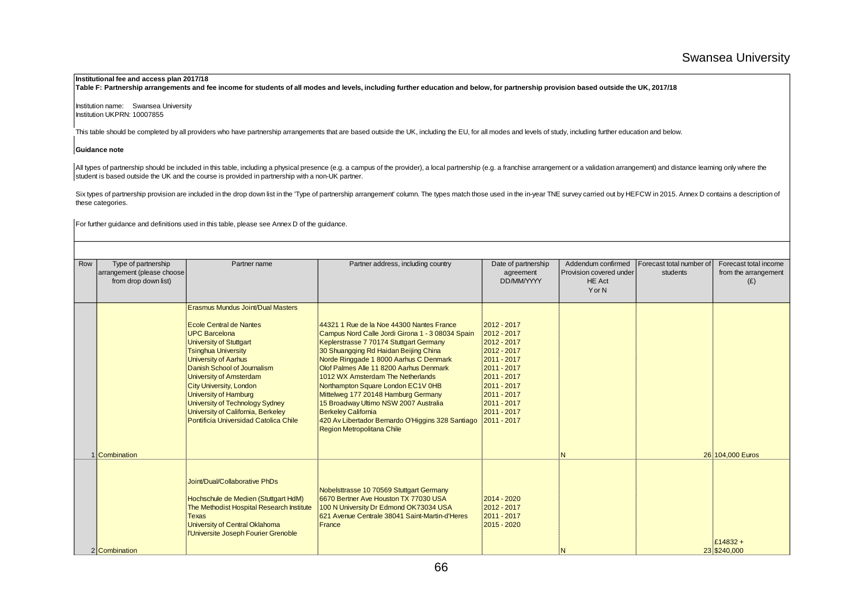**Institutional fee and access plan 2017/18 Table F: Partnership arrangements and fee income for students of all modes and levels, including further education and below, for partnership provision based outside the UK, 2017/18**

Institution name: Swansea University Institution UKPRN: 10007855

This table should be completed by all providers who have partnership arrangements that are based outside the UK, including the EU, for all modes and levels of study, including further education and below.

#### **Guidance note**

All types of partnership should be included in this table, including a physical presence (e.g. a campus of the provider), a local partnership (e.g. a franchise arrangement or a validation arrangement) and distance learning student is based outside the UK and the course is provided in partnership with a non-UK partner.

Six types of partnership provision are included in the drop down list in the 'Type of partnership arrangement' column. The types match those used in the in-year TNE survey carried out by HEFCW in 2015. Annex D contains a d these categories.

| Row | Type of partnership<br>arrangement (please choose<br>from drop down list) | Partner name                                                                                                                                                                                                                                                                                                                                                                                                                             | Partner address, including country                                                                                                                                                                                                                                                                                                                                                                                                                                                                                                                 | Date of partnership<br>agreement<br>DD/MM/YYYY                                                                                                                                   | Addendum confirmed<br>Provision covered under<br><b>HE Act</b><br>YorN | Forecast total number of<br>students | Forecast total income<br>from the arrangement<br>(E) |
|-----|---------------------------------------------------------------------------|------------------------------------------------------------------------------------------------------------------------------------------------------------------------------------------------------------------------------------------------------------------------------------------------------------------------------------------------------------------------------------------------------------------------------------------|----------------------------------------------------------------------------------------------------------------------------------------------------------------------------------------------------------------------------------------------------------------------------------------------------------------------------------------------------------------------------------------------------------------------------------------------------------------------------------------------------------------------------------------------------|----------------------------------------------------------------------------------------------------------------------------------------------------------------------------------|------------------------------------------------------------------------|--------------------------------------|------------------------------------------------------|
|     |                                                                           | <b>Erasmus Mundus Joint/Dual Masters</b><br>Ecole Central de Nantes<br><b>UPC Barcelona</b><br><b>University of Stuttgart</b><br><b>Tsinghua University</b><br><b>University of Aarhus</b><br>Danish School of Journalism<br><b>University of Amsterdam</b><br><b>City University, London</b><br>University of Hamburg<br>University of Technology Sydney<br>University of California, Berkeley<br>Pontificia Universidad Catolica Chile | 44321 1 Rue de la Noe 44300 Nantes France<br>Campus Nord Calle Jordi Girona 1 - 3 08034 Spain<br>Keplerstrasse 7 70174 Stuttgart Germany<br>30 Shuangqing Rd Haidan Beijing China<br>Norde Ringgade 1 8000 Aarhus C Denmark<br>Olof Palmes Alle 11 8200 Aarhus Denmark<br>1012 WX Amsterdam The Netherlands<br>Northampton Square London EC1V 0HB<br>Mittelweg 177 20148 Hamburg Germany<br>15 Broadway Ultimo NSW 2007 Australia<br><b>Berkeley California</b><br>420 Av Libertador Bernardo O'Higgins 328 Santiago<br>Region Metropolitana Chile | 2012 - 2017<br>2012 - 2017<br>2012 - 2017<br>2012 - 2017<br>2011 - 2017<br>2011 - 2017<br>2011 - 2017<br>2011 - 2017<br>2011 - 2017<br>2011 - 2017<br>2011 - 2017<br>2011 - 2017 |                                                                        |                                      |                                                      |
|     | 1 Combination                                                             |                                                                                                                                                                                                                                                                                                                                                                                                                                          |                                                                                                                                                                                                                                                                                                                                                                                                                                                                                                                                                    |                                                                                                                                                                                  | N                                                                      |                                      | 26 104,000 Euros                                     |
|     | 2 Combination                                                             | Joint/Dual/Collaborative PhDs<br>Hochschule de Medien (Stuttgart HdM)<br>The Methodist Hospital Research Institute<br><b>Texas</b><br>University of Central Oklahoma<br>l'Universite Joseph Fourier Grenoble                                                                                                                                                                                                                             | Nobelsttrasse 10 70569 Stuttgart Germany<br>6670 Bertner Ave Houston TX 77030 USA<br>100 N University Dr Edmond OK73034 USA<br>621 Avenue Centrale 38041 Saint-Martin-d'Heres<br>France                                                                                                                                                                                                                                                                                                                                                            | 2014 - 2020<br>2012 - 2017<br>2011 - 2017<br>2015 - 2020                                                                                                                         |                                                                        |                                      | £14832+<br>23 \$240,000                              |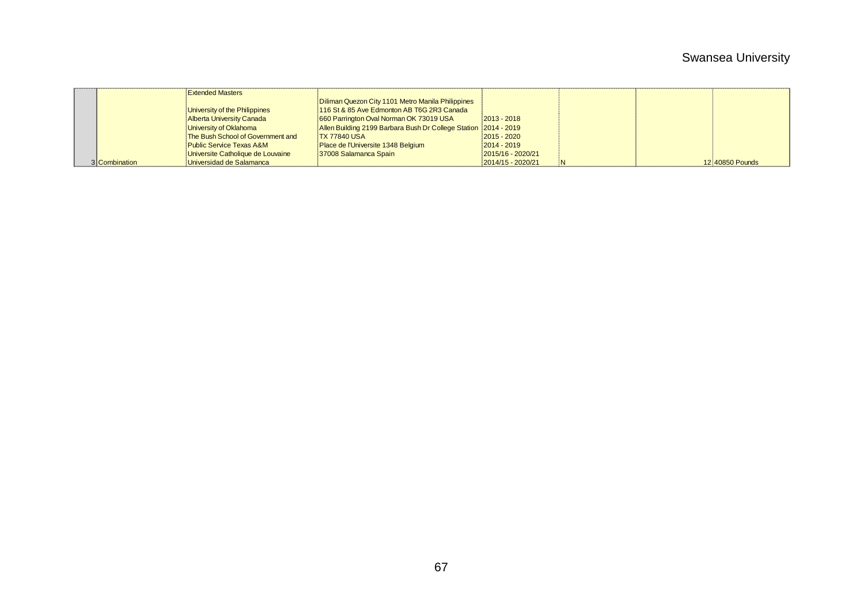|               | <b>Extended Masters</b>             |                                                                 |                   |  |                 |
|---------------|-------------------------------------|-----------------------------------------------------------------|-------------------|--|-----------------|
|               |                                     | Diliman Quezon City 1101 Metro Manila Philippines               |                   |  |                 |
|               | University of the Philippines       | 116 St & 85 Ave Edmonton AB T6G 2R3 Canada                      |                   |  |                 |
|               | Alberta University Canada           | 660 Parrington Oval Norman OK 73019 USA                         | $2013 - 2018$     |  |                 |
|               | University of Oklahoma              | Allen Building 2199 Barbara Bush Dr College Station 2014 - 2019 |                   |  |                 |
|               | The Bush School of Government and   | <b>ITX 77840 USA</b>                                            | 2015 - 2020       |  |                 |
|               | <b>Public Service Texas A&amp;M</b> | Place de l'Universite 1348 Belgium                              | $2014 - 2019$     |  |                 |
|               | Universite Catholique de Louvaine   | 37008 Salamanca Spain                                           | 2015/16 - 2020/21 |  |                 |
| 3 Combination | Universidad de Salamanca            |                                                                 | 2014/15 - 2020/21 |  | 12 40850 Pounds |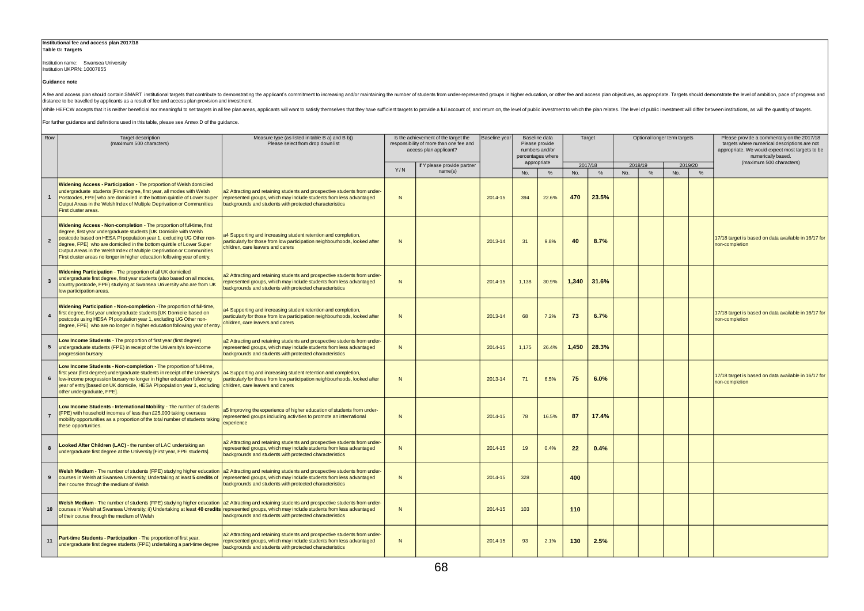#### **Institutional fee and access plan 2017/18 Table G: Targets**

Institution name: Swansea University Institution UKPRN: 10007855

**Guidance note**

A tee and access plan should contain SMARI institutional targets that contribue to demonstrating the applicant's commitment to increasing and/or maintaining the number of students from under-represented groups in higher ed

While HEFCW accepts that it is neither beneficial nor meaningful to set targets in all fee plan areas, applicants will want to satisfy themselves that they have sufficient targets to provide a full account of, and return o

| Row            | Target description<br>(maximum 500 characters)                                                                                                                                                                                                                                                                                                                                                                                                     | Measure type (as listed in table B a) and B b))<br>Please select from drop down list                                                                                                                        |                | Is the achievement of the target the<br>responsibility of more than one fee and<br>access plan applicant? | Baseline year<br>Baseline data<br>Please provide<br>numbers and/or<br>percentages where |                         |       |                     |       |     |                     |  |              |                                                                        |  |  |  |  | Target | Optional longer term targets |  |  |  | Please provide a commentary on the 2017/18<br>targets where numerical descriptions are not<br>appropriate. We would expect most targets to be<br>numerically based. |
|----------------|----------------------------------------------------------------------------------------------------------------------------------------------------------------------------------------------------------------------------------------------------------------------------------------------------------------------------------------------------------------------------------------------------------------------------------------------------|-------------------------------------------------------------------------------------------------------------------------------------------------------------------------------------------------------------|----------------|-----------------------------------------------------------------------------------------------------------|-----------------------------------------------------------------------------------------|-------------------------|-------|---------------------|-------|-----|---------------------|--|--------------|------------------------------------------------------------------------|--|--|--|--|--------|------------------------------|--|--|--|---------------------------------------------------------------------------------------------------------------------------------------------------------------------|
|                |                                                                                                                                                                                                                                                                                                                                                                                                                                                    |                                                                                                                                                                                                             | Y/N            | If Y please provide partner<br>name(s)                                                                    |                                                                                         | appropriate<br>%<br>No. |       | 2017/18<br>No.<br>% |       | No. | 2018/19<br>%<br>No. |  | 2019/20<br>% | (maximum 500 characters)                                               |  |  |  |  |        |                              |  |  |  |                                                                                                                                                                     |
|                | Widening Access - Participation - The proportion of Welsh domiciled<br>undergraduate students [First degree, first year, all modes with Welsh<br>Postcodes, FPE] who are domiciled in the bottom quintile of Lower Super<br>Output Areas in the Welsh Index of Multiple Deprivation or Communities<br>First cluster areas.                                                                                                                         | a2 Attracting and retaining students and prospective students from under-<br>represented groups, which may include students from less advantaged<br>backgrounds and students with protected characteristics | N              |                                                                                                           | 2014-15                                                                                 | 394                     | 22.6% | 470                 | 23.5% |     |                     |  |              |                                                                        |  |  |  |  |        |                              |  |  |  |                                                                                                                                                                     |
| $\overline{2}$ | Widening Access - Non-completion - The proportion of full-time, first<br>degree, first year undergraduate students [UK Domicile with Welsh<br>postcode based on HESA PI population year 1, excluding UG Other non-<br>degree, FPE] who are domiciled in the bottom quintile of Lower Super<br>Output Areas in the Welsh Index of Multiple Deprivation or Communities<br>First cluster areas no longer in higher education following year of entry. | a4 Supporting and increasing student retention and completion,<br>particularly for those from low participation neighbourhoods, looked after<br>children, care leavers and carers                           | N              |                                                                                                           | 2013-14                                                                                 | 31                      | 9.8%  | 40                  | 8.7%  |     |                     |  |              | 17/18 target is based on data available in 16/17 for<br>non-completion |  |  |  |  |        |                              |  |  |  |                                                                                                                                                                     |
|                | Widening Participation - The proportion of all UK domiciled<br>undergraduate first degree, first year students (also based on all modes,<br>country postcode, FPE) studying at Swansea University who are from UK<br>low participation areas.                                                                                                                                                                                                      | a2 Attracting and retaining students and prospective students from under-<br>epresented groups, which may include students from less advantaged<br>backgrounds and students with protected characteristics  | N              |                                                                                                           | 2014-15                                                                                 | 1,138                   | 30.9% | 1.340               | 31.6% |     |                     |  |              |                                                                        |  |  |  |  |        |                              |  |  |  |                                                                                                                                                                     |
|                | Widening Participation - Non-completion - The proportion of full-time,<br>first degree, first year undergraduate students [UK Domicile based on<br>postcode using HESA PI population year 1, excluding UG Other non-<br>degree, FPE] who are no longer in higher education following year of entry.                                                                                                                                                | a4 Supporting and increasing student retention and completion,<br>particularly for those from low participation neighbourhoods, looked after<br>children, care leavers and carers                           | N              |                                                                                                           | 2013-14                                                                                 | 68                      | 7.2%  | 73                  | 6.7%  |     |                     |  |              | 17/18 target is based on data available in 16/17 for<br>non-completion |  |  |  |  |        |                              |  |  |  |                                                                                                                                                                     |
| 5              | Low Income Students - The proportion of first year (first degree)<br>undergraduate students (FPE) in receipt of the University's low-income<br>progression bursary.                                                                                                                                                                                                                                                                                | a2 Attracting and retaining students and prospective students from under-<br>represented groups, which may include students from less advantaged<br>backgrounds and students with protected characteristics | N              |                                                                                                           | 2014-15                                                                                 | 1.175                   | 26.4% | 1.450               | 28.3% |     |                     |  |              |                                                                        |  |  |  |  |        |                              |  |  |  |                                                                                                                                                                     |
|                | Low Income Students - Non-completion - The proportion of full-time,<br>first year (first degree) undergraduate students in receipt of the University's<br>low-income progression bursary no longer in higher education following<br>year of entry [based on UK domicile, HESA PI population year 1, excluding children, care leavers and carers<br>other undergraduate, FPE].                                                                      | a4 Supporting and increasing student retention and completion,<br>particularly for those from low participation neighbourhoods, looked after                                                                | $\overline{N}$ |                                                                                                           | 2013-14                                                                                 | 71                      | 6.5%  | 75                  | 6.0%  |     |                     |  |              | 17/18 target is based on data available in 16/17 for<br>non-completion |  |  |  |  |        |                              |  |  |  |                                                                                                                                                                     |
| $\overline{7}$ | Low Income Students - International Mobility - The number of students<br>(FPE) with household incomes of less than £25,000 taking overseas<br>mobility opportunities as a proportion of the total number of students taking<br>these opportunities.                                                                                                                                                                                                | a5 Improving the experience of higher education of students from under-<br>epresented groups including activities to promote an international<br>experience                                                 | N              |                                                                                                           | 2014-15                                                                                 | 78                      | 16.5% | 87                  | 17.4% |     |                     |  |              |                                                                        |  |  |  |  |        |                              |  |  |  |                                                                                                                                                                     |
| 8              | Looked After Children (LAC) - the number of LAC undertaking an<br>undergraduate first degree at the University [First year, FPE students].                                                                                                                                                                                                                                                                                                         | a2 Attracting and retaining students and prospective students from under-<br>represented groups, which may include students from less advantaged<br>backgrounds and students with protected characteristics | N              |                                                                                                           | 2014-15                                                                                 | 19                      | 0.4%  | 22                  | 0.4%  |     |                     |  |              |                                                                        |  |  |  |  |        |                              |  |  |  |                                                                                                                                                                     |
|                | Welsh Medium - The number of students (FPE) studying higher education<br>courses in Welsh at Swansea University; Undertaking at least 5 credits of<br>their course through the medium of Welsh                                                                                                                                                                                                                                                     | a2 Attracting and retaining students and prospective students from under-<br>represented groups, which may include students from less advantaged<br>backgrounds and students with protected characteristics | N              |                                                                                                           | 2014-15                                                                                 | 328                     |       | 400                 |       |     |                     |  |              |                                                                        |  |  |  |  |        |                              |  |  |  |                                                                                                                                                                     |
| 10             | Welsh Medium - The number of students (FPE) studying higher education a2 Attracting and retaining students and prospective students from under-<br>courses in Welsh at Swansea University; ii) Undertaking at least 40 credits represented groups, which may include students from less advantaged<br>of their course through the medium of Welsh                                                                                                  | backgrounds and students with protected characteristics                                                                                                                                                     | N              |                                                                                                           | 2014-15                                                                                 | 103                     |       | 110                 |       |     |                     |  |              |                                                                        |  |  |  |  |        |                              |  |  |  |                                                                                                                                                                     |
| 11             | Part-time Students - Participation - The proportion of first year,<br>undergraduate first degree students (FPE) undertaking a part-time degree                                                                                                                                                                                                                                                                                                     | a2 Attracting and retaining students and prospective students from under-<br>represented groups, which may include students from less advantaged<br>backgrounds and students with protected characteristics | N              |                                                                                                           | 2014-15                                                                                 | 93                      | 2.1%  | 130                 | 2.5%  |     |                     |  |              |                                                                        |  |  |  |  |        |                              |  |  |  |                                                                                                                                                                     |